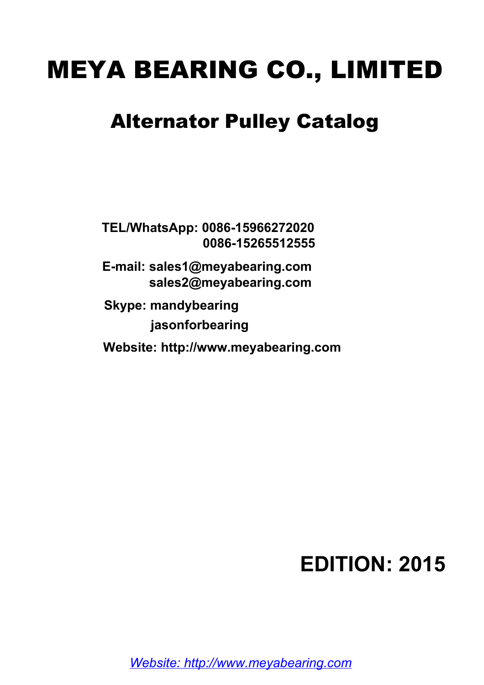# MEYA BEARING CO., LIMITED

# Alternator Pulley Catalog

**TEL/WhatsApp: 0086-15966272020 0086-15265512555** 

**E-mail: sales1@meyabearing.com sales2@meyabearing.com**

**Skype: mandybearing jasonforbearing**

**Website: http://www.meyabearing.com** 

# **EDITION: 2015**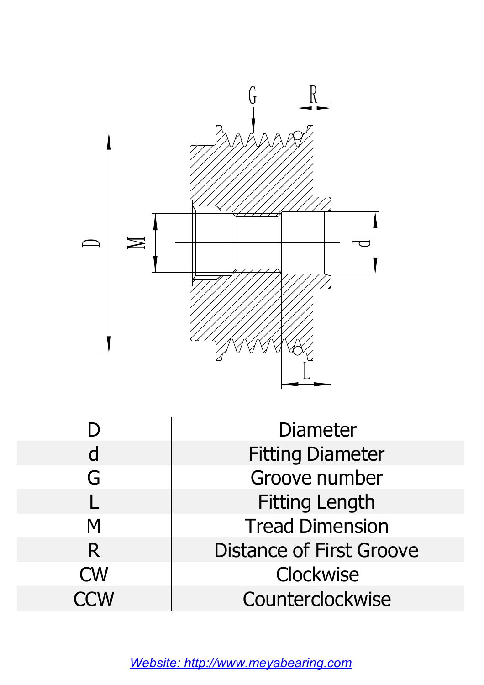

| $\blacksquare$ |                                 |  |
|----------------|---------------------------------|--|
|                | <b>Diameter</b>                 |  |
| d              | <b>Fitting Diameter</b>         |  |
| G              | Groove number                   |  |
|                | <b>Fitting Length</b>           |  |
| M              | <b>Tread Dimension</b>          |  |
| R              | <b>Distance of First Groove</b> |  |
| <b>CW</b>      | Clockwise                       |  |
| <b>CCW</b>     | Counterclockwise                |  |
|                |                                 |  |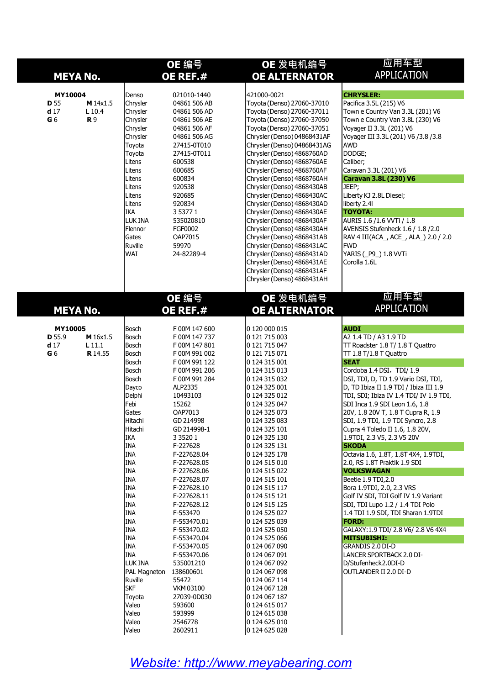|                                   | <b>MEYA No.</b>            | OE 编号<br>OE REF.#        |                                | OE 发电机编号<br><b>OE ALTERNATOR</b>                           | 应用车型<br><b>APPLICATION</b>                                                |  |  |
|-----------------------------------|----------------------------|--------------------------|--------------------------------|------------------------------------------------------------|---------------------------------------------------------------------------|--|--|
|                                   |                            | 021010-1440<br>Denso     |                                |                                                            |                                                                           |  |  |
| MY10004<br><b>D</b> 55            | M 14x1.5                   | Chrysler                 | 04861 506 AB                   | 421000-0021<br>Toyota (Denso) 27060-37010                  | <b>CHRYSLER:</b><br>Pacifica 3.5L (215) V6                                |  |  |
| d <sub>17</sub>                   | L 10.4                     | Chrysler                 | 04861 506 AD                   | Toyota (Denso) 27060-37011                                 | Town e Country Van 3.3L (201) V6                                          |  |  |
| G <sub>6</sub>                    | <b>R</b> 9                 | Chrysler                 | 04861 506 AE                   | Toyota (Denso) 27060-37050                                 | Town e Country Van 3.8L (230) V6                                          |  |  |
|                                   |                            | Chrysler                 | 04861 506 AF                   | Toyota (Denso) 27060-37051                                 | Voyager II 3.3L (201) V6                                                  |  |  |
|                                   |                            | Chrysler<br>Toyota       | 04861 506 AG<br>27415-0T010    | Chrysler (Denso) 04868431AF<br>Chrysler (Denso) 04868431AG | Voyager III 3.3L (201) V6 / 3.8 / 3.8<br>AWD                              |  |  |
|                                   |                            | Toyota                   | 27415-0T011                    | Chrysler (Denso) 4868760AD                                 | DODGE;                                                                    |  |  |
|                                   |                            | Litens                   | 600538                         | Chrysler (Denso) 4868760AE                                 | Caliber;                                                                  |  |  |
|                                   |                            | Litens                   | 600685                         | Chrysler (Denso) 4868760AF                                 | Caravan 3.3L (201) V6                                                     |  |  |
|                                   |                            | Litens<br>Litens         | 600834<br>920538               | Chrysler (Denso) 4868760AH<br>Chrysler (Denso) 4868430AB   | Caravan 3.8L (230) V6<br>JEEP;                                            |  |  |
|                                   |                            | Litens                   | 920685                         | Chrysler (Denso) 4868430AC                                 | Liberty KJ 2.8L Diesel;                                                   |  |  |
|                                   |                            | Litens                   | 920834                         | Chrysler (Denso) 4868430AD                                 | liberty 2.4l                                                              |  |  |
|                                   |                            | IKA<br>LUK INA           | 3 5 3 7 7 1<br>535020810       | Chrysler (Denso) 4868430AE<br>Chrysler (Denso) 4868430AF   | <b>TOYOTA:</b><br>AURIS 1.6 / 1.6 VVTi / 1.8                              |  |  |
|                                   |                            | Flennor                  | FGF0002                        | Chrysler (Denso) 4868430AH                                 | AVENSIS Stufenheck 1.6 / 1.8 / 2.0                                        |  |  |
|                                   |                            | Gates                    | OAP7015                        | Chrysler (Denso) 4868431AB                                 | RAV 4 III(ACA_, ACE_, ALA_) 2.0 / 2.0                                     |  |  |
|                                   |                            | Ruville                  | 59970                          | Chrysler (Denso) 4868431AC                                 | <b>IFWD</b><br>YARIS (P9) 1.8 WTi                                         |  |  |
|                                   |                            | WAI                      | 24-82289-4                     | Chrysler (Denso) 4868431AD<br>Chrysler (Denso) 4868431AE   | Corolla 1.6L                                                              |  |  |
|                                   |                            |                          |                                | Chrysler (Denso) 4868431AF                                 |                                                                           |  |  |
|                                   |                            |                          |                                | Chrysler (Denso) 4868431AH                                 |                                                                           |  |  |
|                                   |                            |                          | OE 编号                          | OE 发电机编号                                                   | 应用车型                                                                      |  |  |
|                                   | <b>MEYA No.</b>            |                          | OE REF.#                       | <b>OE ALTERNATOR</b>                                       | <b>APPLICATION</b>                                                        |  |  |
| MY10005                           |                            | <b>Bosch</b>             | F 00M 147 600                  | 0 120 000 015                                              | <b>AUDI</b>                                                               |  |  |
| D 55.9                            | M 16x1.5                   | Bosch                    | F 00M 147 737                  | 0 121 715 003                                              | A2 1.4 TD / A3 1.9 TD                                                     |  |  |
| d <sub>17</sub><br>G <sub>6</sub> | $L$ 11.1<br><b>R</b> 14.55 | Bosch<br>Bosch           | F 00M 147 801<br>F 00M 991 002 | 0 121 715 047<br>0 121 715 071                             | TT Roadster 1.8 T/ 1.8 T Quattro<br>$TT 1.8 T/1.8 T$ Quattro              |  |  |
|                                   |                            | Bosch                    | F 00M 991 122                  | 0 124 315 001                                              | <b>SEAT</b>                                                               |  |  |
|                                   |                            | Bosch                    | F 00M 991 206                  | 0 124 315 013                                              | Cordoba 1.4 DSI, TDI/ 1.9                                                 |  |  |
|                                   |                            | Bosch                    | F 00M 991 284                  | 0 124 315 032                                              | DSI, TDI, D, TD 1.9 Vario DSI, TDI,                                       |  |  |
|                                   |                            | Dayco                    | ALP2335                        | 0 124 325 001                                              | D, TD Ibiza II 1.9 TDI / Ibiza III 1.9                                    |  |  |
|                                   |                            | Delphi<br>Febi           | 10493103<br>15262              | 0 124 325 012<br>0 124 325 047                             | TDI, SDI; Ibiza IV 1.4 TDI/ IV 1.9 TDI,<br>SDI Inca 1.9 SDI Leon 1.6, 1.8 |  |  |
|                                   |                            | Gates                    | OAP7013                        | 0 124 325 073                                              | 20V, 1.8 20V T, 1.8 T Cupra R, 1.9                                        |  |  |
|                                   |                            | Hitachi                  | GD 214998                      | 0 124 325 083                                              | SDI, 1.9 TDI, 1.9 TDI Syncro, 2.8                                         |  |  |
|                                   |                            | Hitachi                  | GD 214998-1                    | 0 124 325 101                                              | Cupra 4 Toledo II 1.6, 1.8 20V,                                           |  |  |
|                                   |                            | <b>IKA</b><br>INA        | 3 3 5 2 0 1<br>F-227628        | 0 124 325 130<br>0 124 325 131                             | 1.9TDI, 2.3 V5, 2.3 V5 20V<br><b>SKODA</b>                                |  |  |
|                                   |                            | INA                      | F-227628.04                    | 0 124 325 178                                              | Octavia 1.6, 1.8T, 1.8T 4X4, 1.9TDI,                                      |  |  |
|                                   |                            | <b>INA</b>               | F-227628.05                    | 0 124 515 010                                              | 2.0, RS 1.8T Praktik 1.9 SDI                                              |  |  |
|                                   |                            | <b>INA</b>               | F-227628.06                    | 0 124 515 022                                              | <b>VOLKSWAGAN</b>                                                         |  |  |
|                                   |                            | <b>INA</b><br><b>INA</b> | F-227628.07<br>F-227628.10     | 0 124 515 101<br>0 124 515 117                             | Beetle 1.9 TDI, 2.0<br>Bora 1.9TDI, 2.0, 2.3 VRS                          |  |  |
|                                   |                            | <b>INA</b>               | F-227628.11                    | 0 124 515 121                                              | Golf IV SDI, TDI Golf IV 1.9 Variant                                      |  |  |
|                                   |                            | <b>INA</b>               | F-227628.12                    | 0 124 515 125                                              | SDI, TDI Lupo 1.2 / 1.4 TDI Polo                                          |  |  |
|                                   |                            | <b>INA</b>               | F-553470                       | 0 124 525 027                                              | 1.4 TDI 1.9 SDI, TDI Sharan 1.9TDI                                        |  |  |
|                                   |                            | <b>INA</b><br><b>INA</b> | F-553470.01<br>F-553470.02     | 0 124 525 039<br>0 124 525 050                             | <b>FORD:</b><br>GALAXY: 1.9 TDI/ 2.8 V6/ 2.8 V6 4X4                       |  |  |
|                                   |                            | <b>INA</b>               | F-553470.04                    | 0 124 525 066                                              | <b>MITSUBISHI:</b>                                                        |  |  |
|                                   |                            | <b>INA</b>               | F-553470.05                    | 0 124 067 090                                              | <b>GRANDIS 2.0 DI-D</b>                                                   |  |  |
|                                   |                            | <b>INA</b>               | F-553470.06                    | 0 124 067 091                                              | LANCER SPORTBACK 2.0 DI-                                                  |  |  |
|                                   |                            | LUK INA                  | 535001210                      | 0 124 067 092<br>0 124 067 098                             | D/Stufenheck2.0DI-D<br>OUTLANDER II 2.0 DI-D                              |  |  |
|                                   |                            |                          |                                |                                                            |                                                                           |  |  |
|                                   |                            | PAL Magneton             | 138600601                      |                                                            |                                                                           |  |  |
|                                   |                            | Ruville<br><b>SKF</b>    | 55472<br><b>VKM03100</b>       | 0 124 067 114<br>0 124 067 128                             |                                                                           |  |  |
|                                   |                            | Toyota                   | 27039-0D030                    | 0 124 067 187                                              |                                                                           |  |  |
|                                   |                            | Valeo                    | 593600                         | 0 124 615 017                                              |                                                                           |  |  |
|                                   |                            | Valeo<br>Valeo           | 593999<br>2546778              | 0 124 615 038<br>0 124 625 010                             |                                                                           |  |  |
|                                   |                            |                          |                                |                                                            |                                                                           |  |  |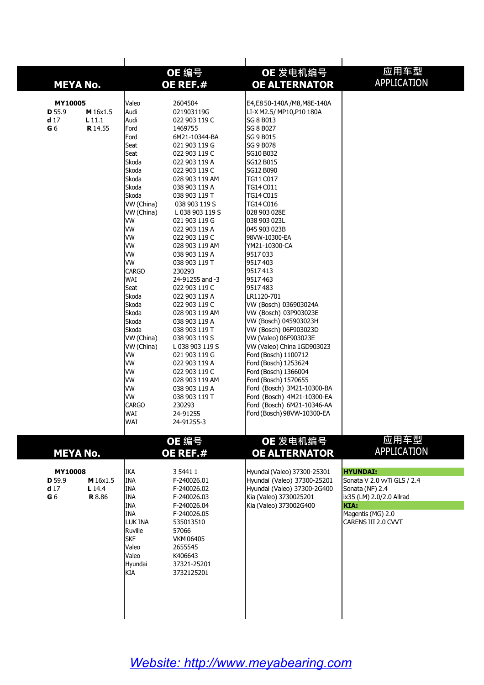| <b>MEYA No.</b>                                        |                                     | OE 编号<br>OE REF.#                                                                                                                                                                                                                                                                                                                                                                         |                                                                                                                                                                                                                                                                                                                                                                                                                                                                                                                                                                                                                                 | OE 发电机编号<br><b>OE ALTERNATOR</b>                                                                                                                                                                                                                                                                                                                                                                                                                                                                                                                                                                                                                                                                           | 应用车型<br><b>APPLICATION</b>                                                                                                                        |
|--------------------------------------------------------|-------------------------------------|-------------------------------------------------------------------------------------------------------------------------------------------------------------------------------------------------------------------------------------------------------------------------------------------------------------------------------------------------------------------------------------------|---------------------------------------------------------------------------------------------------------------------------------------------------------------------------------------------------------------------------------------------------------------------------------------------------------------------------------------------------------------------------------------------------------------------------------------------------------------------------------------------------------------------------------------------------------------------------------------------------------------------------------|------------------------------------------------------------------------------------------------------------------------------------------------------------------------------------------------------------------------------------------------------------------------------------------------------------------------------------------------------------------------------------------------------------------------------------------------------------------------------------------------------------------------------------------------------------------------------------------------------------------------------------------------------------------------------------------------------------|---------------------------------------------------------------------------------------------------------------------------------------------------|
| MY10005<br>D 55.9                                      | M 16x1.5                            | Valeo<br>2604504<br>Audi<br>021903119G                                                                                                                                                                                                                                                                                                                                                    |                                                                                                                                                                                                                                                                                                                                                                                                                                                                                                                                                                                                                                 | E4,E8 50-140A / M8, M8E-140A<br>LI-X M2.5/ MP10, P10 180A                                                                                                                                                                                                                                                                                                                                                                                                                                                                                                                                                                                                                                                  |                                                                                                                                                   |
| d <sub>17</sub><br>G <sub>6</sub>                      | L11.1<br>R 14.55                    | Audi<br>Ford<br>Ford<br>Seat<br>Seat<br>Skoda<br>Skoda<br>Skoda<br>Skoda<br>Skoda<br>WW (China)<br>W (China)<br><b>VW</b><br><b>VW</b><br><b>VW</b><br><b>VW</b><br><b>VW</b><br><b>VW</b><br>CARGO<br>WAI<br>Seat<br>Skoda<br>Skoda<br>Skoda<br>Skoda<br>Skoda<br>VW (China)<br>VW (China)<br><b>VW</b><br><b>VW</b><br><b>VW</b><br><b>VW</b><br>VW<br>VW<br><b>CARGO</b><br>WAI<br>WAI | 022 903 119 C<br>1469755<br>6M21-10344-BA<br>021 903 119 G<br>022 903 119 C<br>022 903 119 A<br>022 903 119 C<br>028 903 119 AM<br>038 903 119 A<br>038 903 119 T<br>038 903 119 S<br>L 038 903 119 S<br>021 903 119 G<br>022 903 119 A<br>022 903 119 C<br>028 903 119 AM<br>038 903 119 A<br>038 903 119 T<br>230293<br>24-91255 and -3<br>022 903 119 C<br>022 903 119 A<br>022 903 119 C<br>028 903 119 AM<br>038 903 119 A<br>038 903 119 T<br>038 903 119 S<br>L 038 903 119 S<br>021 903 119 G<br>022 903 119 A<br>022 903 119 C<br>028 903 119 AM<br>038 903 119 A<br>038 903 119 T<br>230293<br>24-91255<br>24-91255-3 | <b>SG 8 B013</b><br><b>SG 8 B027</b><br>SG 9 B015<br><b>SG 9 B078</b><br>SG10 B032<br>SG12 B015<br>SG12 B090<br>TG11 C017<br>TG14 C011<br>TG14 C015<br>TG14 C016<br>028 903 028E<br>038 903 023L<br>045 903 023B<br>98VW-10300-EA<br>YM21-10300-CA<br>9517033<br>9517403<br>9517413<br>9517463<br>9517483<br>LR1120-701<br>VW (Bosch) 036903024A<br>VW (Bosch) 03P903023E<br>VW (Bosch) 045903023H<br>VW (Bosch) 06F903023D<br>VW (Valeo) 06F903023E<br>VW (Valeo) China 1GD903023<br>Ford (Bosch) 1100712<br>Ford (Bosch) 1253624<br>Ford (Bosch) 1366004<br>Ford (Bosch) 1570655<br>Ford (Bosch) 3M21-10300-BA<br>Ford (Bosch) 4M21-10300-EA<br>Ford (Bosch) 6M21-10346-AA<br>Ford (Bosch) 98VW-10300-EA |                                                                                                                                                   |
| <b>MEYA No.</b>                                        |                                     |                                                                                                                                                                                                                                                                                                                                                                                           | OE 编号<br>OE REF.#                                                                                                                                                                                                                                                                                                                                                                                                                                                                                                                                                                                                               | OE 发电机编号<br><b>OE ALTERNATOR</b>                                                                                                                                                                                                                                                                                                                                                                                                                                                                                                                                                                                                                                                                           | 应用车型<br><b>APPLICATION</b>                                                                                                                        |
| MY10008<br>D 59.9<br>d <sub>17</sub><br>G <sub>6</sub> | M 16x1.5<br>L 14.4<br><b>R</b> 8.86 | <b>IKA</b><br><b>INA</b><br><b>INA</b><br><b>INA</b><br>INA<br>INA<br>LUK INA<br>Ruville<br><b>SKF</b><br>Valeo<br>Valeo<br>Hyundai<br>KIA                                                                                                                                                                                                                                                | 3 5 4 4 1 1<br>F-240026.01<br>F-240026.02<br>F-240026.03<br>F-240026.04<br>F-240026.05<br>535013510<br>57066<br>VKM 06405<br>2655545<br>K406643<br>37321-25201<br>3732125201                                                                                                                                                                                                                                                                                                                                                                                                                                                    | Hyundai (Valeo) 37300-25301<br>Hyundai (Valeo) 37300-25201<br>Hyundai (Valeo) 37300-2G400<br>Kia (Valeo) 3730025201<br>Kia (Valeo) 373002G400                                                                                                                                                                                                                                                                                                                                                                                                                                                                                                                                                              | <b>HYUNDAI:</b><br>Sonata V 2.0 vvTi GLS / 2.4<br>Sonata (NF) 2.4<br>ix35 (LM) 2.0/2.0 Allrad<br>KIA:<br>Magentis (MG) 2.0<br>CARENS III 2.0 CVVT |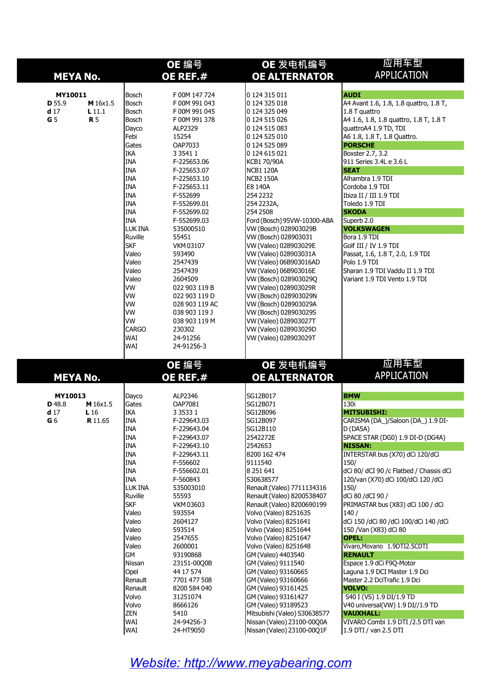| <b>MEYA No.</b><br>MY10011<br>M 16x1.5<br>D 55.9<br>d <sub>17</sub><br>$L$ 11.1 |                                        | OE 编号<br>OE REF.#                                                                                                                                                                                                                                                                                                                       |                                                                                                                                                                                                                                                                                                                                                                                                                 | OE 发电机编号<br><b>OE ALTERNATOR</b>                                                                                                                                                                                                                                                                                                                                                                                                                                                                                                                                                                                       | 应用车型<br><b>APPLICATION</b>                                                                                                                                                                                                                                                                                                                                                                                                                                                                                                                                                                                                                                                                                                                                |  |  |
|---------------------------------------------------------------------------------|----------------------------------------|-----------------------------------------------------------------------------------------------------------------------------------------------------------------------------------------------------------------------------------------------------------------------------------------------------------------------------------------|-----------------------------------------------------------------------------------------------------------------------------------------------------------------------------------------------------------------------------------------------------------------------------------------------------------------------------------------------------------------------------------------------------------------|------------------------------------------------------------------------------------------------------------------------------------------------------------------------------------------------------------------------------------------------------------------------------------------------------------------------------------------------------------------------------------------------------------------------------------------------------------------------------------------------------------------------------------------------------------------------------------------------------------------------|-----------------------------------------------------------------------------------------------------------------------------------------------------------------------------------------------------------------------------------------------------------------------------------------------------------------------------------------------------------------------------------------------------------------------------------------------------------------------------------------------------------------------------------------------------------------------------------------------------------------------------------------------------------------------------------------------------------------------------------------------------------|--|--|
|                                                                                 |                                        | Bosch<br>F 00M 147 724<br>Bosch<br>F00M991043                                                                                                                                                                                                                                                                                           |                                                                                                                                                                                                                                                                                                                                                                                                                 | 0 124 315 011<br>0 124 325 018                                                                                                                                                                                                                                                                                                                                                                                                                                                                                                                                                                                         | <b>AUDI</b><br>A4 Avant 1.6, 1.8, 1.8 quattro, 1.8 T,                                                                                                                                                                                                                                                                                                                                                                                                                                                                                                                                                                                                                                                                                                     |  |  |
| G <sub>5</sub>                                                                  | <b>R</b> 5                             | Bosch<br>Bosch<br>Dayco<br>Febi<br>Gates<br><b>IKA</b><br><b>INA</b><br><b>INA</b><br><b>INA</b><br><b>INA</b><br><b>INA</b><br><b>INA</b><br><b>INA</b><br><b>INA</b><br>LUK INA<br>Ruville<br><b>SKF</b><br>Valeo<br>Valeo<br>Valeo<br>Valeo<br><b>VW</b><br><b>VW</b><br><b>VW</b><br><b>VW</b><br>lvw<br><b>CARGO</b><br>WAI<br>WAI | F 00M 991 045<br>F 00M 991 378<br>ALP2329<br>15254<br>OAP7033<br>3 3 5 4 1 1<br>F-225653.06<br>F-225653.07<br>F-225653.10<br>F-225653.11<br>F-552699<br>F-552699.01<br>F-552699.02<br>F-552699.03<br>535000510<br>55451<br><b>VKM03107</b><br>593490<br>2547439<br>2547439<br>2604509<br>022 903 119 B<br>022 903 119 D<br>028 903 119 AC<br>038 903 119 J<br>038 903 119 M<br>230302<br>24-91256<br>24-91256-3 | 0 124 325 049<br>0 124 515 026<br>0 124 515 083<br>0 124 525 010<br>0 124 525 089<br>0 124 615 021<br>KCB1 70/90A<br><b>NCB1 120A</b><br><b>NCB2 150A</b><br>E8 140A<br>254 2232<br>254 2232A,<br>254 2508<br>Ford (Bosch) 95VW-10300-ABA<br>VW (Bosch) 028903029B<br>VW (Bosch) 028903031<br>VW (Valeo) 028903029E<br>VW (Valeo) 028903031A<br>VW (Valeo) 06B903016AD<br>VW (Valeo) 06B903016E<br>VW (Bosch) 028903029Q<br>VW (Valeo) 028903029R<br>VW (Bosch) 028903029N<br>VW (Bosch) 028903029A<br>VW (Bosch) 028903029S<br>VW (Valeo) 028903027T<br>VW (Valeo) 028903029D<br>VW (Valeo) 028903029T                | 1.8 T quattro<br>A4 1.6, 1.8, 1.8 quattro, 1.8 T, 1.8 T<br>quattroA4 1.9 TD, TDI<br>A6 1.8, 1.8 T, 1.8 Quattro.<br><b>PORSCHE</b><br>Boxster 2.7, 3.2<br>911 Series 3.4L e 3.6 L<br><b>SEAT</b><br>Alhambra 1.9 TDI<br>Cordoba 1.9 TDI<br>Ibiza II / III 1.9 TDI<br>Toledo 1.9 TDI<br><b>SKODA</b><br>Superb 2.0<br><b>VOLKSWAGEN</b><br>Bora 1.9 TDI<br>Golf III / IV 1.9 TDI<br>Passat, 1.6, 1.8 T, 2.0, 1.9 TDI<br>Polo 1.9 TDI<br>Sharan 1.9 TDI Vaddu II 1.9 TDI<br>Variant 1.9 TDI Vento 1.9 TDI                                                                                                                                                                                                                                                    |  |  |
|                                                                                 |                                        |                                                                                                                                                                                                                                                                                                                                         | OE 编号                                                                                                                                                                                                                                                                                                                                                                                                           | OE 发电机编号                                                                                                                                                                                                                                                                                                                                                                                                                                                                                                                                                                                                               | 应用车型<br><b>APPLICATION</b>                                                                                                                                                                                                                                                                                                                                                                                                                                                                                                                                                                                                                                                                                                                                |  |  |
| <b>MEYA No.</b>                                                                 |                                        |                                                                                                                                                                                                                                                                                                                                         | OE REF.#                                                                                                                                                                                                                                                                                                                                                                                                        | <b>OE ALTERNATOR</b>                                                                                                                                                                                                                                                                                                                                                                                                                                                                                                                                                                                                   |                                                                                                                                                                                                                                                                                                                                                                                                                                                                                                                                                                                                                                                                                                                                                           |  |  |
| MY10013<br>D 48.8<br>d <sub>17</sub><br>G 6                                     | M 16x1.5<br>$L_{16}$<br><b>R</b> 11.65 | Dayco<br>Gates<br><b>IKA</b><br><b>INA</b><br><b>INA</b><br><b>INA</b><br><b>INA</b><br><b>INA</b><br><b>INA</b><br><b>INA</b><br><b>INA</b><br>LUK INA<br>Ruville<br><b>SKF</b><br>Valeo<br>Valeo<br>Valeo<br>Valeo<br>Valeo<br>GM<br>Nissan<br>Opel<br>Renault<br>Renault<br>Volvo<br>Volvo<br><b>ZEN</b><br>WAI<br><b>WAI</b>        | ALP2346<br>OAP7081<br>3 3 5 3 3 1<br>F-229643.03<br>F-229643.04<br>F-229643.07<br>F-229643.10<br>F-229643.11<br>F-556602<br>F-556602.01<br>F-560843<br>535003010<br>55593<br><b>VKM 03603</b><br>593554<br>2604127<br>593514<br>2547655<br>2600001<br>93190868<br>23151-00Q0B<br>44 17 574<br>7701 477 508<br>8200 584 040<br>31251074<br>8666126<br>5410<br>24-94256-3<br>24-HT9050                            | SG12B017<br>SG12B071<br>SG12B096<br>SG12B097<br>SG12B110<br>2542272E<br>2542653<br>8200 162 474<br>9111540<br>8 251 641<br>S30638577<br>Renault (Valeo) 7711134316<br>Renault (Valeo) 8200538407<br>Renault (Valeo) 8200690199<br>Volvo (Valeo) 8251635<br>Volvo (Valeo) 8251641<br>Volvo (Valeo) 8251644<br>Volvo (Valeo) 8251647<br>Volvo (Valeo) 8251648<br>GM (Valeo) 4403540<br>GM (Valeo) 9111540<br>GM (Valeo) 93160665<br>GM (Valeo) 93160666<br>GM (Valeo) 93161425<br>GM (Valeo) 93161427<br>GM (Valeo) 93189523<br>Mitsubishi (Valeo) S30638577<br>Nissan (Valeo) 23100-00Q0A<br>Nissan (Valeo) 23100-00Q1F | <b>BMW</b><br>130i<br><b>MITSUBISHI:</b><br>CARISMA (DA_)/Saloon (DA_) 1.9 DI-<br>D(DA5A)<br>SPACE STAR (DG0) 1.9 DI-D (DG4A)<br><b>NISSAN:</b><br>INTERSTAR bus (X70) dCi 120/dCi<br>150/<br>dCi 80/ dCI 90 /c Flatbed / Chassis dCi<br>120/van (X70) dCi 100/dCi 120 /dCi<br>150/<br>dCi 80 /dCI 90 /<br>PRIMASTAR bus (X83) dCi 100 / dCi<br>140/<br>dCi 150 /dCi 80 /dCi 100/dCi 140 /dCi<br>150 / Van (X83) dCi 80<br><b>OPEL:</b><br>Vivaro, Movano 1.9DTI2.5CDTI<br><b>RENAULT</b><br>Espace 1.9 dCi F9Q-Motor<br>Laguna 1.9 DCI Master 1.9 Dci<br>Master 2.2 DciTrafic 1.9 Dci<br><b>VOLVO:</b><br>S40 I (VS) 1.9 DI/1.9 TD<br>V40 universal(VW) 1.9 DI//1.9 TD<br><b>VAUXHALL:</b><br>VIVARO Combi 1.9 DTI /2.5 DTI van<br>1.9 DTI / van 2.5 DTI |  |  |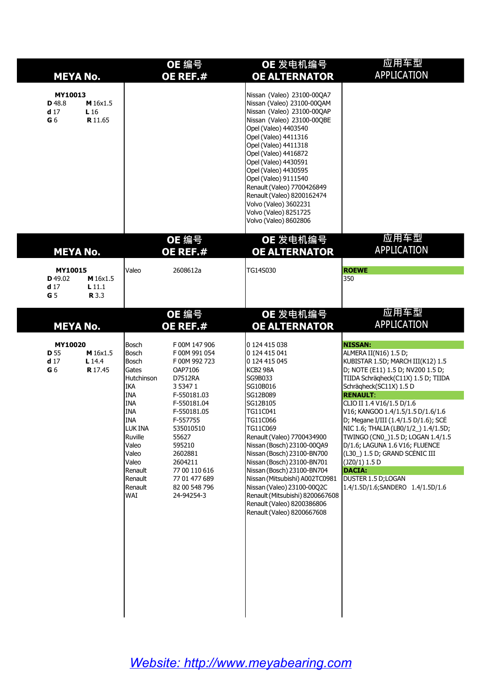| <b>MEYA No.</b>                                                                                       | OE 编号                                                                                                                                                                                                                                                                                                                                                                                                                                                                          | OE 发电机编号                                                                                                                                                                                                                                                                                                                                                                                                                                                                        | 应用车型                                                                                                                                                                                                                                                                                                                                                                                                                                                                                                                                                    |
|-------------------------------------------------------------------------------------------------------|--------------------------------------------------------------------------------------------------------------------------------------------------------------------------------------------------------------------------------------------------------------------------------------------------------------------------------------------------------------------------------------------------------------------------------------------------------------------------------|---------------------------------------------------------------------------------------------------------------------------------------------------------------------------------------------------------------------------------------------------------------------------------------------------------------------------------------------------------------------------------------------------------------------------------------------------------------------------------|---------------------------------------------------------------------------------------------------------------------------------------------------------------------------------------------------------------------------------------------------------------------------------------------------------------------------------------------------------------------------------------------------------------------------------------------------------------------------------------------------------------------------------------------------------|
|                                                                                                       | OE REF.#                                                                                                                                                                                                                                                                                                                                                                                                                                                                       | <b>OE ALTERNATOR</b>                                                                                                                                                                                                                                                                                                                                                                                                                                                            | <b>APPLICATION</b>                                                                                                                                                                                                                                                                                                                                                                                                                                                                                                                                      |
| MY10013<br>D 48.8<br>M 16x1.5<br>d <sub>17</sub><br>L16<br>G <sub>6</sub><br><b>R</b> 11.65           |                                                                                                                                                                                                                                                                                                                                                                                                                                                                                | Nissan (Valeo) 23100-00QA7<br>Nissan (Valeo) 23100-00QAM<br>Nissan (Valeo) 23100-00QAP<br>Nissan (Valeo) 23100-00QBE<br>Opel (Valeo) 4403540<br>Opel (Valeo) 4411316<br>Opel (Valeo) 4411318<br>Opel (Valeo) 4416872<br>Opel (Valeo) 4430591<br>Opel (Valeo) 4430595<br>Opel (Valeo) 9111540<br>Renault (Valeo) 7700426849<br>Renault (Valeo) 8200162474<br>Volvo (Valeo) 3602231<br>Volvo (Valeo) 8251725<br>Volvo (Valeo) 8602806                                             |                                                                                                                                                                                                                                                                                                                                                                                                                                                                                                                                                         |
| <b>MEYA No.</b>                                                                                       | OE 编号                                                                                                                                                                                                                                                                                                                                                                                                                                                                          | OE 发电机编号                                                                                                                                                                                                                                                                                                                                                                                                                                                                        | 应用车型                                                                                                                                                                                                                                                                                                                                                                                                                                                                                                                                                    |
|                                                                                                       | OE REF.#                                                                                                                                                                                                                                                                                                                                                                                                                                                                       | <b>OE ALTERNATOR</b>                                                                                                                                                                                                                                                                                                                                                                                                                                                            | <b>APPLICATION</b>                                                                                                                                                                                                                                                                                                                                                                                                                                                                                                                                      |
| MY10015<br>D 49.02<br>M 16x1.5<br>d <sub>17</sub><br>$\tt L 11.1$<br>G <sub>5</sub><br><b>R</b> 3.3   | Valeo<br>2608612a                                                                                                                                                                                                                                                                                                                                                                                                                                                              | TG14S030                                                                                                                                                                                                                                                                                                                                                                                                                                                                        | <b>ROEWE</b><br>350                                                                                                                                                                                                                                                                                                                                                                                                                                                                                                                                     |
| <b>MEYA No.</b>                                                                                       | OE 编号                                                                                                                                                                                                                                                                                                                                                                                                                                                                          | OE 发电机编号                                                                                                                                                                                                                                                                                                                                                                                                                                                                        | 应用车型                                                                                                                                                                                                                                                                                                                                                                                                                                                                                                                                                    |
|                                                                                                       | OE REF.#                                                                                                                                                                                                                                                                                                                                                                                                                                                                       | <b>OE ALTERNATOR</b>                                                                                                                                                                                                                                                                                                                                                                                                                                                            | <b>APPLICATION</b>                                                                                                                                                                                                                                                                                                                                                                                                                                                                                                                                      |
| MY10020<br><b>D</b> 55<br>M 16x1.5<br>d <sub>17</sub><br>$L$ 14.4<br>G <sub>6</sub><br><b>R</b> 17.45 | Bosch<br>F 00M 147 906<br>Bosch<br>F 00M 991 054<br>Bosch<br>F 00M 992 723<br>OAP7106<br>Gates<br>Hutchinson<br>D7512RA<br><b>IKA</b><br>3 5 3 4 7 1<br><b>INA</b><br>F-550181.03<br><b>INA</b><br>F-550181.04<br><b>INA</b><br>F-550181.05<br>INA<br>F-557755<br>LUK INA<br>535010510<br>Ruville<br>55627<br>Valeo<br>595210<br>Valeo<br>2602881<br>Valeo<br>2604211<br>Renault<br>77 00 110 616<br>Renault<br>77 01 477 689<br>Renault<br>82 00 548 796<br>WAI<br>24-94254-3 | 0 124 415 038<br>0 124 415 041<br>0 124 415 045<br>KCB <sub>2</sub> 98A<br>SG9B033<br>SG10B016<br>SG12B089<br>SG12B105<br>TG11C041<br>TG11C066<br>TG11C069<br>Renault (Valeo) 7700434900<br>Nissan (Bosch) 23100-00QA9<br>Nissan (Bosch) 23100-BN700<br>Nissan (Bosch) 23100-BN701<br>Nissan (Bosch) 23100-BN704<br>Nissan (Mitsubishi) A002TC0981<br>Nissan (Valeo) 23100-00Q2C<br>Renault (Mitsubishi) 8200667608<br>Renault (Valeo) 8200386806<br>Renault (Valeo) 8200667608 | <b>NISSAN:</b><br>ALMERA II(N16) 1.5 D;<br>KUBISTAR 1.5D; MARCH III(K12) 1.5<br>D; NOTE (E11) 1.5 D; NV200 1.5 D;<br>TIIDA Schräqheck(C11X) 1.5 D; TIIDA<br>Schrägheck(SC11X) 1.5 D<br><b>RENAULT:</b><br>CLIO II 1.4 V16/1.5 D/1.6<br>V16; KANGOO 1.4/1.5/1.5 D/1.6/1.6<br>D; Megane I/III (1.4/1.5 D/1.6); SCÉ<br>NIC 1.6; THALIA (LB0/1/2_) 1.4/1.5D;<br>TWINGO (CN0_)1.5 D; LOGAN 1.4/1.5<br>D/1.6; LAGUNA 1.6 V16; FLUENCE<br>(L30_) 1.5 D; GRAND SCÉNIC III<br>(JZ0/1) 1.5 D<br>DACIA:<br>DUSTER 1.5 D;LOGAN<br>1.4/1.5D/1.6;SANDERO 1.4/1.5D/1.6 |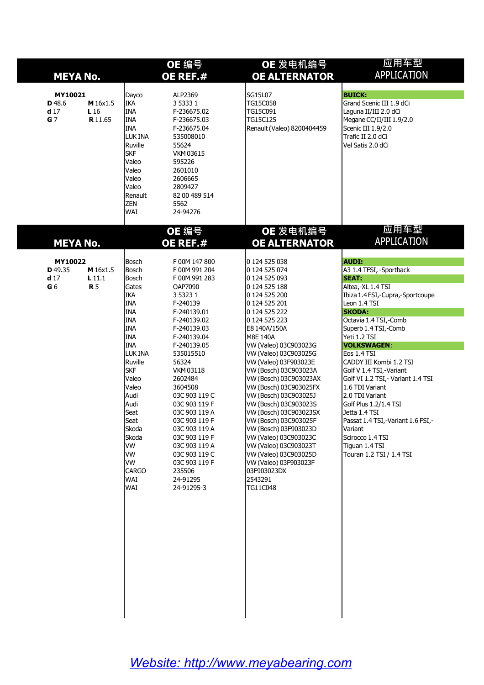| <b>MEYA No.</b>                                        |                                    | OE 编号<br>OE REF.#                                                                                                                                                                                                                                                      |                                                                                                                                                                                                                                                                                                                                                                                                                           | OE 发电机编号<br><b>OE ALTERNATOR</b>                                                                                                                                                                                                                                                                                                                                                                                                                                                                                                                                                                 | 应用车型<br><b>APPLICATION</b>                                                                                                                                                                                                                                                                                                                                                                                                                                                                                                                            |  |
|--------------------------------------------------------|------------------------------------|------------------------------------------------------------------------------------------------------------------------------------------------------------------------------------------------------------------------------------------------------------------------|---------------------------------------------------------------------------------------------------------------------------------------------------------------------------------------------------------------------------------------------------------------------------------------------------------------------------------------------------------------------------------------------------------------------------|--------------------------------------------------------------------------------------------------------------------------------------------------------------------------------------------------------------------------------------------------------------------------------------------------------------------------------------------------------------------------------------------------------------------------------------------------------------------------------------------------------------------------------------------------------------------------------------------------|-------------------------------------------------------------------------------------------------------------------------------------------------------------------------------------------------------------------------------------------------------------------------------------------------------------------------------------------------------------------------------------------------------------------------------------------------------------------------------------------------------------------------------------------------------|--|
| MY10021<br>D 48.6<br>d <sub>17</sub><br>G <sub>7</sub> | M 16x1.5<br>L16<br><b>R</b> 11.65  | Dayco<br><b>IKA</b><br><b>INA</b><br>IINA<br><b>INA</b><br>LUK INA<br>Ruville<br><b>SKF</b><br>Valeo<br>Valeo<br>Valeo<br>Valeo<br>Renault<br><b>ZEN</b><br><b>WAI</b>                                                                                                 | ALP2369<br>3 5 3 3 3 1<br>F-236675.02<br>F-236675.03<br>F-236675.04<br>535008010<br>55624<br><b>VKM03615</b><br>595226<br>2601010<br>2606665<br>2809427<br>82 00 489 514<br>5562<br>24-94276                                                                                                                                                                                                                              | SG15L07<br>TG15C058<br>TG15C091<br>TG15C125<br>Renault (Valeo) 8200404459                                                                                                                                                                                                                                                                                                                                                                                                                                                                                                                        | <b>BUICK:</b><br>Grand Scenic III 1.9 dCi<br>Laguna II/III 2.0 dCi<br>Megane CC/II/III 1.9/2.0<br>Scenic III 1.9/2.0<br>Trafic II 2.0 dCi<br>Vel Satis 2.0 dCi                                                                                                                                                                                                                                                                                                                                                                                        |  |
| <b>MEYA No.</b>                                        |                                    |                                                                                                                                                                                                                                                                        | OE 编号<br>OE REF.#                                                                                                                                                                                                                                                                                                                                                                                                         | OE 发电机编号<br><b>OE ALTERNATOR</b>                                                                                                                                                                                                                                                                                                                                                                                                                                                                                                                                                                 | 应用车型<br><b>APPLICATION</b>                                                                                                                                                                                                                                                                                                                                                                                                                                                                                                                            |  |
| MY10022<br>D 49.35<br>d <sub>17</sub><br>${\bf G}$ 6   | M 16x1.5<br>$L$ 11.1<br><b>R</b> 5 | Bosch<br>Bosch<br>Bosch<br>Gates<br><b>IKA</b><br><b>INA</b><br>INA<br>INA<br>INA<br>INA<br>INA<br>LUK INA<br>Ruville<br>SKF<br>Valeo<br>Valeo<br>Audi<br>Audi<br>Seat<br>Seat<br>Skoda<br>Skoda<br><b>VW</b><br><b>VW</b><br><b>Ivw</b><br><b>CARGO</b><br>WAI<br>WAI | F 00M 147 800<br>F 00M 991 204<br>F00M991283<br>OAP7090<br>3 5 3 2 3 1<br>F-240139<br>F-240139.01<br>F-240139.02<br>F-240139.03<br>F-240139.04<br>F-240139.05<br>535015510<br>56324<br><b>VKM03118</b><br>2602484<br>3604508<br>03C 903 119 C<br>03C 903 119 F<br>03C 903 119 A<br>03C 903 119 F<br>03C 903 119 A<br>03C 903 119 F<br>03C 903 119 A<br>03C 903 119 C<br>03C 903 119 F<br>235506<br>24-91295<br>24-91295-3 | 0 124 525 038<br>0 124 525 074<br>0 124 525 093<br>0 124 525 188<br>0 124 525 200<br>0 124 525 201<br>0 124 525 222<br>0 124 525 223<br>E8 140A/150A<br>M8E 140A<br>VW (Valeo) 03C903023G<br>VW (Valeo) 03C903025G<br>VW (Valeo) 03F903023E<br>VW (Bosch) 03C903023A<br>VW (Bosch) 03C903023AX<br>VW (Bosch) 03C903025FX<br>VW (Bosch) 03C903025J<br>VW (Bosch) 03C903023S<br>VW (Bosch) 03C903023SX<br>VW (Bosch) 03C903025F<br>VW (Bosch) 03F903023D<br>VW (Valeo) 03C903023C<br>VW (Valeo) 03C903023T<br>VW (Valeo) 03C903025D<br>VW (Valeo) 03F903023F<br>03F903023DX<br>2543291<br>TG11C048 | <b>AUDI:</b><br>A3 1.4 TFSI, -Sportback<br><b>SEAT:</b><br>Altea,-XL 1.4 TSI<br>Ibiza 1.4 FSI,-Cupra,-Sportcoupe<br>Leon 1.4 TSI<br><b>SKODA:</b><br>Octavia 1.4 TSI,-Comb<br>Superb 1.4 TSI,-Comb<br>Yeti 1.2 TSI<br><b>VOLKSWAGEN:</b><br>Eos 1.4 TSI<br>CADDY III Kombi 1.2 TSI<br>Golf V 1.4 TSI,-Variant<br>Golf VI 1.2 TSI, - Variant 1.4 TSI<br>1.6 TDI Variant<br>2.0 TDI Variant<br>Golf Plus 1.2/1.4 TSI<br>Jetta 1.4 TSI<br>Passat 1.4 TSI,-Variant 1.6 FSI,-<br>Variant<br>Scirocco 1.4 TSI<br>Tiguan 1.4 TSI<br>Touran 1.2 TSI / 1.4 TSI |  |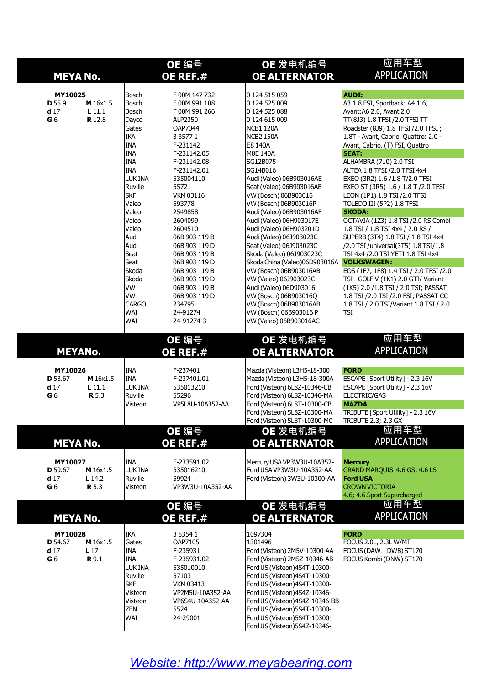| <b>MEYA No.</b><br>MY10025<br>D 55.9<br>M 16x1.5<br>d <sub>17</sub><br>$L$ 11.1<br>G <sub>6</sub><br><b>R</b> 12.8 |                                                         | OE 编号<br>OE REF.#                                                                                                                                                                                                                                                                                                                                                                                                                                                                                                                                                                                                                                                                               |                                                                                                                                                  | OE 发电机编号<br><b>OE ALTERNATOR</b>                                                                                                                                                                                                                                                                                                                                                                                                                                                                                                                                                                                                                          | 应用车型<br><b>APPLICATION</b>                                                                                                                                                                                                                                                                                                                                                                                                                                                                                                                                                                                                                                                                                                                                                                                                                                                                                            |  |  |
|--------------------------------------------------------------------------------------------------------------------|---------------------------------------------------------|-------------------------------------------------------------------------------------------------------------------------------------------------------------------------------------------------------------------------------------------------------------------------------------------------------------------------------------------------------------------------------------------------------------------------------------------------------------------------------------------------------------------------------------------------------------------------------------------------------------------------------------------------------------------------------------------------|--------------------------------------------------------------------------------------------------------------------------------------------------|-----------------------------------------------------------------------------------------------------------------------------------------------------------------------------------------------------------------------------------------------------------------------------------------------------------------------------------------------------------------------------------------------------------------------------------------------------------------------------------------------------------------------------------------------------------------------------------------------------------------------------------------------------------|-----------------------------------------------------------------------------------------------------------------------------------------------------------------------------------------------------------------------------------------------------------------------------------------------------------------------------------------------------------------------------------------------------------------------------------------------------------------------------------------------------------------------------------------------------------------------------------------------------------------------------------------------------------------------------------------------------------------------------------------------------------------------------------------------------------------------------------------------------------------------------------------------------------------------|--|--|
|                                                                                                                    |                                                         | Bosch<br>F 00M 147 732<br>Bosch<br>F 00M 991 108<br>Bosch<br>F 00M 991 266<br>ALP2350<br>Dayco<br>Gates<br>OAP7044<br><b>IKA</b><br>3 3 5 7 7 1<br><b>INA</b><br>F-231142<br><b>INA</b><br>F-231142.05<br><b>INA</b><br>F-231142.08<br><b>INA</b><br>F-231142.01<br>LUK INA<br>535004110<br>Ruville<br>55721<br><b>SKF</b><br>VKM 03116<br>593778<br>Valeo<br>Valeo<br>2549858<br>2604099<br>Valeo<br>Valeo<br>2604510<br>Audi<br>06B 903 119 B<br>Audi<br>06B 903 119 D<br>Seat<br>06B 903 119 B<br>Seat<br>06B 903 119 D<br>Skoda<br>06B 903 119 B<br><b>Skoda</b><br>06B 903 119 D<br> vw<br>06B 903 119 B<br><b>VW</b><br>06B 903 119 D<br><b>CARGO</b><br>234795<br><b>WAI</b><br>24-91274 |                                                                                                                                                  | 0 124 515 059<br>0 124 525 009<br>0 124 525 088<br>0 124 615 009<br><b>NCB1 120A</b><br><b>NCB2 150A</b><br>E8 140A<br>M8E 140A<br>SG12B075<br>SG14B016<br>Audi (Valeo) 06B903016AE<br>Seat (Valeo) 06B903016AE<br>VW (Bosch) 06B903016<br>VW (Bosch) 06B903016P<br>Audi (Valeo) 06B903016AF<br>Audi (Valeo) 06H903017E<br>Audi (Valeo) 06H903201D<br>Audi (Valeo) 06J903023C<br>Seat (Valeo) 06J903023C<br>Skoda (Valeo) 06J903023C<br>Skoda China (Valeo)06D903016A<br>VW (Bosch) 06B903016AB<br>VW (Valeo) 06J903023C<br>Audi (Valeo) 06D903016<br>VW (Bosch) 06B903016Q<br>VW (Bosch) 06B903016AB<br>VW (Bosch) 06B903016 P<br>VW (Valeo) 06B903016AC | <b>AUDI:</b><br>A3 1.8 FSI, Sportback: A4 1.6,<br>Avant: A6 2.0, Avant 2.0<br>TT(8J3) 1.8 TFSI /2.0 TFSI TT<br>Roadster (8J9) 1.8 TFSI / 2.0 TFSI ;<br>1.8T - Avant, Cabrio, Quattro: 2.0 -<br>Avant, Cabrio, (T) FSI, Quattro<br><b>SEAT:</b><br>ALHAMBRA (710) 2.0 TSI<br>ALTEA 1.8 TFSI / 2.0 TFSI 4x4<br>EXEO (3R2) 1.6 / 1.8 T/2.0 TFSI<br>EXEO ST (3R5) 1.6 / 1.8 T / 2.0 TFSI<br>LEON (1P1) 1.8 TSI / 2.0 TFSI<br>TOLEDO III (5P2) 1.8 TFSI<br><b>SKODA:</b><br>OCTAVIA (1Z3) 1.8 TSI / 2.0 RS Combi<br>1.8 TSI / 1.8 TSI 4x4 / 2.0 RS /<br>SUPERB (3T4) 1.8 TSI / 1.8 TSI 4x4<br>/2.0 TSI /universal(3T5) 1.8 TSI/1.8<br>TSI 4x4 / 2.0 TSI YETI 1.8 TSI 4x4<br><b>VOLKSWAGEN:</b><br>EOS (1F7, 1F8) 1.4 TSI / 2.0 TFSI / 2.0<br>TSI GOLF V (1K1) 2.0 GTI/ Variant<br>(1K5) 2.0 / 1.8 TSI / 2.0 TSI; PASSAT<br>1.8 TSI / 2.0 TSI / 2.0 FSI; PASSAT CC<br>1.8 TSI / 2.0 TSI/Variant 1.8 TSI / 2.0<br><b>TSI</b> |  |  |
|                                                                                                                    |                                                         |                                                                                                                                                                                                                                                                                                                                                                                                                                                                                                                                                                                                                                                                                                 | OE 编号                                                                                                                                            | OE 发电机编号                                                                                                                                                                                                                                                                                                                                                                                                                                                                                                                                                                                                                                                  | 应用车型<br><b>APPLICATION</b>                                                                                                                                                                                                                                                                                                                                                                                                                                                                                                                                                                                                                                                                                                                                                                                                                                                                                            |  |  |
| MY10026<br>D 53.67<br>d <sub>17</sub><br>G <sub>6</sub>                                                            | <b>MEYANo.</b><br>M 16x1.5<br>$L$ 11.1<br><b>R</b> 5.3  | <b>INA</b><br><b>INA</b><br>LUK INA<br>Ruville<br>Visteon                                                                                                                                                                                                                                                                                                                                                                                                                                                                                                                                                                                                                                       | OE REF.#<br>F-237401<br>F-237401.01<br>535013210<br>55296<br>VP5L8U-10A352-AA<br>OE 编号                                                           | <b>OE ALTERNATOR</b><br>Mazda (Visteon) L3H5-18-300<br>Mazda (Visteon) L3H5-18-300A<br>Ford (Visteon) 6L8Z-10346-CB<br>Ford (Visteon) 6L8Z-10346-MA<br>Ford (Visteon) 6L8T-10300-CB<br>Ford (Visteon) 5L8Z-10300-MA<br>Ford (Visteon) 5L8T-10300-MC<br>OE 发电机编号                                                                                                                                                                                                                                                                                                                                                                                           | <b>FORD</b><br><b>ESCAPE [Sport Utility] - 2.3 16V</b><br>ESCAPE [Sport Utility] - 2.3 16V<br>ELECTRIC/GAS<br><b>MAZDA</b><br>TRIBUTE [Sport Utility] - 2.3 16V<br><b>TRIBUTE 2.3; 2.3 GX</b><br>应用车型<br><b>APPLICATION</b>                                                                                                                                                                                                                                                                                                                                                                                                                                                                                                                                                                                                                                                                                           |  |  |
| MY10027<br>D 59.67<br>d <sub>17</sub><br>G <sub>6</sub>                                                            | <b>MEYA No.</b><br>M 16x1.5<br>$L$ 14.2<br><b>R</b> 5.3 | <b>INA</b><br>LUK INA<br>Ruville<br>Visteon                                                                                                                                                                                                                                                                                                                                                                                                                                                                                                                                                                                                                                                     | OE REF.#<br>F-233591.02<br>535016210<br>59924<br>VP3W3U-10A352-AA                                                                                | <b>OE ALTERNATOR</b><br>Mercury USA VP3W3U-10A352-<br>Ford USA VP3W3U-10A352-AA<br>Ford (Visteon) 3W3U-10300-AA                                                                                                                                                                                                                                                                                                                                                                                                                                                                                                                                           | <b>Mercury</b><br>GRAND MARQUIS 4.6 GS; 4.6 LS<br><b>Ford USA</b><br><b>CROWN VICTORIA</b><br>4.6; 4.6 Sport Supercharged                                                                                                                                                                                                                                                                                                                                                                                                                                                                                                                                                                                                                                                                                                                                                                                             |  |  |
|                                                                                                                    | <b>MEYA No.</b>                                         |                                                                                                                                                                                                                                                                                                                                                                                                                                                                                                                                                                                                                                                                                                 | OE 编号<br>OE REF.#                                                                                                                                | OE 发电机编号<br><b>OE ALTERNATOR</b>                                                                                                                                                                                                                                                                                                                                                                                                                                                                                                                                                                                                                          | 应用车型<br><b>APPLICATION</b>                                                                                                                                                                                                                                                                                                                                                                                                                                                                                                                                                                                                                                                                                                                                                                                                                                                                                            |  |  |
| MY10028<br>D 54.67<br>d <sub>17</sub><br>G <sub>6</sub>                                                            | M 16x1.5<br>L <sub>17</sub><br><b>R</b> 9.1             | <b>IKA</b><br>Gates<br><b>INA</b><br><b>INA</b><br><b>LUK INA</b><br>Ruville<br><b>SKF</b><br>Visteon<br>Visteon<br><b>ZEN</b><br>WAI                                                                                                                                                                                                                                                                                                                                                                                                                                                                                                                                                           | 3 5 3 5 4 1<br>OAP7105<br>F-235931<br>F-235931.02<br>535010010<br>57103<br>VKM 03413<br>VP2M5U-10A352-AA<br>VP6S4U-10A352-AA<br>5524<br>24-29001 | 1097304<br>1301496<br>Ford (Visteon) 2M5V-10300-AA<br>Ford (Visteon) 2M5Z-10346-AB<br>Ford US (Visteon) 4S4T-10300-<br>Ford US (Visteon) 4S4T-10300-<br>Ford US (Visteon) 4S4T-10300-<br>Ford US (Visteon) 4S4Z-10346-<br>Ford US (Visteon) 4S4Z-10346-BB<br>Ford US (Visteon) 5S4T-10300-<br>Ford US (Visteon) 5S4T-10300-<br>Ford US (Visteon) 5S4Z-10346-                                                                                                                                                                                                                                                                                              | <b>FORD</b><br>FOCUS 2.0L, 2.3L W/MT<br>FOCUS (DAW, DWB) ST170<br>FOCUS Kombi (DNW) ST170                                                                                                                                                                                                                                                                                                                                                                                                                                                                                                                                                                                                                                                                                                                                                                                                                             |  |  |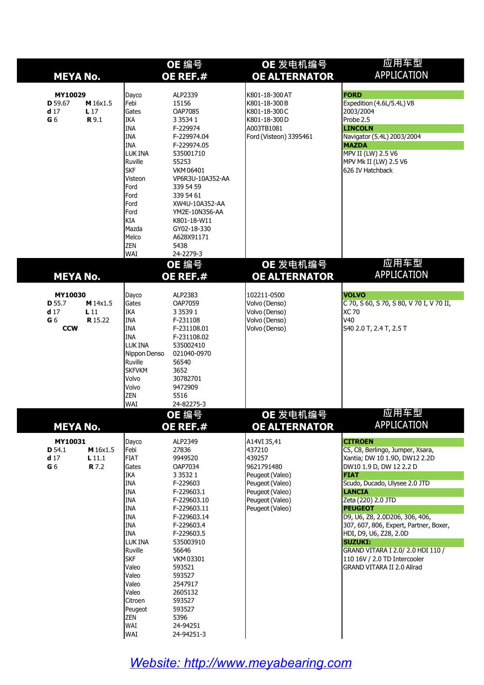| <b>MEYA No.</b><br>MY10029<br>D 59.67<br>M 16x1.5<br>d <sub>17</sub><br>L <sub>17</sub><br>G 6<br>R 9.1 |                                               | OE 编号<br>OE REF.#                                                                                                                                                                                                                                   |                                                                                                                                                                                                                                                                                   | OE 发电机编号<br><b>OE ALTERNATOR</b>                                                                                                             | 应用车型<br><b>APPLICATION</b>                                                                                                                                                                                                                                                                                                                                                                                                                         |
|---------------------------------------------------------------------------------------------------------|-----------------------------------------------|-----------------------------------------------------------------------------------------------------------------------------------------------------------------------------------------------------------------------------------------------------|-----------------------------------------------------------------------------------------------------------------------------------------------------------------------------------------------------------------------------------------------------------------------------------|----------------------------------------------------------------------------------------------------------------------------------------------|----------------------------------------------------------------------------------------------------------------------------------------------------------------------------------------------------------------------------------------------------------------------------------------------------------------------------------------------------------------------------------------------------------------------------------------------------|
|                                                                                                         |                                               | Dayco<br>Febi<br>Gates<br>IKA<br><b>INA</b><br><b>INA</b><br><b>INA</b><br>LUK INA<br>Ruville<br><b>SKF</b><br>Visteon<br>Ford<br>Ford<br><b>IFord</b><br>Ford<br>KIA<br>Mazda<br>Melco<br>ZEN<br><b>WAI</b>                                        | ALP2339<br>15156<br><b>OAP7085</b><br>3 3 5 3 4 1<br>F-229974<br>F-229974.04<br>F-229974.05<br>535001710<br>55253<br>VKM 06401<br>VP6R3U-10A352-AA<br>339 54 59<br>339 54 61<br>XW4U-10A352-AA<br>YM2E-10N356-AA<br>K801-18-W11<br>GY02-18-330<br>A628X91171<br>5438<br>24-2279-3 | K801-18-300 AT<br>K801-18-300 B<br>K801-18-300 C<br>K801-18-300 D<br>A003TB1081<br>Ford (Visteon) 3395461                                    | <b>FORD</b><br>Expedition (4.6L/5.4L) V8<br>2003/2004<br>Probe 2.5<br><b>LINCOLN</b><br>Navigator (5.4L) 2003/2004<br><b>MAZDA</b><br>MPV II (LW) 2.5 V6<br>MPV Mk II (LW) 2.5 V6<br>626 IV Hatchback                                                                                                                                                                                                                                              |
| <b>MEYA No.</b>                                                                                         |                                               |                                                                                                                                                                                                                                                     | OE 编号<br>OE REF.#                                                                                                                                                                                                                                                                 | OE 发电机编号<br><b>OE ALTERNATOR</b>                                                                                                             | 应用车型<br><b>APPLICATION</b>                                                                                                                                                                                                                                                                                                                                                                                                                         |
| <b>MY10030</b><br>D 55.7<br>d <sub>17</sub><br>G <sub>6</sub><br><b>CCW</b>                             | M 14x1.5<br>L <sub>11</sub><br><b>R</b> 15.22 | Dayco<br>Gates<br><b>IKA</b><br><b>INA</b><br><b>INA</b><br><b>INA</b><br>LUK INA<br>Nippon Denso<br>Ruville<br><b>SKFVKM</b><br>Volvo<br>Volvo<br>ZEN<br>WAI                                                                                       | ALP2383<br>OAP7059<br>3 3 5 3 9 1<br>F-231108<br>F-231108.01<br>F-231108.02<br>535002410<br>021040-0970<br>56540<br>3652<br>30782701<br>9472909<br>5516<br>24-82275-3                                                                                                             | 102211-0500<br>Volvo (Denso)<br>Volvo (Denso)<br>Volvo (Denso)<br>Volvo (Denso)                                                              | <b>VOLVO</b><br>C 70, S 60, S 70, S 80, V 70 I, V 70 II,<br><b>XC 70</b><br>V40<br>S40 2.0 T, 2.4 T, 2.5 T                                                                                                                                                                                                                                                                                                                                         |
| <b>MEYA No.</b>                                                                                         |                                               |                                                                                                                                                                                                                                                     | OE 编号<br>OE REF.#                                                                                                                                                                                                                                                                 | OE 发电机编号<br><b>OE ALTERNATOR</b>                                                                                                             | 应用车型<br><b>APPLICATION</b>                                                                                                                                                                                                                                                                                                                                                                                                                         |
| MY10031<br>D 54.1<br>d <sub>17</sub><br>G <sub>6</sub>                                                  | M 16x1.5<br>$L$ 11.1<br><b>R</b> 7.2          | Dayco<br>Febi<br>FIAT<br>Gates<br><b>IKA</b><br>INA<br><b>INA</b><br><b>INA</b><br><b>INA</b><br><b>INA</b><br><b>INA</b><br><b>INA</b><br>LUK INA<br>Ruville<br><b>SKF</b><br>Valeo<br>Valeo<br>Valeo<br>Valeo<br>Citroen<br>Peugeot<br><b>ZEN</b> | ALP2349<br>27836<br>9949520<br>OAP7034<br>3 3 5 3 2 1<br>F-229603<br>F-229603.1<br>F-229603.10<br>F-229603.11<br>F-229603.14<br>F-229603.4<br>F-229603.5<br>535003910<br>56646<br>VKM 03301<br>593521<br>593527<br>2547917<br>2605132<br>593527<br>593527<br>5396                 | A14VI 35,41<br>437210<br>439257<br>9621791480<br>Peugeot (Valeo)<br>Peugeot (Valeo)<br>Peugeot (Valeo)<br>Peugeot (Valeo)<br>Peugeot (Valeo) | <b>CITROEN</b><br>C5, C8, Berlingo, Jumper, Xsara,<br>Xantia; DW 10 1.9D, DW12 2.2D<br>DW10 1.9 D, DW 12 2.2 D<br><b>FIAT</b><br>Scudo, Ducado, Ulysee 2.0 JTD<br><b>LANCIA</b><br>Zeta (220) 2.0 JTD<br><b>PEUGEOT</b><br>D9, U6, Z8, 2.0D206, 306, 406,<br>307, 607, 806, Expert, Partner, Boxer,<br>HDI, D9, U6, Z28, 2.0D<br><b>SUZUKI:</b><br>GRAND VITARA I 2.0/ 2.0 HDI 110 /<br>110 16V / 2.0 TD Intercooler<br>GRAND VITARA II 2.0 Allrad |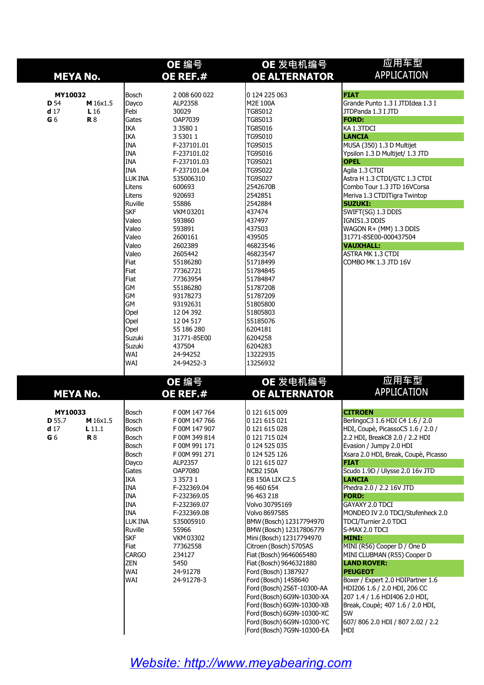|                           | <b>MEYA No.</b>      |                              | OE 编号<br>OE REF.#              | OE 发电机编号<br><b>OE ALTERNATOR</b>                         | 应用车型<br><b>APPLICATION</b>                                           |
|---------------------------|----------------------|------------------------------|--------------------------------|----------------------------------------------------------|----------------------------------------------------------------------|
| MY10032                   |                      | 2 008 600 022<br>Bosch       |                                | 0 124 225 063                                            | <b>FIAT</b>                                                          |
| <b>D</b> 54               | M 16x1.5             | Dayco                        | ALP2358                        | M2E 100A                                                 | Grande Punto 1.3 I JTDIdea 1.3 I                                     |
| d <sub>17</sub>           | $L_{16}$             | Febi                         | 30029                          | TG8S012                                                  | JTDPanda 1.3 I JTD                                                   |
| G <sub>6</sub>            | <b>R</b> 8           | Gates                        | OAP7039                        | <b>TG8S013</b>                                           | <b>FORD:</b>                                                         |
|                           |                      | <b>IKA</b><br><b>IKA</b>     | 3 3 5 8 0 1<br>3 5 3 0 1 1     | <b>TG8S016</b><br><b>TG9S010</b>                         | KA 1.3TDCI<br><b>LANCIA</b>                                          |
|                           |                      | <b>INA</b>                   | F-237101.01                    | TG9S015                                                  | MUSA (350) 1.3 D Multijet                                            |
|                           |                      | <b>INA</b>                   | F-237101.02                    | TG9S016                                                  | Ypsilon 1.3 D Multijet/ 1.3 JTD                                      |
|                           |                      | <b>INA</b>                   | F-237101.03                    | TG9S021                                                  | <b>OPEL</b>                                                          |
|                           |                      | IINA<br><b>ILUK INA</b>      | F-237101.04                    | TG9S022                                                  | Agila 1.3 CTDI                                                       |
|                           |                      | Litens                       | 535006310<br>600693            | TG9S027<br>2542670B                                      | Astra H 1.3 CTDI/GTC 1.3 CTDI<br>Combo Tour 1.3 JTD 16VCorsa         |
|                           |                      | Litens                       | 920693                         | 2542851                                                  | Meriva 1.3 CTDITigra Twintop                                         |
|                           |                      | Ruville                      | 55886                          | 2542884                                                  | <b>SUZUKI:</b>                                                       |
|                           |                      | <b>SKF</b>                   | <b>VKM03201</b>                | 437474                                                   | SWIFT(SG) 1.3 DDIS                                                   |
|                           |                      | <b>Valeo</b><br><b>Valeo</b> | 593860<br>593891               | 437497<br>437503                                         | IGNIS1.3 DDIS<br>WAGON R+ (MM) 1.3 DDIS                              |
|                           |                      | <b>Valeo</b>                 | 2600161                        | 439505                                                   | 31771-85E00-000437504                                                |
|                           |                      | <b>Valeo</b>                 | 2602389                        | 46823546                                                 | <b>VAUXHALL:</b>                                                     |
|                           |                      | <b>Valeo</b>                 | 2605442                        | 46823547                                                 | ASTRA MK 1.3 CTDI                                                    |
|                           |                      | <b>IFiat</b><br><b>Fiat</b>  | 55186280<br>77362721           | 51718499<br>51784845                                     | COMBO MK 1.3 JTD 16V                                                 |
|                           |                      | Fiat                         | 77363954                       | 51784847                                                 |                                                                      |
|                           |                      | GM                           | 55186280                       | 51787208                                                 |                                                                      |
|                           |                      | GM                           | 93178273                       | 51787209                                                 |                                                                      |
|                           |                      | GM<br>Opel                   | 93192631<br>12 04 392          | 51805800<br>51805803                                     |                                                                      |
|                           |                      | Opel                         | 12 04 517                      | 55185076                                                 |                                                                      |
|                           |                      | Opel                         | 55 186 280                     | 6204181                                                  |                                                                      |
|                           |                      | Suzuki                       | 31771-85E00                    | 6204258                                                  |                                                                      |
|                           |                      | Suzuki<br>WAI                | 437504<br>24-94252             | 6204283<br>13222935                                      |                                                                      |
|                           |                      | WAI                          | 24-94252-3                     | 13256932                                                 |                                                                      |
|                           |                      |                              | OE 编号                          | OE 发电机编号                                                 | 应用车型                                                                 |
|                           | <b>MEYA No.</b>      |                              | OE REF.#                       | <b>OE ALTERNATOR</b>                                     | <b>APPLICATION</b>                                                   |
|                           |                      |                              |                                |                                                          |                                                                      |
| MY10033                   |                      | Bosch                        | F 00M 147 764                  | 0 121 615 009                                            | <b>CITROEN</b>                                                       |
| D 55.7<br>d <sub>17</sub> | M 16x1.5<br>$L$ 11.1 | Bosch<br>Bosch               | F 00M 147 766<br>F 00M 147 907 | 0 121 615 021<br>0 121 615 028                           | BerlingoC3 1.6 HDI C4 1.6 / 2.0<br>HDI, Coupè, PicassoC5 1.6 / 2.0 / |
| G <sub>6</sub>            | <b>R</b> 8           | Bosch                        | F 00M 349 814                  | 0 121 715 024                                            | 2.2 HDI, BreakC8 2.0 / 2.2 HDI                                       |
|                           |                      | Bosch                        | F00M991171                     | 0 124 525 035                                            | Evasion / Jumpy 2.0 HDI                                              |
|                           |                      | Bosch                        | F 00M 991 271                  | 0 124 525 126                                            | Xsara 2.0 HDI, Break, Coupè, Picasso                                 |
|                           |                      | Dayco                        | ALP2357                        | 0 121 615 027                                            | <b>FIAT</b>                                                          |
|                           |                      | Gates<br><b>IKA</b>          | <b>OAP7080</b><br>3 3 5 7 3 1  | <b>NCB2 150A</b><br>E8 150A LIX C2.5                     | Scudo 1.9D / Ulysse 2.0 16v JTD<br><b>LANCIA</b>                     |
|                           |                      | <b>INA</b>                   | F-232369.04                    | 96 460 654                                               | Phedra 2.0 / 2.2 16V JTD                                             |
|                           |                      | <b>INA</b>                   | F-232369.05                    | 96 463 218                                               | <b>FORD:</b>                                                         |
|                           |                      | <b>INA</b>                   | F-232369.07                    | Volvo 30795169                                           | <b>GAYAXY 2.0 TDCI</b>                                               |
|                           |                      | <b>INA</b>                   | F-232369.08                    | Volvo 8697585                                            | MONDEO IV 2.0 TDCI/Stufenheck 2.0                                    |
|                           |                      | LUK INA<br>Ruville           | 535005910<br>55966             | BMW (Bosch) 12317794970<br>BMW (Bosch) 12317806779       | TDCI/Turnier 2.0 TDCI<br>S-MAX 2.0 TDCI                              |
|                           |                      | <b>SKF</b>                   | <b>VKM 03302</b>               | Mini (Bosch) 12317794970                                 | <b>MINI:</b>                                                         |
|                           |                      | Fiat                         | 77362558                       | Citroen (Bosch) 5705AS                                   | MINI (R56) Cooper D / One D                                          |
|                           |                      | CARGO                        | 234127                         | Fiat (Bosch) 9646065480                                  | MINI CLUBMAN (R55) Cooper D                                          |
|                           |                      | <b>ZEN</b>                   | 5450                           | Fiat (Bosch) 9646321880                                  | <b>LAND ROVER:</b>                                                   |
|                           |                      |                              | 24-91278                       | Ford (Bosch) 1387927                                     | <b>PEUGEOT</b>                                                       |
|                           |                      | WAI                          |                                |                                                          |                                                                      |
|                           |                      | WAI                          | 24-91278-3                     | Ford (Bosch) 1458640                                     | Boxer / Expert 2.0 HDIPartner 1.6                                    |
|                           |                      |                              |                                | Ford (Bosch) 2S6T-10300-AA<br>Ford (Bosch) 6G9N-10300-XA | HDI206 1.6 / 2.0 HDI, 206 CC<br>207 1.4 / 1.6 HDI406 2.0 HDI,        |
|                           |                      |                              |                                | Ford (Bosch) 6G9N-10300-XB                               | Break, Coupè; 407 1.6 / 2.0 HDI,                                     |
|                           |                      |                              |                                | Ford (Bosch) 6G9N-10300-XC                               | lsw                                                                  |
|                           |                      |                              |                                | Ford (Bosch) 6G9N-10300-YC<br>Ford (Bosch) 7G9N-10300-EA | 607/806 2.0 HDI / 807 2.02 / 2.2<br>HDI                              |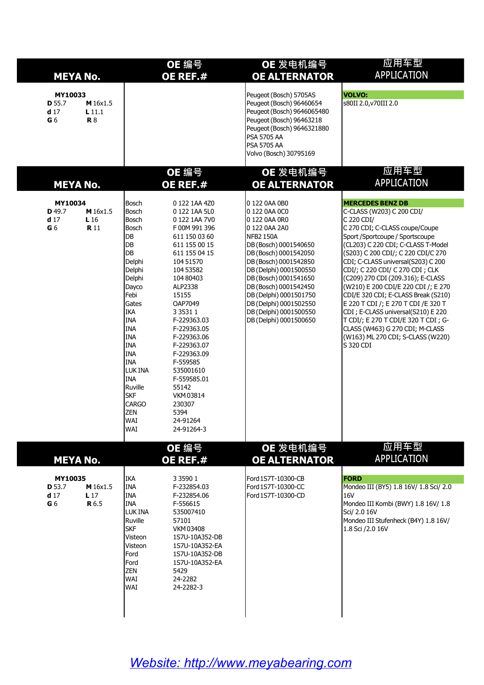|                                                        | <b>MEYA No.</b>                      |                                                                                                                                                                                                                                                                                                                          | OE 编号<br>OE REF.#                                                                                                                                                                                                                                                                                                                                                                                   | OE 发电机编号<br><b>OE ALTERNATOR</b>                                                                                                                                                                                                                                                                                                                    | 应用车型<br><b>APPLICATION</b>                                                                                                                                                                                                                                                                                                                                                                                                                                                                                                                                                                                                 |
|--------------------------------------------------------|--------------------------------------|--------------------------------------------------------------------------------------------------------------------------------------------------------------------------------------------------------------------------------------------------------------------------------------------------------------------------|-----------------------------------------------------------------------------------------------------------------------------------------------------------------------------------------------------------------------------------------------------------------------------------------------------------------------------------------------------------------------------------------------------|-----------------------------------------------------------------------------------------------------------------------------------------------------------------------------------------------------------------------------------------------------------------------------------------------------------------------------------------------------|----------------------------------------------------------------------------------------------------------------------------------------------------------------------------------------------------------------------------------------------------------------------------------------------------------------------------------------------------------------------------------------------------------------------------------------------------------------------------------------------------------------------------------------------------------------------------------------------------------------------------|
| MY10033<br>D 55.7<br>d <sub>17</sub><br>G <sub>6</sub> | M 16x1.5<br>$L$ 11.1<br><b>R</b> 8   |                                                                                                                                                                                                                                                                                                                          |                                                                                                                                                                                                                                                                                                                                                                                                     | Peugeot (Bosch) 5705AS<br>Peugeot (Bosch) 96460654<br>Peugeot (Bosch) 9646065480<br>Peugeot (Bosch) 96463218<br>Peugeot (Bosch) 9646321880<br><b>PSA 5705 AA</b><br><b>PSA 5705 AA</b><br>Volvo (Bosch) 30795169                                                                                                                                    | <b>VOLVO:</b><br>s80II 2.0, v70III 2.0                                                                                                                                                                                                                                                                                                                                                                                                                                                                                                                                                                                     |
|                                                        | <b>MEYA No.</b>                      |                                                                                                                                                                                                                                                                                                                          | OE 编号<br>OE REF.#                                                                                                                                                                                                                                                                                                                                                                                   | OE 发电机编号<br><b>OE ALTERNATOR</b>                                                                                                                                                                                                                                                                                                                    | 应用车型<br><b>APPLICATION</b>                                                                                                                                                                                                                                                                                                                                                                                                                                                                                                                                                                                                 |
| MY10034<br>D 49.7<br>d <sub>17</sub><br>G <sub>6</sub> | M 16x1.5<br>L16<br><b>R</b> 11       | Bosch<br>Bosch<br>Bosch<br>Bosch<br>DB<br>DB<br><b>DB</b><br>Delphi<br>Delphi<br>Delphi<br>Dayco<br>Febi<br>Gates<br><b>IKA</b><br><b>INA</b><br><b>INA</b><br><b>INA</b><br><b>INA</b><br><b>INA</b><br><b>INA</b><br>LUK INA<br><b>INA</b><br>Ruville<br><b>SKF</b><br>CARGO<br><b>ZEN</b><br><b>WAI</b><br><b>WAI</b> | 0 122 1AA 4Z0<br>0 122 1AA 5L0<br>0 122 1AA 7V0<br>F 00M 991 396<br>611 150 03 60<br>611 155 00 15<br>611 155 04 15<br>104 51570<br>104 53582<br>104 80403<br>ALP2338<br>15155<br>OAP7049<br>3 3 5 3 1 1<br>F-229363.03<br>F-229363.05<br>F-229363.06<br>F-229363.07<br>F-229363.09<br>F-559585<br>535001610<br>F-559585.01<br>55142<br><b>VKM03814</b><br>230307<br>5394<br>24-91264<br>24-91264-3 | 0 122 0AA 0B0<br>0 122 0AA 0C0<br>0 122 0AA 0R0<br>0 122 0AA 2A0<br><b>NFB2 150A</b><br>DB (Bosch) 0001540650<br>DB (Bosch) 0001542050<br>DB (Bosch) 0001542850<br>DB (Delphi) 0001500550<br>DB (Bosch) 0001541650<br>DB (Bosch) 0001542450<br>DB (Delphi) 0001501750<br>DB (Delphi) 0001502550<br>DB (Delphi) 0001500550<br>DB (Delphi) 0001500650 | <b>MERCEDES BENZ DB</b><br>C-CLASS (W203) C 200 CDI/<br>$C$ 220 CDI/<br>C 270 CDI; C-CLASS coupe/Coupe<br>Sport /Sportcoupe / Sportscoupe<br>(CL203) C 220 CDI; C-CLASS T-Model<br>(S203) C 200 CDI/; C 220 CDI/C 270<br>CDI; C-CLASS universal(S203) C 200<br>CDI/; C 220 CDI/ C 270 CDI; CLK<br>(C209) 270 CDI (209.316); E-CLASS<br>(W210) E 200 CDI/E 220 CDI /; E 270<br>CDI/E 320 CDI; E-CLASS Break (S210)<br>E 220 T CDI /; E 270 T CDI /E 320 T<br>CDI; E-CLASS universal(S210) E 220<br>T CDI/; E 270 T CDI/E 320 T CDI; G-<br>CLASS (W463) G 270 CDI; M-CLASS<br>(W163) ML 270 CDI; S-CLASS (W220)<br>S 320 CDI |
|                                                        | <b>MEYA No.</b>                      |                                                                                                                                                                                                                                                                                                                          | OE 编号<br>OE REF.#                                                                                                                                                                                                                                                                                                                                                                                   | OE 发电机编号<br><b>OE ALTERNATOR</b>                                                                                                                                                                                                                                                                                                                    | 应用车型<br><b>APPLICATION</b>                                                                                                                                                                                                                                                                                                                                                                                                                                                                                                                                                                                                 |
| MY10035<br>D 53.7<br>d <sub>17</sub><br>G <sub>6</sub> | M 16x1.5<br>L <sub>17</sub><br>R 6.5 | <b>IKA</b><br><b>INA</b><br><b>INA</b><br><b>INA</b><br>LUK INA<br>Ruville<br><b>SKF</b><br>Visteon<br>Visteon<br>Ford<br>Ford<br><b>ZEN</b><br><b>WAI</b><br><b>WAI</b>                                                                                                                                                 | 3 3 5 9 0 1<br>F-232854.03<br>F-232854.06<br>F-556615<br>535007410<br>57101<br><b>VKM 03408</b><br>1S7U-10A352-DB<br>1S7U-10A352-EA<br>1S7U-10A352-DB<br>1S7U-10A352-EA<br>5429<br>24-2282<br>24-2282-3                                                                                                                                                                                             | Ford 1S7T-10300-CB<br>Ford 1S7T-10300-CC<br>Ford 1S7T-10300-CD                                                                                                                                                                                                                                                                                      | <b>FORD</b><br>Mondeo III (BY5) 1.8 16V/ 1.8 Sci/ 2.0<br>16V<br>Mondeo III Kombi (BWY) 1.8 16V/ 1.8<br>Sci/ 2.0 16V<br>Mondeo III Stufenheck (B4Y) 1.8 16V/<br>1.8 Sci / 2.0 16V                                                                                                                                                                                                                                                                                                                                                                                                                                           |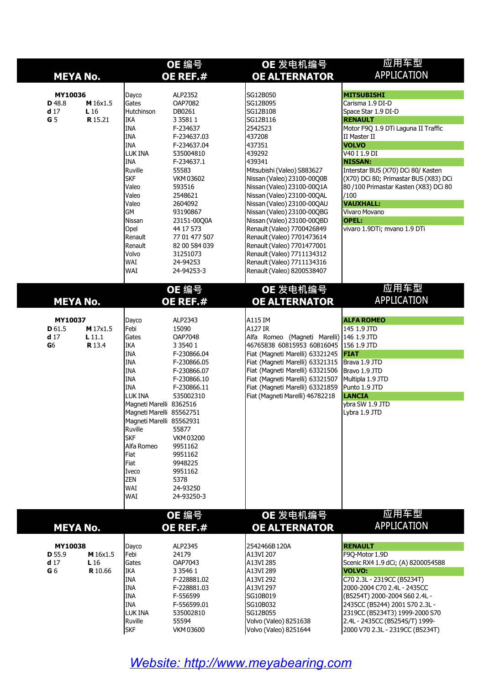| MY10036<br>ALP2352<br>SG12B050<br><b>MITSUBISHI</b><br>Dayco<br>M 16x1.5<br><b>OAP7082</b><br>SG12B095<br>D 48.8<br>Gates<br>Carisma 1.9 DI-D<br>Hutchinson<br>d <sub>17</sub><br>DB0261<br>SG12B108<br>Space Star 1.9 DI-D<br>L16<br>G <sub>5</sub><br><b>RENAULT</b><br><b>R</b> 15.21<br>IKA<br>3 3 5 8 1 1<br>SG12B116<br><b>INA</b><br>Motor F9Q 1.9 DTi Laguna II Traffic<br>2542523<br>F-234637<br><b>INA</b><br>437208<br>II Master II<br>F-234637.03<br>437351<br><b>VOLVO</b><br>IINA<br>F-234637.04<br>439292<br>LUK INA<br>535004810<br>V <sub>40</sub> I 1.9 DI<br>439341<br><b>INA</b><br>F-234637.1<br><b>NISSAN:</b><br>Interstar BUS (X70) DCi 80/ Kasten<br>Ruville<br>Mitsubishi (Valeo) S883627<br>55583<br><b>SKF</b><br>Nissan (Valeo) 23100-00Q0B<br><b>VKM03602</b><br>Valeo<br>Nissan (Valeo) 23100-00Q1A<br>593516<br>/100<br>Valeo<br>Nissan (Valeo) 23100-00QAL<br>2548621<br><b>VAUXHALL:</b><br><b>Valeo</b><br>2604092<br>Nissan (Valeo) 23100-00QAU<br><b>GM</b><br>93190867<br>Vivaro Movano<br>Nissan (Valeo) 23100-00QBG<br>Nissan (Valeo) 23100-00QBD<br><b>OPEL:</b><br>Nissan<br>23151-00Q0A<br>Opel<br>44 17 573<br>Renault (Valeo) 7700426849<br>vivaro 1.9DTi; mvano 1.9 DTi<br>Renault<br>77 01 477 507<br>Renault (Valeo) 7701473614<br>Renault<br>82 00 584 039<br>Renault (Valeo) 7701477001<br>Volvo<br>31251073<br>Renault (Valeo) 7711134312<br><b>WAI</b><br>24-94253<br>Renault (Valeo) 7711134316<br><b>WAI</b><br>Renault (Valeo) 8200538407<br>24-94253-3<br>应用车型<br>OE 编号<br>OE 发电机编号<br><b>APPLICATION</b><br><b>MEYA No.</b><br>OE REF.#<br><b>OE ALTERNATOR</b><br>A115 IM<br>MY10037<br>Dayco<br>ALP2343<br><b>ALFA ROMEO</b><br>A127 IR<br>Febi<br>15090<br>145 1.9 JTD<br>D 61.5<br>M 17x1.5<br>Gates<br>OAP7048<br>Alfa Romeo (Magneti Marelli) 146 1.9 JTD<br>d <sub>17</sub><br>L11.1<br><b>R</b> 13.4<br><b>IKA</b><br>${\bf G6}$<br>3 3 5 4 0 1<br>46765838 60815953 60816045 156 1.9 JTD<br><b>INA</b><br>Fiat (Magneti Marelli) 63321245   FIAT<br>F-230866.04<br><b>INA</b><br>Fiat (Magneti Marelli) 63321315 Brava 1.9 JTD<br>F-230866.05<br>Fiat (Magneti Marelli) 63321506   Bravo 1.9 JTD<br><b>INA</b><br>F-230866.07<br><b>INA</b><br>Fiat (Magneti Marelli) 63321507<br>F-230866.10<br>Multipla 1.9 JTD<br><b>INA</b><br>Fiat (Magneti Marelli) 63321859<br>F-230866.11<br>Punto 1.9 JTD<br>LUK INA<br>535002310<br><b>LANCIA</b><br>Fiat (Magneti Marelli) 46782218<br>Magneti Marelli 8362516<br>ybra SW 1.9 JTD<br>Magneti Marelli 85562751<br>Lybra 1.9 JTD<br>Magneti Marelli 85562931<br>Ruville<br>55877<br><b>SKF</b><br><b>VKM03200</b><br>Alfa Romeo<br>9951162<br>9951162<br>Fiat<br>Fiat<br>9948225<br>9951162<br>Iveco<br><b>ZEN</b><br>5378<br><b>WAI</b><br>24-93250<br>WAI<br>24-93250-3<br>应用车型<br>OE 发电机编号<br>OE 编号<br><b>APPLICATION</b><br><b>MEYA No.</b><br>OE REF.#<br><b>OE ALTERNATOR</b> | <b>MEYA No.</b> | OE 编号<br>OE REF.# |  | OE 发电机编号<br><b>OE ALTERNATOR</b> | 应用车型<br><b>APPLICATION</b>                                                      |  |  |
|------------------------------------------------------------------------------------------------------------------------------------------------------------------------------------------------------------------------------------------------------------------------------------------------------------------------------------------------------------------------------------------------------------------------------------------------------------------------------------------------------------------------------------------------------------------------------------------------------------------------------------------------------------------------------------------------------------------------------------------------------------------------------------------------------------------------------------------------------------------------------------------------------------------------------------------------------------------------------------------------------------------------------------------------------------------------------------------------------------------------------------------------------------------------------------------------------------------------------------------------------------------------------------------------------------------------------------------------------------------------------------------------------------------------------------------------------------------------------------------------------------------------------------------------------------------------------------------------------------------------------------------------------------------------------------------------------------------------------------------------------------------------------------------------------------------------------------------------------------------------------------------------------------------------------------------------------------------------------------------------------------------------------------------------------------------------------------------------------------------------------------------------------------------------------------------------------------------------------------------------------------------------------------------------------------------------------------------------------------------------------------------------------------------------------------------------------------------------------------------------------------------------------------------------------------------------------------------------------------------------------------------------------------------------------------------------------------------------------------------------------------------------------------------------------------------------------------------------------------------------------------------------|-----------------|-------------------|--|----------------------------------|---------------------------------------------------------------------------------|--|--|
|                                                                                                                                                                                                                                                                                                                                                                                                                                                                                                                                                                                                                                                                                                                                                                                                                                                                                                                                                                                                                                                                                                                                                                                                                                                                                                                                                                                                                                                                                                                                                                                                                                                                                                                                                                                                                                                                                                                                                                                                                                                                                                                                                                                                                                                                                                                                                                                                                                                                                                                                                                                                                                                                                                                                                                                                                                                                                                |                 |                   |  |                                  | (X70) DCi 80; Primastar BUS (X83) DCi<br>80 / 100 Primastar Kasten (X83) DCi 80 |  |  |
|                                                                                                                                                                                                                                                                                                                                                                                                                                                                                                                                                                                                                                                                                                                                                                                                                                                                                                                                                                                                                                                                                                                                                                                                                                                                                                                                                                                                                                                                                                                                                                                                                                                                                                                                                                                                                                                                                                                                                                                                                                                                                                                                                                                                                                                                                                                                                                                                                                                                                                                                                                                                                                                                                                                                                                                                                                                                                                |                 |                   |  |                                  |                                                                                 |  |  |
|                                                                                                                                                                                                                                                                                                                                                                                                                                                                                                                                                                                                                                                                                                                                                                                                                                                                                                                                                                                                                                                                                                                                                                                                                                                                                                                                                                                                                                                                                                                                                                                                                                                                                                                                                                                                                                                                                                                                                                                                                                                                                                                                                                                                                                                                                                                                                                                                                                                                                                                                                                                                                                                                                                                                                                                                                                                                                                |                 |                   |  |                                  |                                                                                 |  |  |
|                                                                                                                                                                                                                                                                                                                                                                                                                                                                                                                                                                                                                                                                                                                                                                                                                                                                                                                                                                                                                                                                                                                                                                                                                                                                                                                                                                                                                                                                                                                                                                                                                                                                                                                                                                                                                                                                                                                                                                                                                                                                                                                                                                                                                                                                                                                                                                                                                                                                                                                                                                                                                                                                                                                                                                                                                                                                                                |                 |                   |  |                                  |                                                                                 |  |  |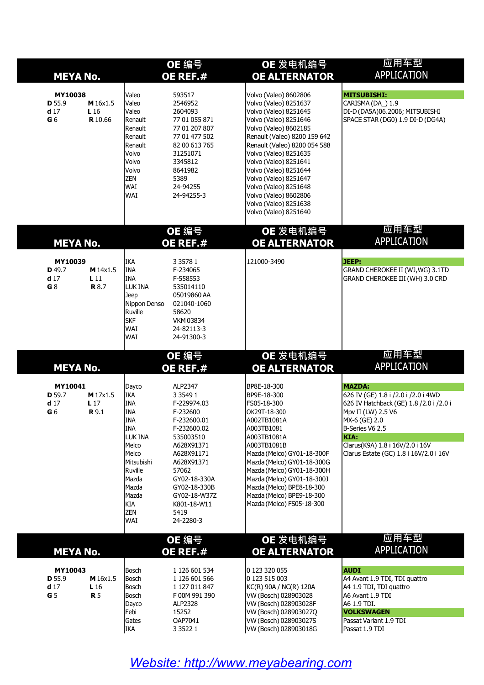| <b>MEYA No.</b>                                        |                                               | OE 编号<br>OE REF.#                                                                                                                                                                 |                                                                                                                                                                                                                                     | OE 发电机编号<br><b>OE ALTERNATOR</b>                                                                                                                                                                                                                                                                                                                                                                  | 应用车型<br><b>APPLICATION</b>                                                                                                                                                                                                                       |  |  |
|--------------------------------------------------------|-----------------------------------------------|-----------------------------------------------------------------------------------------------------------------------------------------------------------------------------------|-------------------------------------------------------------------------------------------------------------------------------------------------------------------------------------------------------------------------------------|---------------------------------------------------------------------------------------------------------------------------------------------------------------------------------------------------------------------------------------------------------------------------------------------------------------------------------------------------------------------------------------------------|--------------------------------------------------------------------------------------------------------------------------------------------------------------------------------------------------------------------------------------------------|--|--|
| MY10038<br>D 55.9<br>d <sub>17</sub><br>G <sub>6</sub> | M 16x1.5<br>L <sub>16</sub><br><b>R</b> 10.66 | <b>Valeo</b><br>Valeo<br>Valeo<br>Renault<br>Renault<br>Renault<br>Renault<br>Volvo<br>Volvo<br>Volvo<br><b>ZEN</b><br>WAI<br>WAI                                                 | 593517<br>2546952<br>2604093<br>77 01 055 871<br>77 01 207 807<br>77 01 477 502<br>82 00 613 765<br>31251071<br>3345812<br>8641982<br>5389<br>24-94255<br>24-94255-3                                                                | Volvo (Valeo) 8602806<br>Volvo (Valeo) 8251637<br>Volvo (Valeo) 8251645<br>Volvo (Valeo) 8251646<br>Volvo (Valeo) 8602185<br>Renault (Valeo) 8200 159 642<br>Renault (Valeo) 8200 054 588<br>Volvo (Valeo) 8251635<br>Volvo (Valeo) 8251641<br>Volvo (Valeo) 8251644<br>Volvo (Valeo) 8251647<br>Volvo (Valeo) 8251648<br>Volvo (Valeo) 8602806<br>Volvo (Valeo) 8251638<br>Volvo (Valeo) 8251640 | <b>MITSUBISHI:</b><br>CARISMA (DA_) 1.9<br>DI-D (DA5A)06.2006; MITSUBISHI<br>SPACE STAR (DG0) 1.9 DI-D (DG4A)<br>应用车型                                                                                                                            |  |  |
| <b>MEYA No.</b>                                        |                                               |                                                                                                                                                                                   | OE 编号<br>OE REF.#                                                                                                                                                                                                                   | OE 发电机编号<br><b>OE ALTERNATOR</b>                                                                                                                                                                                                                                                                                                                                                                  | <b>APPLICATION</b>                                                                                                                                                                                                                               |  |  |
| MY10039<br>D 49.7<br>d <sub>17</sub><br>G 8            | M 14x1.5<br>L 11<br><b>R</b> 8.7              | <b>IKA</b><br><b>INA</b><br><b>INA</b><br>LUK INA<br>Jeep<br>Nippon Denso<br>Ruville<br><b>SKF</b><br>WAI<br>WAI                                                                  | 3 3 5 7 8 1<br>F-234065<br>F-558553<br>535014110<br>05019860 AA<br>021040-1060<br>58620<br>VKM 03834<br>24-82113-3<br>24-91300-3                                                                                                    | 121000-3490                                                                                                                                                                                                                                                                                                                                                                                       | JEEP:<br>GRAND CHEROKEE II (WJ, WG) 3.1TD<br>GRAND CHEROKEE III (WH) 3.0 CRD                                                                                                                                                                     |  |  |
| <b>MEYA No.</b>                                        |                                               |                                                                                                                                                                                   | OE 编号<br>OE REF.#                                                                                                                                                                                                                   | OE 发电机编号<br><b>OE ALTERNATOR</b>                                                                                                                                                                                                                                                                                                                                                                  | 应用车型<br><b>APPLICATION</b>                                                                                                                                                                                                                       |  |  |
| MY10041<br>D 59.7<br>d <sub>17</sub><br>G <sub>6</sub> | M 17x1.5<br>L <sub>17</sub><br><b>R</b> 9.1   | Dayco<br><b>IKA</b><br><b>INA</b><br><b>INA</b><br><b>INA</b><br><b>INA</b><br>LUK INA<br>Melco<br>Melco<br>Mitsubishi<br>Ruville<br>Mazda<br>Mazda<br>Mazda<br>KIA<br>ZEN<br>WAI | ALP2347<br>3 3 5 4 9 1<br>F-229974.03<br>F-232600<br>F-232600.01<br>F-232600.02<br>535003510<br>A628X91371<br>A628X91171<br>A628X91371<br>57062<br>GY02-18-330A<br>GY02-18-330B<br>GY02-18-W37Z<br>K801-18-W11<br>5419<br>24-2280-3 | BP8E-18-300<br>BP9E-18-300<br>FS05-18-300<br>OK29T-18-300<br>A002TB1081A<br>A003TB1081<br>A003TB1081A<br>A003TB1081B<br>Mazda (Melco) GY01-18-300F<br>Mazda (Melco) GY01-18-300G<br>Mazda (Melco) GY01-18-300H<br>Mazda (Melco) GY01-18-300J<br>Mazda (Melco) BPE8-18-300<br>Mazda (Melco) BPE9-18-300<br>Mazda (Melco) FS05-18-300                                                               | <b>MAZDA:</b><br>626 IV (GE) 1.8 i /2.0 i /2.0 i 4WD<br>626 IV Hatchback (GE) 1.8 / 2.0 i / 2.0 i<br>Mpv II (LW) 2.5 V6<br>MX-6 (GE) 2.0<br>B-Series V6 2.5<br>KIA:<br>Clarus(K9A) 1.8 i 16V/2.0 i 16V<br>Clarus Estate (GC) 1.8 i 16V/2.0 i 16V |  |  |
| <b>MEYA No.</b>                                        |                                               |                                                                                                                                                                                   | OE 编号<br>OE REF.#                                                                                                                                                                                                                   | OE 发电机编号<br><b>OE ALTERNATOR</b>                                                                                                                                                                                                                                                                                                                                                                  | 应用车型<br><b>APPLICATION</b>                                                                                                                                                                                                                       |  |  |
| MY10043<br>D 55.9<br>d <sub>17</sub><br>G <sub>5</sub> | M 16x1.5<br>L16<br><b>R</b> 5                 | Bosch<br>Bosch<br>Bosch<br>Bosch<br>Dayco<br>Febi<br>Gates<br><b>IKA</b>                                                                                                          | 1 126 601 534<br>1 126 601 566<br>1 127 011 847<br>F 00M 991 390<br>ALP2328<br>15252<br>OAP7041<br>3 3 5 2 2 1                                                                                                                      | 0 123 320 055<br>0 123 515 003<br>KC(R) 90A / NC(R) 120A<br>VW (Bosch) 028903028<br>VW (Bosch) 028903028F<br>VW (Bosch) 028903027Q<br>VW (Bosch) 028903027S<br>VW (Bosch) 028903018G                                                                                                                                                                                                              | <b>AUDI</b><br>A4 Avant 1.9 TDI, TDI quattro<br>A4 1.9 TDI, TDI quattro<br>A6 Avant 1.9 TDI<br>A6 1.9 TDI.<br><b>VOLKSWAGEN</b><br>Passat Variant 1.9 TDI<br>Passat 1.9 TDI                                                                      |  |  |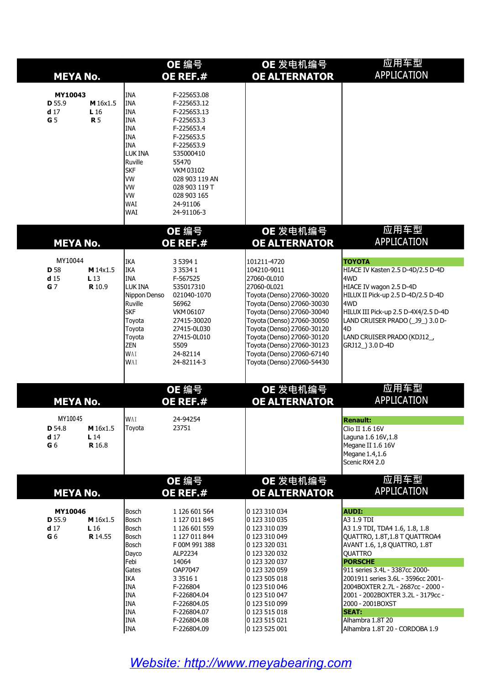| <b>MEYA No.</b>                                        |                                              | OE 编号<br>OE REF.#                                                                                                                                                                       |                                                                                                                                                                                                                        | OE 发电机编号<br><b>OE ALTERNATOR</b>                                                                                                                                                                                                                                                                                                       | 应用车型<br><b>APPLICATION</b>                                                                                                                                                                                                                                                                                                                                                                                     |  |
|--------------------------------------------------------|----------------------------------------------|-----------------------------------------------------------------------------------------------------------------------------------------------------------------------------------------|------------------------------------------------------------------------------------------------------------------------------------------------------------------------------------------------------------------------|----------------------------------------------------------------------------------------------------------------------------------------------------------------------------------------------------------------------------------------------------------------------------------------------------------------------------------------|----------------------------------------------------------------------------------------------------------------------------------------------------------------------------------------------------------------------------------------------------------------------------------------------------------------------------------------------------------------------------------------------------------------|--|
| MY10043<br>D 55.9<br>d <sub>17</sub><br>G <sub>5</sub> | M 16x1.5<br>L <sub>16</sub><br><b>R</b> 5    | <b>INA</b><br>INA<br><b>INA</b><br><b>INA</b><br><b>INA</b><br><b>INA</b><br><b>INA</b><br>LUK INA<br>Ruville<br><b>SKF</b><br><b>VW</b><br><b>VW</b><br><b>VW</b><br><b>WAI</b><br>WAI | F-225653.08<br>F-225653.12<br>F-225653.13<br>F-225653.3<br>F-225653.4<br>F-225653.5<br>F-225653.9<br>535000410<br>55470<br>VKM 03102<br>028 903 119 AN<br>028 903 119 T<br>028 903 165<br>24-91106<br>24-91106-3       |                                                                                                                                                                                                                                                                                                                                        |                                                                                                                                                                                                                                                                                                                                                                                                                |  |
| <b>MEYA No.</b>                                        |                                              |                                                                                                                                                                                         | OE 编号<br>OE REF.#                                                                                                                                                                                                      | OE 发电机编号<br><b>OE ALTERNATOR</b>                                                                                                                                                                                                                                                                                                       | 应用车型<br><b>APPLICATION</b>                                                                                                                                                                                                                                                                                                                                                                                     |  |
| MY10044<br>D 58<br>d <sub>15</sub><br>$G$ 7            | M 14x1.5<br>L 13<br><b>R</b> 10.9            | IKA<br><b>IKA</b><br><b>INA</b><br>LUK INA<br>Nippon Denso<br>Ruville<br><b>SKF</b><br>Toyota<br>Toyota<br>Toyota<br><b>ZEN</b><br>WAI<br>WAI                                           | 3 5 3 9 4 1<br>3 3 5 3 4 1<br>F-567525<br>535017310<br>021040-1070<br>56962<br>VKM 06107<br>27415-30020<br>27415-0L030<br>27415-0L010<br>5509<br>24-82114<br>24-82114-3                                                | 101211-4720<br>104210-9011<br>27060-0L010<br>27060-0L021<br>Toyota (Denso) 27060-30020<br>Toyota (Denso) 27060-30030<br>Toyota (Denso) 27060-30040<br>Toyota (Denso) 27060-30050<br>Toyota (Denso) 27060-30120<br>Toyota (Denso) 27060-30120<br>Toyota (Denso) 27060-30123<br>Toyota (Denso) 27060-67140<br>Toyota (Denso) 27060-54430 | ΙΤΟΥΟΤΑ<br>HIACE IV Kasten 2.5 D-4D/2.5 D-4D<br>4WD<br>HIACE IV wagon 2.5 D-4D<br>HILUX II Pick-up 2.5 D-4D/2.5 D-4D<br>4WD<br>HILUX III Pick-up 2.5 D-4X4/2.5 D-4D<br>LAND CRUISER PRADO (_J9_) 3.0 D-<br>4D<br>LAND CRUISER PRADO (KDJ12_,<br>GRJ12_) 3.0 D-4D                                                                                                                                               |  |
| <b>MEYA No.</b>                                        |                                              |                                                                                                                                                                                         | OE 编号<br>OE REF.#                                                                                                                                                                                                      | OE 发电机编号<br><b>OE ALTERNATOR</b>                                                                                                                                                                                                                                                                                                       | 应用车型<br><b>APPLICATION</b>                                                                                                                                                                                                                                                                                                                                                                                     |  |
| MY10045<br>D 54.8<br>d <sub>17</sub><br>G <sub>6</sub> | M 16x1.5<br>L <sub>14</sub><br><b>R</b> 16.8 | WAI<br>Toyota                                                                                                                                                                           | 24-94254<br>23751                                                                                                                                                                                                      |                                                                                                                                                                                                                                                                                                                                        | <b>Renault:</b><br>Clio II 1.6 16V<br>Laguna 1.6 16V, 1.8<br>Megane II 1.6 16V<br>Megane 1.4, 1.6<br>Scenic RX4 2.0                                                                                                                                                                                                                                                                                            |  |
| <b>MEYA No.</b>                                        |                                              |                                                                                                                                                                                         | OE 编号<br>OE REF.#                                                                                                                                                                                                      | OE 发电机编号<br><b>OE ALTERNATOR</b>                                                                                                                                                                                                                                                                                                       | 应用车型<br><b>APPLICATION</b>                                                                                                                                                                                                                                                                                                                                                                                     |  |
| MY10046<br>D 55.9<br>d <sub>17</sub><br>G <sub>6</sub> | M 16x1.5<br>L16<br><b>R</b> 14.55            | Bosch<br>Bosch<br>Bosch<br>Bosch<br>Bosch<br>Dayco<br>Febi<br>Gates<br>IKA<br><b>INA</b><br><b>INA</b><br><b>INA</b><br><b>INA</b><br><b>INA</b><br><b>INA</b>                          | 1 126 601 564<br>1 127 011 845<br>1 126 601 559<br>1 127 011 844<br>F 00M 991 388<br>ALP2234<br>14064<br>OAP7047<br>3 3 5 1 6 1<br>F-226804<br>F-226804.04<br>F-226804.05<br>F-226804.07<br>F-226804.08<br>F-226804.09 | 0 123 310 034<br>0 123 310 035<br>0 123 310 039<br>0 123 310 049<br>0 123 320 031<br>0 123 320 032<br>0 123 320 037<br>0 123 320 059<br>0 123 505 018<br>0 123 510 046<br>0 123 510 047<br>0 123 510 099<br>0 123 515 018<br>0 123 515 021<br>0 123 525 001                                                                            | <b>AUDI:</b><br>A3 1.9 TDI<br>A3 1.9 TDI, TDA4 1.6, 1.8, 1.8<br>QUATTRO, 1.8T, 1.8 T QUATTROA4<br>AVANT 1.6, 1,8 QUATTRO, 1.8T<br><b>QUATTRO</b><br><b>PORSCHE</b><br>911 series 3.4L - 3387cc 2000-<br>2001911 series 3.6L - 3596cc 2001-<br>2004BOXTER 2.7L - 2687cc - 2000 -<br>2001 - 2002BOXTER 3.2L - 3179cc -<br>2000 - 2001BOXST<br><b>SEAT:</b><br>Alhambra 1.8T 20<br>Alhambra 1.8T 20 - CORDOBA 1.9 |  |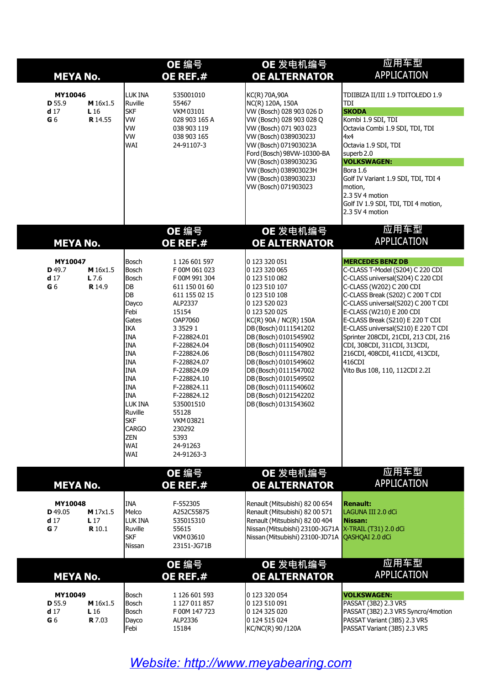|                                                         | <b>MEYA No.</b>                               |                                                                                                                                                                                                                                                                                                             | OE 编号<br>OE REF.#                                                                                                                                                                                                                                                                                                                                | OE 发电机编号<br><b>OE ALTERNATOR</b>                                                                                                                                                                                                                                                                                                                                                                        | 应用车型<br><b>APPLICATION</b>                                                                                                                                                                                                                                                                                                                                                                                                                                            |
|---------------------------------------------------------|-----------------------------------------------|-------------------------------------------------------------------------------------------------------------------------------------------------------------------------------------------------------------------------------------------------------------------------------------------------------------|--------------------------------------------------------------------------------------------------------------------------------------------------------------------------------------------------------------------------------------------------------------------------------------------------------------------------------------------------|---------------------------------------------------------------------------------------------------------------------------------------------------------------------------------------------------------------------------------------------------------------------------------------------------------------------------------------------------------------------------------------------------------|-----------------------------------------------------------------------------------------------------------------------------------------------------------------------------------------------------------------------------------------------------------------------------------------------------------------------------------------------------------------------------------------------------------------------------------------------------------------------|
| MY10046<br>D 55.9<br>d <sub>17</sub><br>G <sub>6</sub>  | M 16x1.5<br>L <sub>16</sub><br><b>R</b> 14.55 | LUK INA<br>Ruville<br><b>SKF</b><br>lvw.<br><b>VW</b><br><b>Ivw</b><br><b>WAI</b>                                                                                                                                                                                                                           | 535001010<br>55467<br>VKM 03101<br>028 903 165 A<br>038 903 119<br>038 903 165<br>24-91107-3                                                                                                                                                                                                                                                     | KC(R) 70A,90A<br>NC(R) 120A, 150A<br>VW (Bosch) 028 903 026 D<br>VW (Bosch) 028 903 028 Q<br>VW (Bosch) 071 903 023<br>VW (Bosch) 038903023J<br>VW (Bosch) 071903023A<br>Ford (Bosch) 98VW-10300-BA<br>VW (Bosch) 038903023G<br>VW (Bosch) 038903023H<br>VW (Bosch) 038903023J<br>VW (Bosch) 071903023                                                                                                  | TDIIBIZA II/III 1.9 TDITOLEDO 1.9<br>TDI<br><b>SKODA</b><br>Kombi 1.9 SDI, TDI<br>Octavia Combi 1.9 SDI, TDI, TDI<br>4x4<br>Octavia 1.9 SDI, TDI<br>superb 2.0<br><b>VOLKSWAGEN:</b><br>Bora 1.6<br>Golf IV Variant 1.9 SDI, TDI, TDI 4<br>motion,<br>2.3 5V 4 motion<br>Golf IV 1.9 SDI, TDI, TDI 4 motion,<br>2.3 5V 4 motion                                                                                                                                       |
|                                                         | <b>MEYA No.</b>                               |                                                                                                                                                                                                                                                                                                             | OE 编号<br>OE REF.#                                                                                                                                                                                                                                                                                                                                | OE 发电机编号<br><b>OE ALTERNATOR</b>                                                                                                                                                                                                                                                                                                                                                                        | 应用车型<br><b>APPLICATION</b>                                                                                                                                                                                                                                                                                                                                                                                                                                            |
| MY10047<br>D 49.7<br>d <sub>17</sub><br>G <sub>6</sub>  | M 16x1.5<br>$L$ 7.6<br><b>R</b> 14.9          | Bosch<br>Bosch<br>Bosch<br>D <sub>B</sub><br><b>DB</b><br>Dayco<br>Febi<br>Gates<br><b>IKA</b><br><b>INA</b><br><b>INA</b><br><b>INA</b><br><b>INA</b><br><b>INA</b><br><b>INA</b><br><b>INA</b><br><b>INA</b><br><b>LUKINA</b><br>Ruville<br><b>SKF</b><br>CARGO<br><b>ZEN</b><br><b>WAI</b><br><b>WAI</b> | 1 126 601 597<br>F 00M 061 023<br>F00M991304<br>611 150 01 60<br>611 155 02 15<br>ALP2337<br>15154<br><b>OAP7060</b><br>3 3 5 2 9 1<br>F-228824.01<br>F-228824.04<br>F-228824.06<br>F-228824.07<br>F-228824.09<br>F-228824.10<br>F-228824.11<br>F-228824.12<br>535001510<br>55128<br><b>VKM03821</b><br>230292<br>5393<br>24-91263<br>24-91263-3 | 0 123 320 051<br>0 123 320 065<br>0 123 510 082<br>0 123 510 107<br>0 123 510 108<br>0 123 520 023<br>0 123 520 025<br>KC(R) 90A / NC(R) 150A<br>DB (Bosch) 0111541202<br>DB (Bosch) 0101545902<br>DB (Bosch) 0111540902<br>DB (Bosch) 0111547802<br>DB (Bosch) 0101549602<br>DB (Bosch) 0111547002<br>DB (Bosch) 0101549502<br>DB (Bosch) 0111540602<br>DB (Bosch) 0121542202<br>DB (Bosch) 0131543602 | <b>MERCEDES BENZ DB</b><br>C-CLASS T-Model (S204) C 220 CDI<br>C-CLASS universal(S204) C 220 CDI<br>C-CLASS (W202) C 200 CDI<br>C-CLASS Break (S202) C 200 T CDI<br>C-CLASS universal(S202) C 200 T CDI<br>E-CLASS (W210) E 200 CDI<br>E-CLASS Break (S210) E 220 T CDI<br>E-CLASS universal(S210) E 220 T CDI<br>Sprinter 208CDI, 21CDI, 213 CDI, 216<br>CDI, 308CDI, 311CDI, 313CDI,<br>216CDI, 408CDI, 411CDI, 413CDI,<br>416CDI<br>Vito Bus 108, 110, 112CDI 2.2I |
|                                                         | <b>MEYA No.</b>                               |                                                                                                                                                                                                                                                                                                             | OE 编号<br>OE REF.#                                                                                                                                                                                                                                                                                                                                | OE 发电机编号<br><b>OE ALTERNATOR</b>                                                                                                                                                                                                                                                                                                                                                                        | 应用车型<br><b>APPLICATION</b>                                                                                                                                                                                                                                                                                                                                                                                                                                            |
| MY10048<br>D 49.05<br>d <sub>17</sub><br>G <sub>7</sub> | M 17x1.5<br>L <sub>17</sub><br><b>R</b> 10.1  | <b>INA</b><br>Melco<br><b>LUKINA</b><br>Ruville<br><b>SKF</b><br>Nissan                                                                                                                                                                                                                                     | F-552305<br>A252C55875<br>535015310<br>55615<br>VKM 03610<br>23151-JG71B                                                                                                                                                                                                                                                                         | Renault (Mitsubishi) 82 00 654<br>Renault (Mitsubishi) 82 00 571<br>Renault (Mitsubishi) 82 00 404<br>Nissan (Mitsubishi) 23100-JG71A X-TRAIL (T31) 2.0 dCi<br>Nissan (Mitsubishi) 23100-JD71A QASHQAI 2.0 dCi                                                                                                                                                                                          | <b>Renault:</b><br>LAGUNA III 2.0 dCi<br>Nissan:                                                                                                                                                                                                                                                                                                                                                                                                                      |
|                                                         | <b>MEYA No.</b>                               |                                                                                                                                                                                                                                                                                                             | OE 编号<br>OE REF.#                                                                                                                                                                                                                                                                                                                                | OE 发电机编号<br><b>OE ALTERNATOR</b>                                                                                                                                                                                                                                                                                                                                                                        | 应用车型<br><b>APPLICATION</b>                                                                                                                                                                                                                                                                                                                                                                                                                                            |
| MY10049<br>D 55.9<br>d <sub>17</sub><br>G <sub>6</sub>  | M 16x1.5<br>L <sub>16</sub><br><b>R</b> 7.03  | Bosch<br>Bosch<br>Bosch<br>Dayco<br>Febi                                                                                                                                                                                                                                                                    | 1 126 601 593<br>1 127 011 857<br>F 00M 147 723<br>ALP2336<br>15184                                                                                                                                                                                                                                                                              | 0 123 320 054<br>0 123 510 091<br>0 124 325 020<br>0 124 515 024<br>KC/NC(R) 90/120A                                                                                                                                                                                                                                                                                                                    | <b>VOLKSWAGEN:</b><br>PASSAT (3B2) 2.3 VR5<br>PASSAT (3B2) 2.3 VR5 Syncro/4motion<br>PASSAT Variant (3B5) 2.3 VR5<br>PASSAT Variant (3B5) 2.3 VR5                                                                                                                                                                                                                                                                                                                     |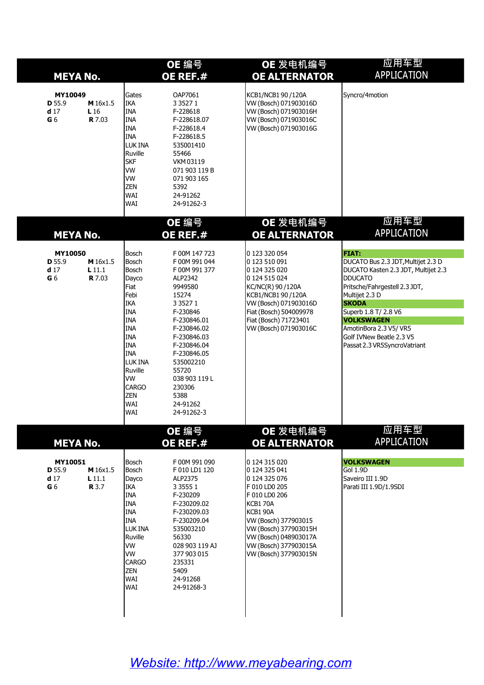| <b>MEYA No.</b>                                        |                                              | OE 编号<br>OE REF.#                                                                                                                                                                              |                                                                                                                                                                                                                                                                      | OE 发电机编号<br><b>OE ALTERNATOR</b>                                                                                                                                                                                                     | 应用车型<br><b>APPLICATION</b>                                                                                                                                                                                                                                                                                        |
|--------------------------------------------------------|----------------------------------------------|------------------------------------------------------------------------------------------------------------------------------------------------------------------------------------------------|----------------------------------------------------------------------------------------------------------------------------------------------------------------------------------------------------------------------------------------------------------------------|--------------------------------------------------------------------------------------------------------------------------------------------------------------------------------------------------------------------------------------|-------------------------------------------------------------------------------------------------------------------------------------------------------------------------------------------------------------------------------------------------------------------------------------------------------------------|
| MY10049<br>D 55.9<br>d <sub>17</sub><br>G <sub>6</sub> | M 16x1.5<br>L <sub>16</sub><br><b>R</b> 7.03 | Gates<br><b>IKA</b><br><b>INA</b><br><b>INA</b><br><b>INA</b><br><b>INA</b><br>LUK INA<br>Ruville<br><b>SKF</b><br> vw<br> vw<br><b>ZEN</b><br><b>WAI</b><br>WAI                               | OAP7061<br>3 3 5 2 7 1<br>F-228618<br>F-228618.07<br>F-228618.4<br>F-228618.5<br>535001410<br>55466<br>VKM 03119<br>071 903 119 B<br>071 903 165<br>5392<br>24-91262<br>24-91262-3                                                                                   | KCB1/NCB1 90 / 120A<br>VW (Bosch) 071903016D<br>VW (Bosch) 071903016H<br>VW (Bosch) 071903016C<br>VW (Bosch) 071903016G                                                                                                              | Syncro/4motion                                                                                                                                                                                                                                                                                                    |
| <b>MEYA No.</b>                                        |                                              |                                                                                                                                                                                                | OE 编号<br>OE REF.#                                                                                                                                                                                                                                                    | OE 发电机编号<br><b>OE ALTERNATOR</b>                                                                                                                                                                                                     | 应用车型<br><b>APPLICATION</b>                                                                                                                                                                                                                                                                                        |
| MY10050<br>D 55.9<br>d <sub>17</sub><br>G <sub>6</sub> | M 16x1.5<br>$L$ 11.1<br><b>R</b> 7.03        | Bosch<br>Bosch<br>Bosch<br>Dayco<br>Fiat<br>Febi<br>IKA<br><b>INA</b><br>INA<br><b>INA</b><br>INA<br><b>INA</b><br>INA<br>LUK INA<br>Ruville<br><b>VW</b><br><b>CARGO</b><br>ZEN<br>WAI<br>WAI | F 00M 147 723<br>F 00M 991 044<br>F00M991377<br>ALP2342<br>9949580<br>15274<br>3 3 5 2 7 1<br>F-230846<br>F-230846.01<br>F-230846.02<br>F-230846.03<br>F-230846.04<br>F-230846.05<br>535002210<br>55720<br>038 903 119 L<br>230306<br>5388<br>24-91262<br>24-91262-3 | 0 123 320 054<br>0 123 510 091<br>0 124 325 020<br>0 124 515 024<br>KC/NC(R) 90 / 120A<br>KCB1/NCB1 90 / 120A<br>VW (Bosch) 071903016D<br>Fiat (Bosch) 504009978<br>Fiat (Bosch) 71723401<br>VW (Bosch) 071903016C                   | <b>FIAT:</b><br>DUCATO Bus 2.3 JDT, Multijet 2.3 D<br>DUCATO Kasten 2.3 JDT, Multijet 2.3<br><b>DDUCATO</b><br>Pritsche/Fahrgestell 2.3 JDT,<br>Multijet 2.3 D<br><b>SKODA</b><br>Superb 1.8 T/ 2.8 V6<br><b>VOLKSWAGEN</b><br>AmotinBora 2.3 V5/ VR5<br>Golf IVNew Beatle 2.3 V5<br>Passat 2.3 VR5SyncroVatriant |
| <b>MEYA No.</b>                                        |                                              |                                                                                                                                                                                                | OE 编号<br>OE REF.#                                                                                                                                                                                                                                                    | OE 发电机编号<br><b>OE ALTERNATOR</b>                                                                                                                                                                                                     | 应用车型<br><b>APPLICATION</b>                                                                                                                                                                                                                                                                                        |
| MY10051<br>D 55.9<br>d <sub>17</sub><br>G <sub>6</sub> | M 16x1.5<br>$L$ 11.1<br><b>R</b> 3.7         | Bosch<br>Bosch<br>Dayco<br>IKA<br>INA<br><b>INA</b><br>INA<br><b>INA</b><br>LUK INA<br>Ruville<br><b>VW</b><br><b>VW</b><br><b>CARGO</b><br>ZEN<br>WAI<br>WAI                                  | F00M991090<br>F 010 LD1 120<br>ALP2375<br>3 3 5 5 1<br>F-230209<br>F-230209.02<br>F-230209.03<br>F-230209.04<br>535003210<br>56330<br>028 903 119 AJ<br>377 903 015<br>235331<br>5409<br>24-91268<br>24-91268-3                                                      | 0 124 315 020<br>0 124 325 041<br>0 124 325 076<br>F 010 LD0 205<br>F 010 LD0 206<br>KCB170A<br>KCB1 90A<br>VW (Bosch) 377903015<br>VW (Bosch) 377903015H<br>VW (Bosch) 048903017A<br>VW (Bosch) 377903015A<br>VW (Bosch) 377903015N | <b>VOLKSWAGEN</b><br>Gol 1.9D<br>Saveiro III 1.9D<br>Parati III 1.9D/1.9SDI                                                                                                                                                                                                                                       |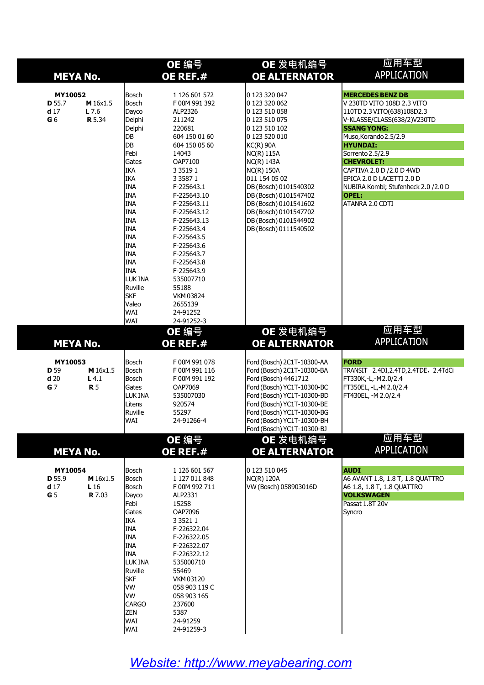| <b>MEYA No.</b>                                        |                                              | OE 编号<br>OE REF.#                                                                                                                                                                                                                                                                                                                                                                                                                                                                                                                                                                                                                                                                                             |                                                                                                                                                                                                                                                         | OE 发电机编号<br><b>OE ALTERNATOR</b>                                                                                                                                                                                                                                                                                                                             | 应用车型<br><b>APPLICATION</b>                                                                                                                                                                                                                                                                                                                                         |
|--------------------------------------------------------|----------------------------------------------|---------------------------------------------------------------------------------------------------------------------------------------------------------------------------------------------------------------------------------------------------------------------------------------------------------------------------------------------------------------------------------------------------------------------------------------------------------------------------------------------------------------------------------------------------------------------------------------------------------------------------------------------------------------------------------------------------------------|---------------------------------------------------------------------------------------------------------------------------------------------------------------------------------------------------------------------------------------------------------|--------------------------------------------------------------------------------------------------------------------------------------------------------------------------------------------------------------------------------------------------------------------------------------------------------------------------------------------------------------|--------------------------------------------------------------------------------------------------------------------------------------------------------------------------------------------------------------------------------------------------------------------------------------------------------------------------------------------------------------------|
| MY10052<br>D 55.7<br>d <sub>17</sub><br>G <sub>6</sub> | M 16x1.5<br>$L$ 7.6<br><b>R</b> 5.34         | Bosch<br>1 126 601 572<br>Bosch<br>F 00M 991 392<br>Dayco<br>ALP2326<br>Delphi<br>211242<br>Delphi<br>220681<br>DB<br>604 150 01 60<br><b>DB</b><br>604 150 05 60<br>Febi<br>14043<br>Gates<br>OAP7100<br><b>IKA</b><br>3 3 5 1 9 1<br><b>IKA</b><br>3 3 5 8 7 1<br><b>INA</b><br>F-225643.1<br><b>INA</b><br>F-225643.10<br><b>INA</b><br>F-225643.11<br><b>INA</b><br>F-225643.12<br><b>INA</b><br>F-225643.13<br><b>INA</b><br>F-225643.4<br><b>INA</b><br>F-225643.5<br><b>INA</b><br>F-225643.6<br><b>INA</b><br>F-225643.7<br><b>INA</b><br>F-225643.8<br><b>INA</b><br>F-225643.9<br>LUK INA<br>535007710<br>Ruville<br>55188<br><b>SKF</b><br><b>VKM03824</b><br>Valeo<br>2655139<br> WAI<br>24-91252 |                                                                                                                                                                                                                                                         | 0 123 320 047<br>0 123 320 062<br>0 123 510 058<br>0 123 510 075<br>0 123 510 102<br>0 123 520 010<br><b>KC(R) 90A</b><br><b>NC(R) 115A</b><br><b>NC(R) 143A</b><br><b>NC(R) 150A</b><br>011 154 05 02<br>DB (Bosch) 0101540302<br>DB (Bosch) 0101547402<br>DB (Bosch) 0101541602<br>DB (Bosch) 0101547702<br>DB (Bosch) 0101544902<br>DB (Bosch) 0111540502 | <b>MERCEDES BENZ DB</b><br>V 230TD VITO 108D 2.3 VITO<br>110TD 2.3 VITO(638)108D2.3<br>V-KLASSE/CLASS(638/2)V230TD<br><b>SSANG YONG:</b><br>Muso, Korando 2.5/2.9<br><b>HYUNDAI:</b><br>Sorrento 2.5/2.9<br><b>CHEVROLET:</b><br>CAPTIVA 2.0 D / 2.0 D 4WD<br>EPICA 2.0 D LACETTI 2.0 D<br>NUBIRA Kombi; Stufenheck 2.0 / 2.0 D<br><b>OPEL:</b><br>ATANRA 2.0 CDTI |
|                                                        |                                              | WAI                                                                                                                                                                                                                                                                                                                                                                                                                                                                                                                                                                                                                                                                                                           | 24-91252-3<br>OE 编号                                                                                                                                                                                                                                     | OE 发电机编号                                                                                                                                                                                                                                                                                                                                                     | 应用车型                                                                                                                                                                                                                                                                                                                                                               |
| <b>MEYA No.</b>                                        |                                              |                                                                                                                                                                                                                                                                                                                                                                                                                                                                                                                                                                                                                                                                                                               | OE REF.#                                                                                                                                                                                                                                                | <b>OE ALTERNATOR</b>                                                                                                                                                                                                                                                                                                                                         | <b>APPLICATION</b>                                                                                                                                                                                                                                                                                                                                                 |
| MY10053<br>D 59<br>d20<br>G <sub>7</sub>               | M 16x1.5<br>$L$ 4.1<br><b>R</b> 5            | Bosch<br>Bosch<br>Bosch<br>Gates<br><b>LUK INA</b><br>Litens<br>Ruville<br>WAI                                                                                                                                                                                                                                                                                                                                                                                                                                                                                                                                                                                                                                | F00M991078<br>F 00M 991 116<br>F 00M 991 192<br>OAP7069<br>535007030<br>920574<br>55297<br>24-91266-4<br>OE 编号                                                                                                                                          | Ford (Bosch) 2C1T-10300-AA<br>Ford (Bosch) 2C1T-10300-BA<br>Ford (Bosch) 4461712<br>Ford (Bosch) YC1T-10300-BC<br>Ford (Bosch) YC1T-10300-BD<br>Ford (Bosch) YC1T-10300-BE<br>Ford (Bosch) YC1T-10300-BG<br>Ford (Bosch) YC1T-10300-BH<br>Ford (Bosch) YC1T-10300-BJ<br>OE 发电机编号                                                                             | <b>FORD</b><br>TRANSIT 2.4DI, 2.4TD, 2.4TDE, 2.4TdCi<br>FT330K,-L,-M2.0/2.4<br>FT350EL, -L,-M 2.0/2.4<br>FT430EL, -M 2.0/2.4<br>应用车型                                                                                                                                                                                                                               |
|                                                        | <b>MEYA No.</b>                              |                                                                                                                                                                                                                                                                                                                                                                                                                                                                                                                                                                                                                                                                                                               | OE REF.#                                                                                                                                                                                                                                                | <b>OE ALTERNATOR</b>                                                                                                                                                                                                                                                                                                                                         | <b>APPLICATION</b>                                                                                                                                                                                                                                                                                                                                                 |
| MY10054<br>D 55.9<br>d <sub>17</sub><br>G <sub>5</sub> | M 16x1.5<br>L <sub>16</sub><br><b>R</b> 7.03 | Bosch<br>Bosch<br>Bosch<br>Dayco<br>Febi<br>Gates<br><b>IKA</b><br><b>INA</b><br><b>INA</b><br><b>INA</b><br><b>INA</b><br>LUK INA<br>Ruville<br><b>SKF</b><br><b>VW</b><br><b>VW</b><br><b>CARGO</b><br>ZEN<br>WAI                                                                                                                                                                                                                                                                                                                                                                                                                                                                                           | 1 126 601 567<br>1 127 011 848<br>F00M992711<br>ALP2331<br>15258<br>OAP7096<br>3 3 5 2 1 1<br>F-226322.04<br>F-226322.05<br>F-226322.07<br>F-226322.12<br>535000710<br>55469<br>VKM 03120<br>058 903 119 C<br>058 903 165<br>237600<br>5387<br>24-91259 | 0 123 510 045<br><b>NC(R) 120A</b><br>VW (Bosch) 058903016D                                                                                                                                                                                                                                                                                                  | <b>AUDI</b><br>A6 AVANT 1.8, 1.8 T, 1.8 QUATTRO<br>A6 1.8, 1.8 T, 1.8 QUATTRO<br><b>VOLKSWAGEN</b><br>Passat 1.8T 20v<br>Syncro                                                                                                                                                                                                                                    |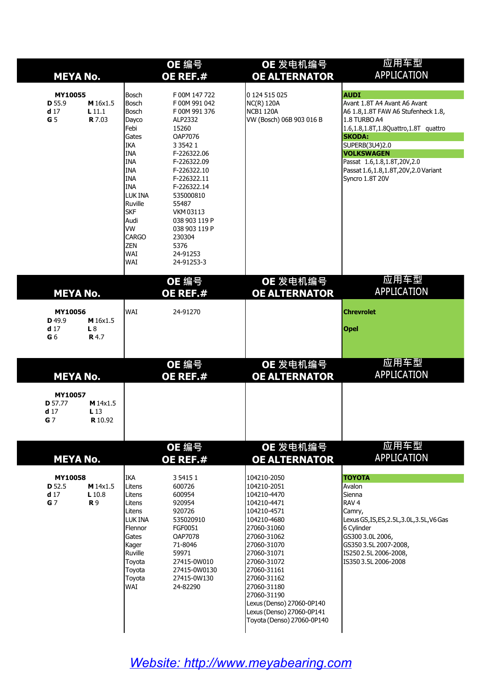| <b>MEYA No.</b>                                         |                                               | OE 编号<br>OE REF.#                                                                                                                                                                                                                                       |                                                                                                                                                                                                                                                                                                 | OE 发电机编号<br><b>OE ALTERNATOR</b>                                                                                                                                                                | 应用车型<br><b>APPLICATION</b>                                                                                                                                                                                                                                                                     |  |
|---------------------------------------------------------|-----------------------------------------------|---------------------------------------------------------------------------------------------------------------------------------------------------------------------------------------------------------------------------------------------------------|-------------------------------------------------------------------------------------------------------------------------------------------------------------------------------------------------------------------------------------------------------------------------------------------------|-------------------------------------------------------------------------------------------------------------------------------------------------------------------------------------------------|------------------------------------------------------------------------------------------------------------------------------------------------------------------------------------------------------------------------------------------------------------------------------------------------|--|
| MY10055<br>D 55.9<br>d <sub>17</sub><br>G <sub>5</sub>  | M 16x1.5<br>$L$ 11.1<br><b>R</b> 7.03         | Bosch<br>Bosch<br>Bosch<br>Dayco<br>Febi<br>Gates<br><b>IKA</b><br><b>INA</b><br><b>INA</b><br><b>INA</b><br><b>INA</b><br><b>INA</b><br><b>LUKINA</b><br>Ruville<br><b>SKF</b><br>Audi<br><b>VW</b><br>CARGO<br><b>ZEN</b><br><b>WAI</b><br><b>WAI</b> | F 00M 147 722<br>F 00M 991 042<br>F 00M 991 376<br>ALP2332<br>15260<br>OAP7076<br>3 3 5 4 2 1<br>F-226322.06<br>F-226322.09<br>F-226322.10<br>F-226322.11<br>F-226322.14<br>535000810<br>55487<br><b>VKM03113</b><br>038 903 119 P<br>038 903 119 P<br>230304<br>5376<br>24-91253<br>24-91253-3 | 0 124 515 025<br>NC(R) 120A<br><b>NCB1 120A</b><br>VW (Bosch) 06B 903 016 B                                                                                                                     | <b>AUDI</b><br>Avant 1.8T A4 Avant A6 Avant<br>A6 1.8,1.8T FAW A6 Stufenheck 1.8,<br>1.8 TURBO A4<br>1.6,1.8,1.8T,1.8Quattro,1.8T quattro<br><b>SKODA:</b><br>SUPERB(3U4)2.0<br><b>VOLKSWAGEN</b><br>Passat 1.6,1.8,1.8T,20V,2.0<br>Passat 1.6, 1.8, 1.8T, 20V, 2.0 Variant<br>Syncro 1.8T 20V |  |
| <b>MEYA No.</b>                                         |                                               |                                                                                                                                                                                                                                                         | OE 编号<br>OE REF.#                                                                                                                                                                                                                                                                               | OE 发电机编号<br><b>OE ALTERNATOR</b>                                                                                                                                                                | 应用车型<br><b>APPLICATION</b>                                                                                                                                                                                                                                                                     |  |
| MY10056<br>D 49.9<br>d <sub>17</sub><br>G <sub>6</sub>  | M 16x1.5<br>L8<br>R 4.7                       | <b>WAI</b>                                                                                                                                                                                                                                              | 24-91270                                                                                                                                                                                                                                                                                        |                                                                                                                                                                                                 | <b>Chrevrolet</b><br><b>Opel</b>                                                                                                                                                                                                                                                               |  |
| <b>MEYA No.</b>                                         |                                               |                                                                                                                                                                                                                                                         | OE 编号<br>OE REF.#                                                                                                                                                                                                                                                                               | OE 发电机编号<br><b>OE ALTERNATOR</b>                                                                                                                                                                | 应用车型<br><b>APPLICATION</b>                                                                                                                                                                                                                                                                     |  |
| MY10057<br>D 57.77<br>d <sub>17</sub><br>G <sub>7</sub> | M 14x1.5<br>L <sub>13</sub><br><b>R</b> 10.92 |                                                                                                                                                                                                                                                         |                                                                                                                                                                                                                                                                                                 |                                                                                                                                                                                                 |                                                                                                                                                                                                                                                                                                |  |
| <b>MEYA No.</b>                                         |                                               |                                                                                                                                                                                                                                                         | OE 编号<br>OE REF.#                                                                                                                                                                                                                                                                               | OE 发电机编号<br><b>OE ALTERNATOR</b>                                                                                                                                                                | 应用车型<br><b>APPLICATION</b>                                                                                                                                                                                                                                                                     |  |
| MY10058<br>D 52.5<br>d <sub>17</sub><br>G <sub>7</sub>  | M 14x1.5<br>L 10.8<br><b>R</b> 9              | <b>IKA</b><br>Litens<br>Litens<br>Litens<br>Litens<br>LUK INA<br>Flennor<br>Gates<br>Kager<br>Ruville<br>Toyota<br>Toyota<br>Toyota                                                                                                                     | 3 5 4 1 5 1<br>600726<br>600954<br>920954<br>920726<br>535020910<br>FGF0051<br>OAP7078<br>71-8046<br>59971<br>27415-0W010<br>27415-0W0130<br>27415-0W130                                                                                                                                        | 104210-2050<br>104210-2051<br>104210-4470<br>104210-4471<br>104210-4571<br>104210-4680<br>27060-31060<br>27060-31062<br>27060-31070<br>27060-31071<br>27060-31072<br>27060-31161<br>27060-31162 | <b>TOYOTA</b><br>Avalon<br>Sienna<br>RAV <sub>4</sub><br>Camry,<br>Lexus GS, IS, ES, 2.5L, 3.0L, 3.5L, V6 Gas<br>6 Cylinder<br>GS300 3.0L 2006,<br>GS350 3.5L 2007-2008,<br>IS250 2.5L 2006-2008,<br>IS350 3.5L 2006-2008                                                                      |  |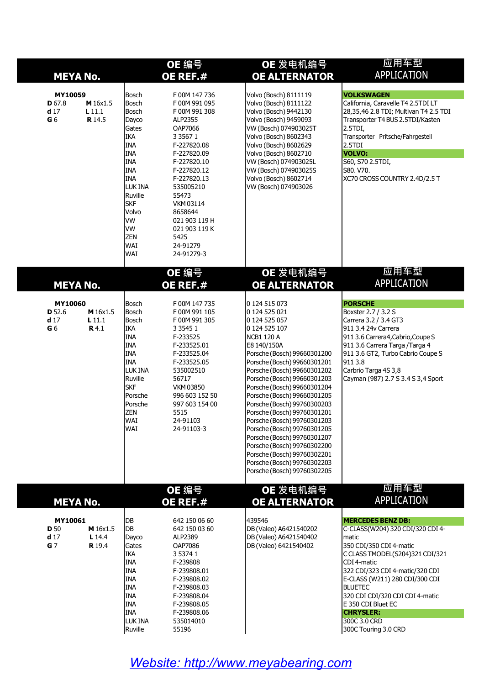| <b>MEYA No.</b>                                             |                                       | OE 编号<br>OE REF.#                                                                                                                                                                                                                |                                                                                                                                                                                                                                                                                      | OE 发电机编号<br><b>OE ALTERNATOR</b>                                                                                                                                                                                                                                                                                                                                                                                                                                                                                                                                                      | 应用车型<br><b>APPLICATION</b>                                                                                                                                                                                                                                                                                                                                    |  |
|-------------------------------------------------------------|---------------------------------------|----------------------------------------------------------------------------------------------------------------------------------------------------------------------------------------------------------------------------------|--------------------------------------------------------------------------------------------------------------------------------------------------------------------------------------------------------------------------------------------------------------------------------------|---------------------------------------------------------------------------------------------------------------------------------------------------------------------------------------------------------------------------------------------------------------------------------------------------------------------------------------------------------------------------------------------------------------------------------------------------------------------------------------------------------------------------------------------------------------------------------------|---------------------------------------------------------------------------------------------------------------------------------------------------------------------------------------------------------------------------------------------------------------------------------------------------------------------------------------------------------------|--|
| MY10059<br>D 67.8<br>d <sub>17</sub><br>G <sub>6</sub>      | M 16x1.5<br>$L$ 11.1<br><b>R</b> 14.5 | Bosch<br>Bosch<br>Bosch<br>Dayco<br>Gates<br><b>IKA</b><br><b>INA</b><br>INA<br><b>INA</b><br><b>INA</b><br><b>INA</b><br>LUK INA<br>Ruville<br><b>SKF</b><br>Volvo<br><b>VW</b><br><b>VW</b><br><b>ZEN</b><br>WAI<br><b>WAI</b> | F 00M 147 736<br>F00M991095<br>F 00M 991 308<br>ALP2355<br>OAP7066<br>3 3 5 6 7 1<br>F-227820.08<br>F-227820.09<br>F-227820.10<br>F-227820.12<br>F-227820.13<br>535005210<br>55473<br><b>VKM03114</b><br>8658644<br>021 903 119 H<br>021 903 119 K<br>5425<br>24-91279<br>24-91279-3 | Volvo (Bosch) 8111119<br>Volvo (Bosch) 8111122<br>Volvo (Bosch) 9442130<br>Volvo (Bosch) 9459093<br>VW (Bosch) 074903025T<br>Volvo (Bosch) 8602343<br>Volvo (Bosch) 8602629<br>Volvo (Bosch) 8602710<br>VW (Bosch) 074903025L<br>VW (Bosch) 074903025S<br>Volvo (Bosch) 8602714<br>VW (Bosch) 074903026                                                                                                                                                                                                                                                                               | <b>VOLKSWAGEN</b><br>California, Caravelle T4 2.5TDI LT<br>28,35,46 2.8 TDI; Multivan T4 2.5 TDI<br>Transporter T4 BUS 2.5TDI/Kasten<br>2.5TDI,<br>Transporter Pritsche/Fahrgestell<br>2.5TDI<br>VOLVO:<br>S60, S70 2.5TDI,<br>S80. V70.<br>XC70 CROSS COUNTRY 2.4D/2.5 T                                                                                     |  |
|                                                             | <b>MEYA No.</b>                       |                                                                                                                                                                                                                                  | OE 编号<br><b>OE REF.#</b>                                                                                                                                                                                                                                                             | OE 发电机编号<br><b>OE ALTERNATOR</b>                                                                                                                                                                                                                                                                                                                                                                                                                                                                                                                                                      | 应用车型<br><b>APPLICATION</b>                                                                                                                                                                                                                                                                                                                                    |  |
| MY10060<br><b>D</b> 52.6<br>d <sub>17</sub><br>G 6          | M 16x1.5<br>$L$ 11.1<br>R 4.1         | Bosch<br>Bosch<br>Bosch<br>IKA<br><b>INA</b><br><b>INA</b><br><b>INA</b><br><b>INA</b><br>LUK INA<br>Ruville<br><b>SKF</b><br>Porsche<br>Porsche<br><b>ZEN</b><br>WAI<br>WAI                                                     | F 00M 147 735<br>F00M991105<br>F 00M 991 305<br>3 3 5 4 5 1<br>F-233525<br>F-233525.01<br>F-233525.04<br>F-233525.05<br>535002510<br>56717<br><b>VKM 03850</b><br>996 603 152 50<br>997 603 154 00<br>5515<br>24-91103<br>24-91103-3                                                 | 0 124 515 073<br>0 124 525 021<br>0 124 525 057<br>0 124 525 107<br><b>NCB1 120 A</b><br>E8 140/150A<br>Porsche (Bosch) 99660301200<br>Porsche (Bosch) 99660301201<br>Porsche (Bosch) 99660301202<br>Porsche (Bosch) 99660301203<br>Porsche (Bosch) 99660301204<br>Porsche (Bosch) 99660301205<br>Porsche (Bosch) 99760300203<br>Porsche (Bosch) 99760301201<br>Porsche (Bosch) 99760301203<br>Porsche (Bosch) 99760301205<br>Porsche (Bosch) 99760301207<br>Porsche (Bosch) 99760302200<br>Porsche (Bosch) 99760302201<br>Porsche (Bosch) 99760302203<br>Porsche (Bosch) 99760302205 | <b>PORSCHE</b><br>Boxster 2.7 / 3.2 S<br>Carrera 3.2 / 3.4 GT3<br>911 3.4 24v Carrera<br>911 3.6 Carrera4, Cabrio, Coupe S<br>911 3.6 Carrera Targa / Targa 4<br>911 3.6 GT2, Turbo Cabrio Coupe S<br>9113.8<br>Carbrio Targa 4S 3,8<br>Cayman (987) 2.7 S 3.4 S 3,4 Sport                                                                                    |  |
|                                                             | <b>MEYA No.</b>                       |                                                                                                                                                                                                                                  | OE 编号<br>OE REF.#                                                                                                                                                                                                                                                                    | OE 发电机编号<br><b>OE ALTERNATOR</b>                                                                                                                                                                                                                                                                                                                                                                                                                                                                                                                                                      | 应用车型<br><b>APPLICATION</b>                                                                                                                                                                                                                                                                                                                                    |  |
| MY10061<br><b>D</b> 50<br>d <sub>17</sub><br>G <sub>7</sub> | M 16x1.5<br>$L$ 14.4<br><b>R</b> 19.4 | DB<br>DB<br>Dayco<br>Gates<br>IKA<br><b>INA</b><br><b>INA</b><br><b>INA</b><br><b>INA</b><br><b>INA</b><br><b>INA</b><br><b>INA</b><br>LUK INA<br>Ruville                                                                        | 642 150 06 60<br>642 150 03 60<br>ALP2389<br>OAP7086<br>3 5 3 7 4 1<br>F-239808<br>F-239808.01<br>F-239808.02<br>F-239808.03<br>F-239808.04<br>F-239808.05<br>F-239808.06<br>535014010<br>55196                                                                                      | 439546<br>DB (Valeo) A6421540202<br>DB (Valeo) A6421540402<br>DB (Valeo) 6421540402                                                                                                                                                                                                                                                                                                                                                                                                                                                                                                   | <b>MERCEDES BENZ DB:</b><br>C-CLASS(W204) 320 CDI/320 CDI 4-<br> matic<br>350 CDI/350 CDI 4-matic<br>CCLASSTMODEL(S204)321 CDI/321<br>CDI 4-matic<br>322 CDI/323 CDI 4-matic/320 CDI<br>E-CLASS (W211) 280 CDI/300 CDI<br><b>BLUETEC</b><br>320 CDI CDI/320 CDI CDI 4-matic<br>E 350 CDI Bluet EC<br><b>CHRYSLER:</b><br>300C 3.0 CRD<br>300C Touring 3.0 CRD |  |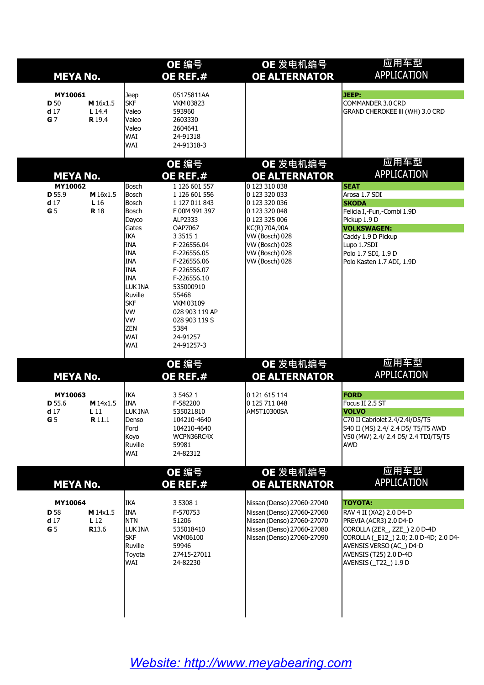| <b>MEYA No.</b>                                                                  |                                                  |                                                                                                                                                                                                                                           | OE 编号<br>OE REF.#                                                                                                                                                                                                                                                                                             | OE 发电机编号<br><b>OE ALTERNATOR</b>                                                                                                                                                                               | 应用车型<br><b>APPLICATION</b>                                                                                                                                                                                                              |
|----------------------------------------------------------------------------------|--------------------------------------------------|-------------------------------------------------------------------------------------------------------------------------------------------------------------------------------------------------------------------------------------------|---------------------------------------------------------------------------------------------------------------------------------------------------------------------------------------------------------------------------------------------------------------------------------------------------------------|----------------------------------------------------------------------------------------------------------------------------------------------------------------------------------------------------------------|-----------------------------------------------------------------------------------------------------------------------------------------------------------------------------------------------------------------------------------------|
| <b>MY10061</b><br><b>D</b> 50<br>d <sub>17</sub><br>G <sub>7</sub>               | M 16x1.5<br>L 14.4<br><b>R</b> 19.4              | <b>Jeep</b><br><b>SKF</b><br>Valeo<br><b>Valeo</b><br>Valeo<br>WAI<br>WAI                                                                                                                                                                 | 05175811AA<br>VKM 03823<br>593960<br>2603330<br>2604641<br>24-91318<br>24-91318-3                                                                                                                                                                                                                             |                                                                                                                                                                                                                | JEEP:<br>COMMANDER 3.0 CRD<br>GRAND CHEROKEE III (WH) 3.0 CRD                                                                                                                                                                           |
| <b>MEYA No.</b><br><b>MY10062</b><br>D 55.9<br>d <sub>17</sub><br>G <sub>5</sub> | M 16x1.5<br>L16<br><b>R</b> 18                   | Bosch<br>Bosch<br><b>Bosch</b><br>Bosch<br>Dayco<br>Gates<br><b>IKA</b><br><b>INA</b><br><b>INA</b><br><b>INA</b><br><b>INA</b><br><b>INA</b><br>LUK INA<br>Ruville<br><b>SKF</b><br><b>Ivw</b><br><b>VW</b><br><b>ZEN</b><br>WAI<br>lwaɪ | OE 编号<br>OE REF.#<br>1 126 601 557<br>1 126 601 556<br>1 127 011 843<br>F 00M 991 397<br>ALP2333<br>OAP7067<br>3 3 5 1 5 1<br>F-226556.04<br>F-226556.05<br>F-226556.06<br>F-226556.07<br>F-226556.10<br>535000910<br>55468<br>VKM 03109<br>028 903 119 AP<br>028 903 119 S<br>5384<br>24-91257<br>24-91257-3 | OE 发电机编号<br><b>OE ALTERNATOR</b><br>0 123 310 038<br>0 123 320 033<br>0 123 320 036<br>0 123 320 048<br>0 123 325 006<br>KC(R) 70A,90A<br>WV (Bosch) 028<br>VW (Bosch) 028<br>VW (Bosch) 028<br>WV (Bosch) 028 | 应用车型<br><b>APPLICATION</b><br><b>SEAT</b><br>Arosa 1.7 SDI<br><b>SKODA</b><br>Felicia I,-Fun,-Combi 1.9D<br>Pickup 1.9 D<br><b>VOLKSWAGEN:</b><br>Caddy 1.9 D Pickup<br>Lupo 1.7SDI<br>Polo 1.7 SDI, 1.9 D<br>Polo Kasten 1.7 ADI, 1.9D |
| <b>MEYA No.</b>                                                                  |                                                  |                                                                                                                                                                                                                                           | OE 编号<br>OE REF.#                                                                                                                                                                                                                                                                                             | OE 发电机编号<br><b>OE ALTERNATOR</b>                                                                                                                                                                               | 应用车型<br><b>APPLICATION</b>                                                                                                                                                                                                              |
| MY10063<br>D 55.6<br>d <sub>17</sub><br>G <sub>5</sub>                           | M 14x1.5<br>L <sub>11</sub><br><b>R</b> 11.1     | <b>IKA</b><br><b>INA</b><br>LUK INA<br>Denso<br><b>IFord</b><br>Koyo<br>Ruville<br>WAI                                                                                                                                                    | 3 5 4 6 2 1<br>F-582200<br>535021810<br>104210-4640<br>104210-4640<br>WCPN36RC4X<br>59981<br>24-82312                                                                                                                                                                                                         | 0 121 615 114<br>0 125 711 048<br>AM5T10300SA                                                                                                                                                                  | <b>FORD</b><br>Focus II 2.5 ST<br><b>VOLVO</b><br>C70 II Cabriolet 2.4/2.4i/D5/T5<br>S40 II (MS) 2.4/ 2.4 D5/ T5/T5 AWD<br>V50 (MW) 2.4/ 2.4 D5/ 2.4 TDI/T5/T5<br>AWD                                                                   |
| <b>MEYA No.</b>                                                                  |                                                  |                                                                                                                                                                                                                                           | OE 编号<br>OE REF.#                                                                                                                                                                                                                                                                                             | OE 发电机编号<br><b>OE ALTERNATOR</b>                                                                                                                                                                               | 应用车型<br><b>APPLICATION</b>                                                                                                                                                                                                              |
| MY10064<br><b>D</b> 58<br>d <sub>17</sub><br>G <sub>5</sub>                      | M 14x1.5<br>L <sub>12</sub><br>R <sub>13.6</sub> | <b>IKA</b><br><b>INA</b><br><b>NTN</b><br>LUK INA<br><b>SKF</b><br>Ruville<br>Toyota<br>WAI                                                                                                                                               | 3 5 3 0 8 1<br>F-570753<br>51206<br>535018410<br><b>VKM06100</b><br>59946<br>27415-27011<br>24-82230                                                                                                                                                                                                          | Nissan (Denso) 27060-27040<br>Nissan (Denso) 27060-27060<br>Nissan (Denso) 27060-27070<br>Nissan (Denso) 27060-27080<br>Nissan (Denso) 27060-27090                                                             | <b>TOYOTA:</b><br>RAV 4 II (XA2) 2.0 D4-D<br>PREVIA (ACR3) 2.0 D4-D<br>COROLLA (ZER_, ZZE_) 2.0 D-4D<br>COROLLA (_E12_) 2.0; 2.0 D-4D; 2.0 D4-<br>AVENSIS VERSO (AC_) D4-D<br>AVENSIS (T25) 2.0 D-4D<br>AVENSIS (_T22_) 1.9 D           |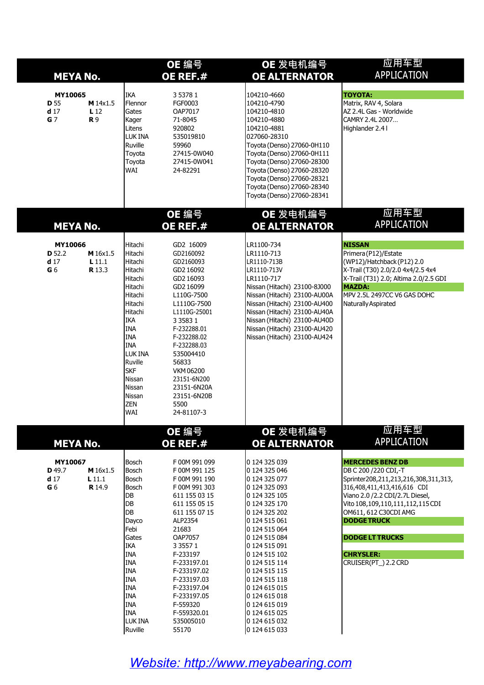| <b>MEYA No.</b>                                             |                                               | OE 编号<br>OE REF.#                                                                                                                                                                                                                              |                                                                                                                                                                                                                                                                                                  | OE 发电机编号<br><b>OE ALTERNATOR</b>                                                                                                                                                                                                                                                                                                                                  | 应用车型<br><b>APPLICATION</b>                                                                                                                                                                                                                                                                                              |  |  |
|-------------------------------------------------------------|-----------------------------------------------|------------------------------------------------------------------------------------------------------------------------------------------------------------------------------------------------------------------------------------------------|--------------------------------------------------------------------------------------------------------------------------------------------------------------------------------------------------------------------------------------------------------------------------------------------------|-------------------------------------------------------------------------------------------------------------------------------------------------------------------------------------------------------------------------------------------------------------------------------------------------------------------------------------------------------------------|-------------------------------------------------------------------------------------------------------------------------------------------------------------------------------------------------------------------------------------------------------------------------------------------------------------------------|--|--|
| MY10065<br><b>D</b> 55<br>d <sub>17</sub><br>G <sub>7</sub> | M 14x1.5<br>L <sub>12</sub><br>R <sub>9</sub> | <b>IKA</b><br>Flennor<br>Gates<br>Kager<br>Litens<br>LUK INA<br>Ruville<br>Toyota<br>Toyota<br><b>WAI</b>                                                                                                                                      | 3 5 3 7 8 1<br>FGF0003<br>OAP7017<br>71-8045<br>920802<br>535019810<br>59960<br>27415-0W040<br>27415-0W041<br>24-82291                                                                                                                                                                           | 104210-4660<br>104210-4790<br>104210-4810<br>104210-4880<br>104210-4881<br>027060-28310<br>Toyota (Denso) 27060-0H110<br>Toyota (Denso) 27060-0H111<br>Toyota (Denso) 27060-28300<br>Toyota (Denso) 27060-28320<br>Toyota (Denso) 27060-28321<br>Toyota (Denso) 27060-28340<br>Toyota (Denso) 27060-28341                                                         | <b>TOYOTA:</b><br>Matrix, RAV 4, Solara<br>AZ 2.4L Gas - Worldwide<br>CAMRY 2.4L 2007<br>Highlander 2.4 l                                                                                                                                                                                                               |  |  |
| <b>MEYA No.</b>                                             |                                               |                                                                                                                                                                                                                                                | OE 编号<br>OE REF.#                                                                                                                                                                                                                                                                                | OE 发电机编号<br><b>OE ALTERNATOR</b>                                                                                                                                                                                                                                                                                                                                  | 应用车型<br><b>APPLICATION</b>                                                                                                                                                                                                                                                                                              |  |  |
| MY10066<br>D 52.2<br>d <sub>17</sub><br>G <sub>6</sub>      | M 16x1.5<br>$L$ 11.1<br><b>R</b> 13.3         | Hitachi<br>Hitachi<br>Hitachi<br>Hitachi<br>Hitachi<br>Hitachi<br>Hitachi<br>Hitachi<br>Hitachi<br><b>IKA</b><br><b>INA</b><br><b>INA</b><br><b>INA</b><br>LUK INA<br>Ruville<br><b>SKF</b><br>Nissan<br>Nissan<br>Nissan<br><b>ZEN</b><br>WAI | GD2 16009<br>GD2160092<br>GD2160093<br>GD2 16092<br>GD2 16093<br>GD2 16099<br>L110G-7500<br>L1110G-7500<br>L1110G-25001<br>3 3 5 8 3 1<br>F-232288.01<br>F-232288.02<br>F-232288.03<br>535004410<br>56833<br><b>VKM 06200</b><br>23151-6N200<br>23151-6N20A<br>23151-6N20B<br>5500<br>24-81107-3 | LR1100-734<br>LR1110-713<br>LR1110-713B<br>LR1110-713V<br>LR1110-717<br>Nissan (Hitachi) 23100-8J000<br>Nissan (Hitachi) 23100-AU00A<br>Nissan (Hitachi) 23100-AU400<br>Nissan (Hitachi) 23100-AU40A<br>Nissan (Hitachi) 23100-AU40D<br>Nissan (Hitachi) 23100-AU420<br>Nissan (Hitachi) 23100-AU424                                                              | <b>NISSAN</b><br>Primera (P12)/Estate<br>(WP12)/Hatchback (P12) 2.0<br>X-Trail (T30) 2.0/2.0 4x4/2.5 4x4<br>X-Trail (T31) 2.0; Altima 2.0/2.5 GDI<br><b>MAZDA:</b><br>MPV 2.5L 2497CC V6 GAS DOHC<br>Naturally Aspirated                                                                                                |  |  |
| <b>MEYA No.</b>                                             |                                               |                                                                                                                                                                                                                                                | OE 编号<br>OE REF.#                                                                                                                                                                                                                                                                                | OE 发电机编号<br><b>OE ALTERNATOR</b>                                                                                                                                                                                                                                                                                                                                  | 应用车型<br><b>APPLICATION</b>                                                                                                                                                                                                                                                                                              |  |  |
| MY10067<br>D 49.7<br>d <sub>17</sub><br>G <sub>6</sub>      | M 16x1.5<br>$L$ 11.1<br>R 14.9                | Bosch<br>Bosch<br>Bosch<br>Bosch<br>DB<br>DB<br>DB<br>Dayco<br>Febi<br>Gates<br><b>IKA</b><br><b>INA</b><br><b>INA</b><br><b>INA</b><br><b>INA</b><br><b>INA</b><br><b>INA</b><br><b>INA</b><br><b>INA</b><br>LUK INA<br>Ruville               | F 00M 991 099<br>F00M991125<br>F00M991190<br>F00M991303<br>611 155 03 15<br>611 155 05 15<br>611 155 07 15<br>ALP2354<br>21683<br>OAP7057<br>3 3 5 5 7 1<br>F-233197<br>F-233197.01<br>F-233197.02<br>F-233197.03<br>F-233197.04<br>F-233197.05<br>F-559320<br>F-559320.01<br>535005010<br>55170 | 0 124 325 039<br>0 124 325 046<br>0 124 325 077<br>0 124 325 093<br>0 124 325 105<br>0 124 325 170<br>0 124 325 202<br>0 124 515 061<br>0 124 515 064<br>0 124 515 084<br>0 124 515 091<br>0 124 515 102<br>0 124 515 114<br>0 124 515 115<br>0 124 515 118<br>0 124 615 015<br>0 124 615 018<br>0 124 615 019<br>0 124 615 025<br>0 124 615 032<br>0 124 615 033 | <b>MERCEDES BENZ DB</b><br>DB C 200 / 220 CDI,-T<br>Sprinter208,211,213,216,308,311,313,<br>316,408,411,413,416,616 CDI<br>Viano 2.0 /2.2 CDI/2.7L Diesel,<br>Vito 108, 109, 110, 111, 112, 115 CDI<br>OM611, 612 C30CDI AMG<br><b>DODGETRUCK</b><br><b>DODGE LT TRUCKS</b><br><b>CHRYSLER:</b><br>CRUISER(PT_) 2.2 CRD |  |  |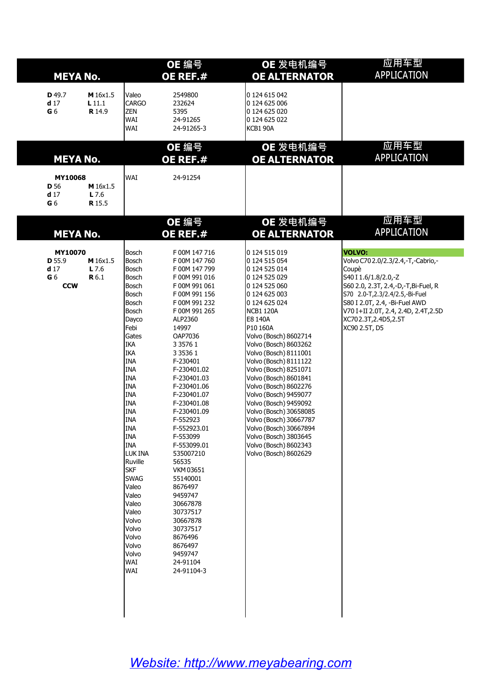| <b>MEYA No.</b>                                                      |                                | OE 编号<br>OE REF.#                                                                                                                                                                                                                                                                                                                                                                                                        |                                                                                                                                                                                                                                                                                                                                                                                                                                                                                                                                              | OE 发电机编号<br><b>OE ALTERNATOR</b>                                                                                                                                                                                                                                                                                                                                                                                                                                                                                                                         | 应用车型<br><b>APPLICATION</b>                                                                                                                                                                                                                                                         |  |
|----------------------------------------------------------------------|--------------------------------|--------------------------------------------------------------------------------------------------------------------------------------------------------------------------------------------------------------------------------------------------------------------------------------------------------------------------------------------------------------------------------------------------------------------------|----------------------------------------------------------------------------------------------------------------------------------------------------------------------------------------------------------------------------------------------------------------------------------------------------------------------------------------------------------------------------------------------------------------------------------------------------------------------------------------------------------------------------------------------|----------------------------------------------------------------------------------------------------------------------------------------------------------------------------------------------------------------------------------------------------------------------------------------------------------------------------------------------------------------------------------------------------------------------------------------------------------------------------------------------------------------------------------------------------------|------------------------------------------------------------------------------------------------------------------------------------------------------------------------------------------------------------------------------------------------------------------------------------|--|
| D 49.7<br>d <sub>17</sub><br>G <sub>6</sub>                          | M 16x1.5<br>$L$ 11.1<br>R 14.9 | Valeo<br><b>CARGO</b><br>ZEN<br>WAI<br>WAI                                                                                                                                                                                                                                                                                                                                                                               | 2549800<br>232624<br>5395<br>24-91265<br>24-91265-3                                                                                                                                                                                                                                                                                                                                                                                                                                                                                          | 0 124 615 042<br>0 124 625 006<br>0 124 625 020<br>0 124 625 022<br>KCB1 90A                                                                                                                                                                                                                                                                                                                                                                                                                                                                             |                                                                                                                                                                                                                                                                                    |  |
| <b>MEYA No.</b>                                                      |                                |                                                                                                                                                                                                                                                                                                                                                                                                                          | OE 编号<br>OE REF.#                                                                                                                                                                                                                                                                                                                                                                                                                                                                                                                            | OE 发电机编号<br><b>OE ALTERNATOR</b>                                                                                                                                                                                                                                                                                                                                                                                                                                                                                                                         | 应用车型<br><b>APPLICATION</b>                                                                                                                                                                                                                                                         |  |
| MY10068<br>D 56<br>d <sub>17</sub><br>G 6                            | M 16x1.5<br>$L$ 7.6<br>R 15.5  | WAI                                                                                                                                                                                                                                                                                                                                                                                                                      | 24-91254                                                                                                                                                                                                                                                                                                                                                                                                                                                                                                                                     |                                                                                                                                                                                                                                                                                                                                                                                                                                                                                                                                                          |                                                                                                                                                                                                                                                                                    |  |
| <b>MEYA No.</b>                                                      |                                |                                                                                                                                                                                                                                                                                                                                                                                                                          | OE 编号<br>OE REF.#                                                                                                                                                                                                                                                                                                                                                                                                                                                                                                                            | OE 发电机编号<br><b>OE ALTERNATOR</b>                                                                                                                                                                                                                                                                                                                                                                                                                                                                                                                         | 应用车型<br><b>APPLICATION</b>                                                                                                                                                                                                                                                         |  |
| MY10070<br>D 55.9<br>d <sub>17</sub><br>G <sub>6</sub><br><b>CCM</b> | M 16x1.5<br>$L$ 7.6<br>R 6.1   | Bosch<br>Bosch<br>Bosch<br>Bosch<br>Bosch<br>Bosch<br>Bosch<br>Bosch<br>Dayco<br>Febi<br>Gates<br>IKA<br>IKA<br><b>INA</b><br><b>INA</b><br><b>INA</b><br><b>INA</b><br><b>INA</b><br><b>INA</b><br><b>INA</b><br><b>INA</b><br><b>INA</b><br><b>INA</b><br><b>INA</b><br>LUK INA<br>Ruville<br><b>SKF</b><br><b>SWAG</b><br>Valeo<br>Valeo<br>Valeo<br>Valeo<br>Volvo<br>Volvo<br>Volvo<br>Volvo<br>Volvo<br>WAI<br>WAI | F00M 147 716<br>F 00M 147 760<br>F 00M 147 799<br>F00M991016<br>F00M991061<br>F 00M 991 156<br>F 00M 991 232<br>F 00M 991 265<br>ALP2360<br>14997<br>OAP7036<br>3 3 5 7 6 1<br>3 3 5 3 6 1<br>F-230401<br>F-230401.02<br>F-230401.03<br>F-230401.06<br>F-230401.07<br>F-230401.08<br>F-230401.09<br>F-552923<br>F-552923.01<br>F-553099<br>F-553099.01<br>535007210<br>56535<br><b>VKM03651</b><br>55140001<br>8676497<br>9459747<br>30667878<br>30737517<br>30667878<br>30737517<br>8676496<br>8676497<br>9459747<br>24-91104<br>24-91104-3 | 0 124 515 019<br>0 124 515 054<br>0 124 525 014<br>0 124 525 029<br>0 124 525 060<br>0 124 625 003<br>0 124 625 024<br><b>NCB1 120A</b><br>E8 140A<br>P10 160A<br>Volvo (Bosch) 8602714<br>Volvo (Bosch) 8603262<br>Volvo (Bosch) 8111001<br>Volvo (Bosch) 8111122<br>Volvo (Bosch) 8251071<br>Volvo (Bosch) 8601841<br>Volvo (Bosch) 8602276<br>Volvo (Bosch) 9459077<br>Volvo (Bosch) 9459092<br>Volvo (Bosch) 30658085<br>Volvo (Bosch) 30667787<br>Volvo (Bosch) 30667894<br>Volvo (Bosch) 3803645<br>Volvo (Bosch) 8602343<br>Volvo (Bosch) 8602629 | <b>VOLVO:</b><br>Volvo C70 2.0/2.3/2.4,-T,-Cabrio,-<br>Coupè<br>S40 I 1.6/1.8/2.0,-Z<br>S60 2.0, 2.3T, 2.4,-D,-T,Bi-Fuel, R<br>S70 2.0-T, 2.3/2.4/2.5, -Bi-Fuel<br>S80 I 2.0T, 2.4, -Bi-Fuel AWD<br>V70 I+II 2.0T, 2.4, 2.4D, 2.4T, 2.5D<br>XC702.3T, 2.4D5, 2.5T<br>XC90 2.5T, D5 |  |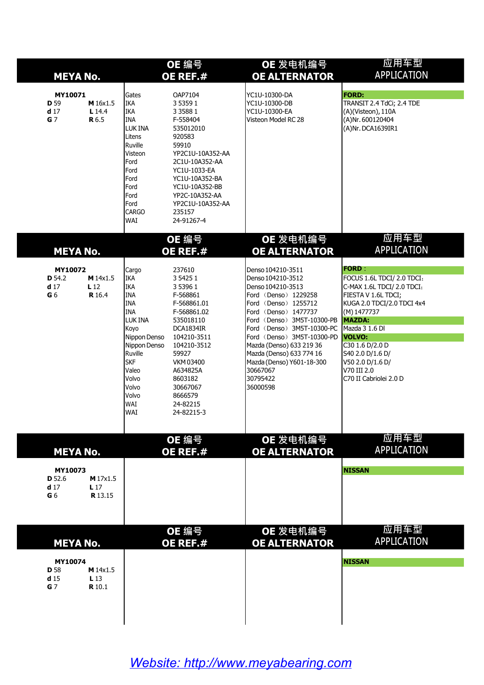| <b>MEYA No.</b>                                        |                                              | OE 编号<br>OE REF.#                                                                                                                                                                                         |                                                                                                                                                                                                                                           | OE 发电机编号<br><b>OE ALTERNATOR</b>                                                                                                                                                                                                                                                                                                                              | 应用车型<br><b>APPLICATION</b>                                                                                                                                                                                                                                                          |  |  |
|--------------------------------------------------------|----------------------------------------------|-----------------------------------------------------------------------------------------------------------------------------------------------------------------------------------------------------------|-------------------------------------------------------------------------------------------------------------------------------------------------------------------------------------------------------------------------------------------|---------------------------------------------------------------------------------------------------------------------------------------------------------------------------------------------------------------------------------------------------------------------------------------------------------------------------------------------------------------|-------------------------------------------------------------------------------------------------------------------------------------------------------------------------------------------------------------------------------------------------------------------------------------|--|--|
| MY10071<br>D 59<br>d <sub>17</sub><br>G <sub>7</sub>   | M 16x1.5<br>$L$ 14.4<br><b>R</b> 6.5         | Gates<br><b>IKA</b><br><b>IKA</b><br><b>INA</b><br>LUK INA<br>Litens<br>Ruville<br>Visteon<br>Ford<br>Ford<br>Ford<br>Ford<br>Ford<br>Ford<br>CARGO<br>WAI                                                | OAP7104<br>3 5 3 5 9 1<br>3 3 5 8 8 1<br>F-558404<br>535012010<br>920583<br>59910<br>YP2C1U-10A352-AA<br>2C1U-10A352-AA<br>YC1U-1033-EA<br>YC1U-10A352-BA<br>YC1U-10A352-BB<br>YP2C-10A352-AA<br>YP2C1U-10A352-AA<br>235157<br>24-91267-4 | YC1U-10300-DA<br>YC1U-10300-DB<br>YC1U-10300-EA<br>Visteon Model RC 28                                                                                                                                                                                                                                                                                        | <b>FORD:</b><br>TRANSIT 2.4 TdCi; 2.4 TDE<br>(A)(Visteon), 110A<br>(A)Nr. 600120404<br>(A)Nr. DCA1639IR1                                                                                                                                                                            |  |  |
| <b>MEYA No.</b>                                        |                                              |                                                                                                                                                                                                           | OE 编号<br>OE REF.#                                                                                                                                                                                                                         | OE 发电机编号<br><b>OE ALTERNATOR</b>                                                                                                                                                                                                                                                                                                                              | 应用车型<br><b>APPLICATION</b>                                                                                                                                                                                                                                                          |  |  |
| MY10072<br>D 54.2<br>d <sub>17</sub><br>G <sub>6</sub> | M 14x1.5<br>L <sub>12</sub><br><b>R</b> 16.4 | Cargo<br><b>IKA</b><br><b>IKA</b><br><b>INA</b><br><b>INA</b><br><b>INA</b><br>LUK INA<br>Koyo<br>Nippon Denso<br>Nippon Denso<br>Ruville<br><b>SKF</b><br>Valeo<br>Volvo<br>Volvo<br>Volvo<br>WAI<br>WAI | 237610<br>3 5 4 2 5 1<br>3 5 3 9 6 1<br>F-568861<br>F-568861.01<br>F-568861.02<br>535018110<br>DCA1834IR<br>104210-3511<br>104210-3512<br>59927<br>VKM 03400<br>A634825A<br>8603182<br>30667067<br>8666579<br>24-82215<br>24-82215-3      | Denso 104210-3511<br>Denso 104210-3512<br>Denso 104210-3513<br>Ford (Denso) 1229258<br>Ford (Denso) 1255712<br>Ford (Denso) 1477737<br>Ford (Denso) 3M5T-10300-PB<br>Ford (Denso) 3M5T-10300-PC<br>Ford (Denso) 3M5T-10300-PD VOLVO:<br>Mazda (Denso) 633 219 36<br>Mazda (Denso) 633 774 16<br>Mazda (Denso) Y601-18-300<br>30667067<br>30795422<br>36000598 | <b>FORD:</b><br>FOCUS 1.6L TDCI/ 2.0 TDCI;<br>C-MAX 1.6L TDCI/ 2.0 TDCI;<br>FIESTA V 1.6L TDCI;<br>KUGA 2.0 TDCI/2.0 TDCI 4x4<br>(M) 1477737<br><b>MAZDA:</b><br>Mazda 3 1.6 DI<br>C30 1.6 D/2.0 D<br>S40 2.0 D/1.6 D/<br>V50 2.0 D/1.6 D/<br>V70 III 2.0<br>C70 II Cabriolei 2.0 D |  |  |
| <b>MEYA No.</b>                                        |                                              |                                                                                                                                                                                                           | OE 编号<br>OE REF.#                                                                                                                                                                                                                         | OE 发电机编号<br><b>OE ALTERNATOR</b>                                                                                                                                                                                                                                                                                                                              | 应用车型<br><b>APPLICATION</b>                                                                                                                                                                                                                                                          |  |  |
| MY10073<br>D 52.6<br>d <sub>17</sub><br>G <sub>6</sub> | $M$ 17 $x$ 1.5<br>L <sub>17</sub><br>R 13.15 |                                                                                                                                                                                                           |                                                                                                                                                                                                                                           |                                                                                                                                                                                                                                                                                                                                                               | <b>NISSAN</b>                                                                                                                                                                                                                                                                       |  |  |
| <b>MEYA No.</b>                                        |                                              |                                                                                                                                                                                                           | OE 编号<br>OE REF.#                                                                                                                                                                                                                         | OE 发电机编号<br><b>OE ALTERNATOR</b>                                                                                                                                                                                                                                                                                                                              | 应用车型<br><b>APPLICATION</b>                                                                                                                                                                                                                                                          |  |  |
|                                                        | MY10074                                      |                                                                                                                                                                                                           |                                                                                                                                                                                                                                           |                                                                                                                                                                                                                                                                                                                                                               | <b>NISSAN</b>                                                                                                                                                                                                                                                                       |  |  |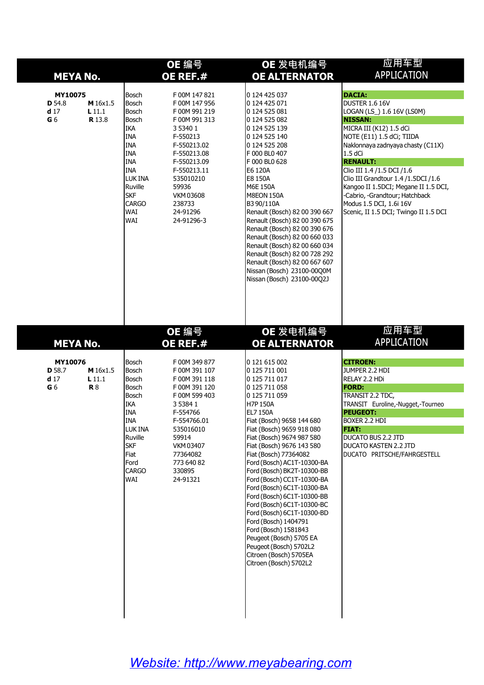| <b>MEYA No.</b>                                        |                                       |                                                                                                                                                                                        | OE 编号<br>OE REF.#                                                                                                                                                                                                              | OE 发电机编号<br><b>OE ALTERNATOR</b>                                                                                                                                                                                                                                                                                                                                                                                                                                                                                                                                                                                                         | 应用车型<br><b>APPLICATION</b>                                                                                                                                                                                                                                                                                                                                                                                                    |
|--------------------------------------------------------|---------------------------------------|----------------------------------------------------------------------------------------------------------------------------------------------------------------------------------------|--------------------------------------------------------------------------------------------------------------------------------------------------------------------------------------------------------------------------------|------------------------------------------------------------------------------------------------------------------------------------------------------------------------------------------------------------------------------------------------------------------------------------------------------------------------------------------------------------------------------------------------------------------------------------------------------------------------------------------------------------------------------------------------------------------------------------------------------------------------------------------|-------------------------------------------------------------------------------------------------------------------------------------------------------------------------------------------------------------------------------------------------------------------------------------------------------------------------------------------------------------------------------------------------------------------------------|
| MY10075<br>D 54.8<br>d <sub>17</sub><br>G <sub>6</sub> | M 16x1.5<br>$L$ 11.1<br><b>R</b> 13.8 | Bosch<br>Bosch<br>Bosch<br>Bosch<br><b>IKA</b><br><b>INA</b><br><b>INA</b><br><b>INA</b><br><b>INA</b><br><b>INA</b><br><b>LUK INA</b><br>Ruville<br><b>SKF</b><br>CARGO<br>WAI<br>WAI | F 00M 147 821<br>F 00M 147 956<br>F00M991219<br>F00M991313<br>3 5 3 4 0 1<br>F-550213<br>F-550213.02<br>F-550213.08<br>F-550213.09<br>F-550213.11<br>535010210<br>59936<br><b>VKM03608</b><br>238733<br>24-91296<br>24-91296-3 | 0 124 425 037<br>0 124 425 071<br>0 124 525 081<br>0 124 525 082<br>0 124 525 139<br>0 124 525 140<br>0 124 525 208<br>F 000 BL0 407<br>F 000 BL0 628<br>E6 120A<br>E8 150A<br>M6E 150A<br>M8EON 150A<br>B3 90/110A<br>Renault (Bosch) 82 00 390 667<br>Renault (Bosch) 82 00 390 675<br>Renault (Bosch) 82 00 390 676<br>Renault (Bosch) 82 00 660 033<br>Renault (Bosch) 82 00 660 034<br>Renault (Bosch) 82 00 728 292<br>Renault (Bosch) 82 00 667 607<br>Nissan (Bosch) 23100-00Q0M<br>Nissan (Bosch) 23100-00Q2J                                                                                                                   | <b>DACIA:</b><br>DUSTER 1.6 16V<br>LOGAN (LS_) 1.6 16V (LS0M)<br><b>NISSAN:</b><br>MICRA III (K12) 1.5 dCi<br>NOTE (E11) 1.5 dCi; TIIDA<br>Naklonnaya zadnyaya chasty (C11X)<br>1.5 dC<br><b>RENAULT:</b><br>Clio III 1.4 / 1.5 DCI / 1.6<br>Clio III Grandtour 1.4/1.5DCI /1.6<br>Kangoo II 1.5DCI; Megane II 1.5 DCI,<br>-Cabrio, -Grandtour; Hatchback<br>Modus 1.5 DCI, 1.6i 16V<br>Scenic, II 1.5 DCI; Twingo II 1.5 DCI |
| <b>MEYA No.</b>                                        |                                       |                                                                                                                                                                                        | OE 编号<br>OE REF.#                                                                                                                                                                                                              | OE 发电机编号<br><b>OE ALTERNATOR</b>                                                                                                                                                                                                                                                                                                                                                                                                                                                                                                                                                                                                         | 应用车型<br><b>APPLICATION</b>                                                                                                                                                                                                                                                                                                                                                                                                    |
| MY10076<br>D 58.7<br>d <sub>17</sub><br>G <sub>6</sub> | M 16x1.5<br>$L$ 11.1<br><b>R</b> 8    | Bosch<br>Bosch<br>Bosch<br>Bosch<br>Bosch<br><b>IKA</b><br>INA<br><b>INA</b><br>LUK INA<br>Ruville<br>SKF<br>Fiat<br>Ford<br>CARGO<br>WAI                                              | F 00M 349 877<br>F 00M 391 107<br>F 00M 391 118<br>F 00M 391 120<br>F 00M 599 403<br>3 5 3 8 4 1<br>F-554766<br>F-554766.01<br>535016010<br>59914<br>VKM 03407<br>77364082<br>773 640 82<br>330895<br>24-91321                 | 0 121 615 002<br>0 125 711 001<br>0 125 711 017<br>0 125 711 058<br>0 125 711 059<br>H7P 150A<br><b>EL7 150A</b><br>Fiat (Bosch) 9658 144 680<br>Fiat (Bosch) 9659 918 080<br>Fiat (Bosch) 9674 987 580<br>Fiat (Bosch) 9676 143 580<br>Fiat (Bosch) 77364082<br>Ford (Bosch) AC1T-10300-BA<br>Ford (Bosch) BK2T-10300-BB<br>Ford (Bosch) CC1T-10300-BA<br>Ford (Bosch) 6C1T-10300-BA<br>Ford (Bosch) 6C1T-10300-BB<br>Ford (Bosch) 6C1T-10300-BC<br>Ford (Bosch) 6C1T-10300-BD<br>Ford (Bosch) 1404791<br>Ford (Bosch) 1581843<br>Peugeot (Bosch) 5705 EA<br>Peugeot (Bosch) 5702L2<br>Citroen (Bosch) 5705EA<br>Citroen (Bosch) 5702L2 | <b>CITROEN:</b><br>JUMPER 2.2 HDI<br>RELAY 2.2 HDi<br><b>FORD:</b><br>TRANSIT 2.2 TDC,<br>TRANSIT Euroline,-Nugget,-Tourneo<br><b>PEUGEOT:</b><br>BOXER 2.2 HDI<br><b>FIAT:</b><br><b>DUCATO BUS 2.2 JTD</b><br>DUCATO KASTEN 2.2 JTD<br>DUCATO PRITSCHE/FAHRGESTELL                                                                                                                                                          |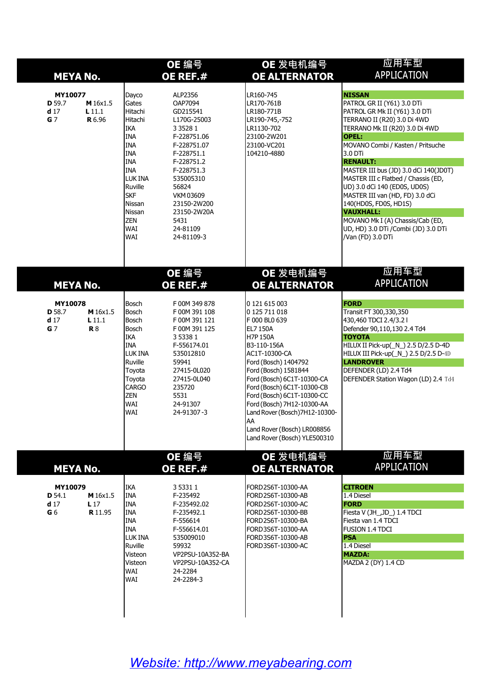| <b>MEYA No.</b>                                        |                                        | OE 编号<br>OE REF.#                                                                                                                                                                                                                           |                                                                                                                                                                                                                                               | OE 发电机编号<br><b>OE ALTERNATOR</b>                                                                                                                                                                                                                                                                                                                                                       | 应用车型<br><b>APPLICATION</b>                                                                                                                                                                                                                                                                                                                                                                                                                                                                                                       |  |
|--------------------------------------------------------|----------------------------------------|---------------------------------------------------------------------------------------------------------------------------------------------------------------------------------------------------------------------------------------------|-----------------------------------------------------------------------------------------------------------------------------------------------------------------------------------------------------------------------------------------------|----------------------------------------------------------------------------------------------------------------------------------------------------------------------------------------------------------------------------------------------------------------------------------------------------------------------------------------------------------------------------------------|----------------------------------------------------------------------------------------------------------------------------------------------------------------------------------------------------------------------------------------------------------------------------------------------------------------------------------------------------------------------------------------------------------------------------------------------------------------------------------------------------------------------------------|--|
| MY10077<br>D 59.7<br>d <sub>17</sub><br>G <sub>7</sub> | M 16x1.5<br>$L$ 11.1<br><b>R</b> 6.96  | Dayco<br>Gates<br>Hitachi<br>Hitachi<br><b>IKA</b><br><b>INA</b><br><b>INA</b><br><b>INA</b><br><b>INA</b><br><b>I</b> INA<br><b>LUKINA</b><br>Ruville<br><b>SKF</b><br><b>I</b> Nissan<br>Nissan<br><b>ZEN</b><br><b>WAI</b><br><b>WAI</b> | ALP2356<br>OAP7094<br>GD215541<br>L170G-25003<br>3 3 5 2 8 1<br>F-228751.06<br>F-228751.07<br>F-228751.1<br>F-228751.2<br>F-228751.3<br>535005310<br>56824<br><b>VKM03609</b><br>23150-2W200<br>23150-2W20A<br>5431<br>24-81109<br>24-81109-3 | LR160-745<br>LR170-761B<br>LR180-771B<br>LR190-745,-752<br>LR1130-702<br>23100-2W201<br>23100-VC201<br>104210-4880                                                                                                                                                                                                                                                                     | <b>NISSAN</b><br>PATROL GR II (Y61) 3.0 DTi<br>PATROL GR Mk II (Y61) 3.0 DTi<br>TERRANO II (R20) 3.0 Di 4WD<br>TERRANO Mk II (R20) 3.0 Di 4WD<br><b>OPEL:</b><br>MOVANO Combi / Kasten / Pritsuche<br>3.0 DTi<br><b>RENAULT:</b><br>MASTER III bus (JD) 3.0 dCi 140(JD0T)<br>MASTER III c Flatbed / Chassis (ED,<br>UD) 3.0 dCi 140 (ED0S, UD0S)<br>MASTER III van (HD, FD) 3.0 dCi<br>140(HD0S, FD0S, HD1S)<br><b>VAUXHALL:</b><br>MOVANO Mk I (A) Chassis/Cab (ED,<br>UD, HD) 3.0 DTi /Combi (JD) 3.0 DTi<br>/Van (FD) 3.0 DTi |  |
| <b>MEYA No.</b>                                        |                                        |                                                                                                                                                                                                                                             | OE 编号<br><b>OE REF.#</b>                                                                                                                                                                                                                      | OE 发电机编号<br><b>OE ALTERNATOR</b>                                                                                                                                                                                                                                                                                                                                                       | 应用车型<br><b>APPLICATION</b>                                                                                                                                                                                                                                                                                                                                                                                                                                                                                                       |  |
| MY10078<br>D 58.7<br>d <sub>17</sub><br>G <sub>7</sub> | M 16x1.5<br>$L$ 11.1<br><b>R</b> 8     | Bosch<br>Bosch<br>Bosch<br>Bosch<br>IKA<br><b>INA</b><br>LUK INA<br>Ruville<br>Toyota<br>Toyota<br>CARGO<br><b>ZEN</b><br><b>WAI</b><br><b>WAI</b>                                                                                          | F 00M 349 878<br>F00M391108<br>F00M391121<br>F 00M 391 125<br>3 5 3 3 8 1<br>F-556174.01<br>535012810<br>59941<br>27415-0L020<br>27415-0L040<br>235720<br>5531<br>24-91307<br>24-91307-3                                                      | 0 121 615 003<br>0 125 711 018<br>F 000 BL0 639<br>EL7 150A<br>H7P 150A<br>B3-110-156A<br>AC1T-10300-CA<br>Ford (Bosch) 1404792<br>Ford (Bosch) 1581844<br>Ford (Bosch) 6C1T-10300-CA<br>Ford (Bosch) 6C1T-10300-CB<br>Ford (Bosch) 6C1T-10300-CC<br>Ford (Bosch) 7H12-10300-AA<br>Land Rover (Bosch) 7H12-10300-<br>AA<br>Land Rover (Bosch) LR008856<br>Land Rover (Bosch) YLE500310 | <b>FORD</b><br>Transit FT 300,330,350<br>430,460 TDCI 2.4/3.21<br>Defender 90,110,130 2.4 Td4<br><b>TOYOTA</b><br>HILUX II Pick-up(_N_) 2.5 D/2.5 D-4D<br>HILUX III Pick-up(_N_) 2.5 D/2.5 D-4D<br><b>LANDROVER</b><br>DEFENDER (LD) 2.4 Td4<br>DEFENDER Station Wagon (LD) 2.4 Td4                                                                                                                                                                                                                                              |  |
| <b>MEYA No.</b>                                        |                                        |                                                                                                                                                                                                                                             | OE 编号<br>OE REF.#                                                                                                                                                                                                                             | OE 发电机编号<br><b>OE ALTERNATOR</b>                                                                                                                                                                                                                                                                                                                                                       | 应用车型<br><b>APPLICATION</b>                                                                                                                                                                                                                                                                                                                                                                                                                                                                                                       |  |
| MY10079<br>D 54.1<br>d <sub>17</sub><br>G <sub>6</sub> | M 16x1.5<br>L <sub>17</sub><br>R 11.95 | IKA<br><b>INA</b><br><b>INA</b><br><b>INA</b><br><b>INA</b><br><b>INA</b><br>LUK INA<br>Ruville<br>Visteon<br>Visteon<br><b>WAI</b><br><b>WAI</b>                                                                                           | 3 5 3 3 1 1<br>F-235492<br>F-235492.02<br>F-235492.1<br>F-556614<br>F-556614.01<br>535009010<br>59932<br>VP2PSU-10A352-BA<br>VP2PSU-10A352-CA<br>24-2284<br>24-2284-3                                                                         | FORD 2S6T-10300-AA<br>FORD 2S6T-10300-AB<br>FORD 2S6T-10300-AC<br>FORD 2S6T-10300-BB<br>FORD 2S6T-10300-BA<br>FORD 3S6T-10300-AA<br>FORD3S6T-10300-AB<br>FORD3S6T-10300-AC                                                                                                                                                                                                             | <b>CITROEN</b><br>1.4 Diesel<br><b>FORD</b><br>Fiesta V (JH_,JD_) 1.4 TDCI<br>Fiesta van 1.4 TDCI<br><b>FUSION 1.4 TDCI</b><br><b>PSA</b><br>1.4 Diesel<br><b>MAZDA:</b><br>MAZDA 2 (DY) 1.4 CD                                                                                                                                                                                                                                                                                                                                  |  |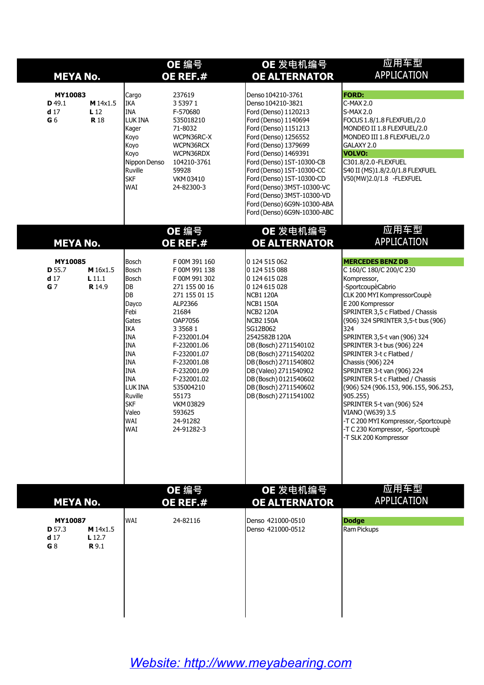| MY10083<br>237619<br><b>FORD:</b><br>Denso 104210-3761<br>Cargo<br><b>IKA</b><br>$C-MAX 2.0$<br>D 49.1<br>M 14x1.5<br>3 5 3 9 7 1<br>Denso 104210-3821<br><b>INA</b><br>$S-MAX 2.0$<br>d <sub>17</sub><br>F-570680<br>Ford (Denso) 1120213<br>L 12<br>G 6<br><b>R</b> 18<br><b>LUKINA</b><br>535018210<br>Ford (Denso) 1140694<br>FOCUS 1.8/1.8 FLEXFUEL/2.0<br>Ford (Denso) 1151213<br>Kager<br>71-8032<br>MONDEO II 1.8 FLEXFUEL/2.0<br>WCPN36RC-X<br>Ford (Denso) 1256552<br>Koyo<br>MONDEO III 1.8 FLEXFUEL/2.0<br>Koyo<br>Ford (Denso) 1379699<br>GALAXY 2.0<br>WCPN36RCX<br>Koyo<br>Ford (Denso) 1469391<br>VOLVO:<br>WCPN36RDX<br>C301.8/2.0-FLEXFUEL<br>Nippon Denso<br>Ford (Denso) 1ST-10300-CB<br>104210-3761<br>Ruville<br>59928<br>Ford (Denso) 1ST-10300-CC<br>S40 II (MS)1.8/2.0/1.8 FLEXFUEL<br><b>SKF</b><br>Ford (Denso) 1ST-10300-CD<br>VKM 03410<br>V50(MW)2.0/1.8 - FLEXFUEL<br>WAI<br>Ford (Denso) 3M5T-10300-VC<br>24-82300-3<br>Ford (Denso) 3M5T-10300-VD<br>Ford (Denso) 6G9N-10300-ABA<br>Ford (Denso) 6G9N-10300-ABC<br>应用车型<br>OE 发电机编号<br>OE 编号<br><b>APPLICATION</b><br><b>MEYA No.</b><br>OE REF.#<br><b>OE ALTERNATOR</b><br>MY10085<br>Bosch<br>F 00M 391 160<br>0 124 515 062<br><b>MERCEDES BENZ DB</b><br>D 55.7<br>M 16x1.5<br>Bosch<br>F 00M 991 138<br>0 124 515 088<br>C 160/C 180/C 200/C 230<br>d <sub>17</sub><br>$L$ 11.1<br>Bosch<br>F 00M 991 302<br>0 124 615 028<br>Kompressor,<br>$G$ 7<br><b>R</b> 14.9<br>DB<br>271 155 00 16<br>0 124 615 028<br>-SportcoupèCabrio<br><b>DB</b><br>CLK 200 MYI KompressorCoupè<br>271 155 01 15<br><b>NCB1 120A</b><br>ALP2366<br><b>NCB1 150A</b><br>E 200 Kompressor<br>Dayco<br>Febi<br>21684<br><b>NCB2 120A</b><br>SPRINTER 3,5 c Flatbed / Chassis<br>Gates<br>OAP7056<br><b>NCB2 150A</b><br>(906) 324 SPRINTER 3,5-t bus (906)<br><b>IKA</b><br>3 3 5 6 8 1<br>SG12B062<br>324<br>INA<br>2542582B120A<br>SPRINTER 3,5-t van (906) 324<br>F-232001.04<br><b>INA</b><br>SPRINTER 3-t bus (906) 224<br>F-232001.06<br>DB (Bosch) 2711540102<br><b>INA</b><br>F-232001.07<br>DB (Bosch) 2711540202<br>SPRINTER 3-t c Flatbed /<br><b>INA</b><br>F-232001.08<br>DB (Bosch) 2711540802<br>Chassis (906) 224<br><b>INA</b><br>SPRINTER 3-t van (906) 224<br>F-232001.09<br>DB (Valeo) 2711540902<br><b>INA</b><br>F-232001.02<br>DB (Bosch) 0121540602<br>SPRINTER 5-t c Flatbed / Chassis<br>LUK INA<br>535004210<br>DB (Bosch) 2711540602<br>Ruville<br>905.255)<br>55173<br>DB (Bosch) 2711541002<br><b>SKF</b><br>SPRINTER 5-t van (906) 524<br>VKM 03829<br>Valeo<br>593625<br>VIANO (W639) 3.5<br> WAI<br>-T C 200 MYI Kompressor,-Sportcoupè<br>24-91282<br>WAI<br>-T C 230 Kompressor, -Sportcoupè<br>24-91282-3<br>-T SLK 200 Kompressor<br>应用车型<br>OE 编号<br>OE 发电机编号<br><b>APPLICATION</b><br><b>MEYA No.</b><br>OE REF.#<br><b>OE ALTERNATOR</b> | <b>MEYA No.</b> |  | OE 编号<br>OE REF.# | OE 发电机编号<br><b>OE ALTERNATOR</b> | 应用车型<br><b>APPLICATION</b> |
|---------------------------------------------------------------------------------------------------------------------------------------------------------------------------------------------------------------------------------------------------------------------------------------------------------------------------------------------------------------------------------------------------------------------------------------------------------------------------------------------------------------------------------------------------------------------------------------------------------------------------------------------------------------------------------------------------------------------------------------------------------------------------------------------------------------------------------------------------------------------------------------------------------------------------------------------------------------------------------------------------------------------------------------------------------------------------------------------------------------------------------------------------------------------------------------------------------------------------------------------------------------------------------------------------------------------------------------------------------------------------------------------------------------------------------------------------------------------------------------------------------------------------------------------------------------------------------------------------------------------------------------------------------------------------------------------------------------------------------------------------------------------------------------------------------------------------------------------------------------------------------------------------------------------------------------------------------------------------------------------------------------------------------------------------------------------------------------------------------------------------------------------------------------------------------------------------------------------------------------------------------------------------------------------------------------------------------------------------------------------------------------------------------------------------------------------------------------------------------------------------------------------------------------------------------------------------------------------------------------------------------------------------------------------------------------------------------------------------------------------------------------------------------------------------------------------------------------------------|-----------------|--|-------------------|----------------------------------|----------------------------|
| (906) 524 (906.153, 906.155, 906.253,                                                                                                                                                                                                                                                                                                                                                                                                                                                                                                                                                                                                                                                                                                                                                                                                                                                                                                                                                                                                                                                                                                                                                                                                                                                                                                                                                                                                                                                                                                                                                                                                                                                                                                                                                                                                                                                                                                                                                                                                                                                                                                                                                                                                                                                                                                                                                                                                                                                                                                                                                                                                                                                                                                                                                                                                             |                 |  |                   |                                  |                            |
|                                                                                                                                                                                                                                                                                                                                                                                                                                                                                                                                                                                                                                                                                                                                                                                                                                                                                                                                                                                                                                                                                                                                                                                                                                                                                                                                                                                                                                                                                                                                                                                                                                                                                                                                                                                                                                                                                                                                                                                                                                                                                                                                                                                                                                                                                                                                                                                                                                                                                                                                                                                                                                                                                                                                                                                                                                                   |                 |  |                   |                                  |                            |
|                                                                                                                                                                                                                                                                                                                                                                                                                                                                                                                                                                                                                                                                                                                                                                                                                                                                                                                                                                                                                                                                                                                                                                                                                                                                                                                                                                                                                                                                                                                                                                                                                                                                                                                                                                                                                                                                                                                                                                                                                                                                                                                                                                                                                                                                                                                                                                                                                                                                                                                                                                                                                                                                                                                                                                                                                                                   |                 |  |                   |                                  |                            |
|                                                                                                                                                                                                                                                                                                                                                                                                                                                                                                                                                                                                                                                                                                                                                                                                                                                                                                                                                                                                                                                                                                                                                                                                                                                                                                                                                                                                                                                                                                                                                                                                                                                                                                                                                                                                                                                                                                                                                                                                                                                                                                                                                                                                                                                                                                                                                                                                                                                                                                                                                                                                                                                                                                                                                                                                                                                   |                 |  |                   |                                  |                            |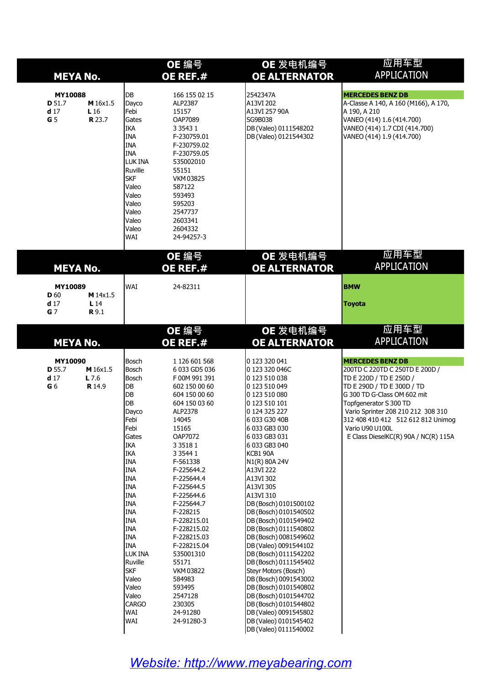|                                                               | <b>MEYA No.</b>                      | OE 编号<br>OE REF.#                                                                                                                                                                                                                                                                                                                                              |                                                                                                                                                                                                                                                                                                                                                                                                                                              | OE 发电机编号<br><b>OE ALTERNATOR</b>                                                                                                                                                                                                                                                                                                                                                                                                                                                                                                                                                                                                                                                                      | 应用车型<br><b>APPLICATION</b>                                                                                                                                                                                                                                                                                         |  |
|---------------------------------------------------------------|--------------------------------------|----------------------------------------------------------------------------------------------------------------------------------------------------------------------------------------------------------------------------------------------------------------------------------------------------------------------------------------------------------------|----------------------------------------------------------------------------------------------------------------------------------------------------------------------------------------------------------------------------------------------------------------------------------------------------------------------------------------------------------------------------------------------------------------------------------------------|-------------------------------------------------------------------------------------------------------------------------------------------------------------------------------------------------------------------------------------------------------------------------------------------------------------------------------------------------------------------------------------------------------------------------------------------------------------------------------------------------------------------------------------------------------------------------------------------------------------------------------------------------------------------------------------------------------|--------------------------------------------------------------------------------------------------------------------------------------------------------------------------------------------------------------------------------------------------------------------------------------------------------------------|--|
| <b>MY10088</b><br>D 51.7<br>d <sub>17</sub><br>G <sub>5</sub> | M 16x1.5<br>L 16<br><b>R</b> 23.7    | <b>DB</b><br>Dayco<br>Febi<br>Gates<br><b>IKA</b><br><b>INA</b><br><b>INA</b><br><b>INA</b><br>LUK INA<br>Ruville<br><b>SKF</b><br>Valeo<br>Valeo<br>Valeo<br>Valeo<br>Valeo<br>Valeo<br>WAI                                                                                                                                                                   | 166 155 02 15<br>ALP2387<br>15157<br>OAP7089<br>3 3 5 4 3 1<br>F-230759.01<br>F-230759.02<br>F-230759.05<br>535002010<br>55151<br><b>VKM03825</b><br>587122<br>593493<br>595203<br>2547737<br>2603341<br>2604332<br>24-94257-3                                                                                                                                                                                                               | 2542347A<br>A13VI 202<br>A13VI 257 90A<br>SG9B038<br>DB (Valeo) 0111548202<br>DB (Valeo) 0121544302                                                                                                                                                                                                                                                                                                                                                                                                                                                                                                                                                                                                   | <b>MERCEDES BENZ DB</b><br>A-Classe A 140, A 160 (M166), A 170,<br>A 190, A 210<br>VANEO (414) 1.6 (414.700)<br>VANEO (414) 1.7 CDI (414.700)<br>VANEO (414) 1.9 (414.700)                                                                                                                                         |  |
|                                                               | <b>MEYA No.</b>                      |                                                                                                                                                                                                                                                                                                                                                                | OE 编号<br>OE REF.#                                                                                                                                                                                                                                                                                                                                                                                                                            | OE 发电机编号<br><b>OE ALTERNATOR</b>                                                                                                                                                                                                                                                                                                                                                                                                                                                                                                                                                                                                                                                                      | 应用车型<br><b>APPLICATION</b>                                                                                                                                                                                                                                                                                         |  |
| MY10089<br>D 60<br>d <sub>17</sub><br>G <sub>7</sub>          | M 14x1.5<br>L <sub>14</sub><br>R 9.1 | WAI                                                                                                                                                                                                                                                                                                                                                            | 24-82311                                                                                                                                                                                                                                                                                                                                                                                                                                     |                                                                                                                                                                                                                                                                                                                                                                                                                                                                                                                                                                                                                                                                                                       | <b>BMW</b><br><b>Toyota</b>                                                                                                                                                                                                                                                                                        |  |
|                                                               | <b>MEYA No.</b>                      |                                                                                                                                                                                                                                                                                                                                                                | OE 编号<br>OE REF.#                                                                                                                                                                                                                                                                                                                                                                                                                            | OE 发电机编号<br><b>OE ALTERNATOR</b>                                                                                                                                                                                                                                                                                                                                                                                                                                                                                                                                                                                                                                                                      | 应用车型<br><b>APPLICATION</b>                                                                                                                                                                                                                                                                                         |  |
| MY10090<br>D 55.7<br>d <sub>17</sub><br>G <sub>6</sub>        | M 16x1.5<br>$L$ 7.6<br><b>R</b> 14.9 | Bosch<br>Bosch<br>Bosch<br>DB<br>DB<br>DB<br>Dayco<br>Febi<br>Febi<br>Gates<br><b>IKA</b><br><b>IKA</b><br><b>INA</b><br><b>INA</b><br><b>INA</b><br><b>INA</b><br><b>INA</b><br><b>INA</b><br><b>INA</b><br><b>INA</b><br><b>INA</b><br><b>INA</b><br><b>INA</b><br>LUK INA<br>Ruville<br><b>SKF</b><br>Valeo<br>Valeo<br>Valeo<br>CARGO<br><b>WAI</b><br>WAI | 1 126 601 568<br>6 033 GD5 036<br>F00M991391<br>602 150 00 60<br>604 150 00 60<br>604 150 03 60<br>ALP2378<br>14045<br>15165<br>OAP7072<br>3 3 5 1 8 1<br>3 3 5 4 4 1<br>F-561338<br>F-225644.2<br>F-225644.4<br>F-225644.5<br>F-225644.6<br>F-225644.7<br>F-228215<br>F-228215.01<br>F-228215.02<br>F-228215.03<br>F-228215.04<br>535001310<br>55171<br><b>VKM 03822</b><br>584983<br>593495<br>2547128<br>230305<br>24-91280<br>24-91280-3 | 0 123 320 041<br>0 123 320 046C<br>0 123 510 038<br>0 123 510 049<br>0 123 510 080<br>0 123 510 101<br>0 124 325 227<br>6 033 G30 40B<br>6 033 GB3 030<br>6 033 GB3 031<br>6 033 GB3 040<br>KCB1 90A<br>N <sub>1</sub> (R) 80A 24V<br>A13VI 222<br>A13VI 302<br>A13VI 305<br>A13VI 310<br>DB (Bosch) 0101500102<br>DB (Bosch) 0101540502<br>DB (Bosch) 0101549402<br>DB (Bosch) 0111540802<br>DB (Bosch) 0081549602<br>DB (Valeo) 0091544102<br>DB (Bosch) 0111542202<br>DB (Bosch) 0111545402<br>Steyr Motors (Bosch)<br>DB (Bosch) 0091543002<br>DB (Bosch) 0101540802<br>DB (Bosch) 0101544702<br>DB (Bosch) 0101544802<br>DB (Valeo) 0091545802<br>DB (Valeo) 0101545402<br>DB (Valeo) 0111540002 | <b>MERCEDES BENZ DB</b><br>200TD C 220TD C 250TD E 200D /<br>TD E 220D / TD E 250D /<br>TD E 290D / TD E 300D / TD<br>G 300 TD G-Class OM 602 mit<br>Topfgenerator S 300 TD<br>Vario Sprinter 208 210 212 308 310<br>312 408 410 412 512 612 812 Unimog<br>Vario U90 U100L<br>E Class DieselKC(R) 90A / NC(R) 115A |  |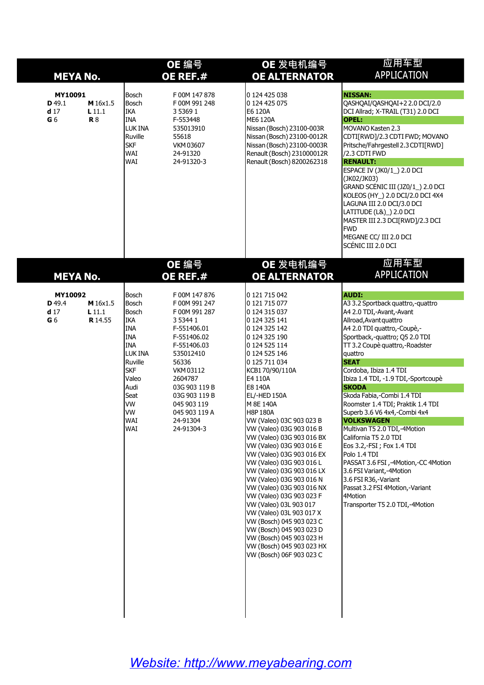| <b>MEYA No.</b>                                        |                                        |                                                                                                                                                                        | OE 编号<br>OE REF.#                                                                                                                                                                                                                                     | OE 发电机编号<br><b>OE ALTERNATOR</b>                                                                                                                                                                                                                                                                                                                                                                                                                                                                                                                                                                                                                                                                                                             | 应用车型<br><b>APPLICATION</b>                                                                                                                                                                                                                                                                                                                                                                                                                                                                                                                                                                                                                                                                                                         |
|--------------------------------------------------------|----------------------------------------|------------------------------------------------------------------------------------------------------------------------------------------------------------------------|-------------------------------------------------------------------------------------------------------------------------------------------------------------------------------------------------------------------------------------------------------|----------------------------------------------------------------------------------------------------------------------------------------------------------------------------------------------------------------------------------------------------------------------------------------------------------------------------------------------------------------------------------------------------------------------------------------------------------------------------------------------------------------------------------------------------------------------------------------------------------------------------------------------------------------------------------------------------------------------------------------------|------------------------------------------------------------------------------------------------------------------------------------------------------------------------------------------------------------------------------------------------------------------------------------------------------------------------------------------------------------------------------------------------------------------------------------------------------------------------------------------------------------------------------------------------------------------------------------------------------------------------------------------------------------------------------------------------------------------------------------|
| MY10091<br>D 49.1<br>d <sub>17</sub><br>G <sub>6</sub> | M 16x1.5<br>$L$ 11.1<br><b>R</b> 8     | Bosch<br>Bosch<br><b>IKA</b><br>IINA<br>LUK INA<br>Ruville<br><b>SKF</b><br>WAI<br>WAI                                                                                 | F 00M 147 878<br>F 00M 991 248<br>3 5 3 6 9 1<br>F-553448<br>535013910<br>55618<br><b>VKM 03607</b><br>24-91320<br>24-91320-3                                                                                                                         | 0 124 425 038<br>0 124 425 075<br>E6 120A<br>ME6 120A<br>Nissan (Bosch) 23100-003R<br>Nissan (Bosch) 23100-0012R<br>Nissan (Bosch) 23100-0003R<br>Renault (Bosch) 231000012R<br>Renault (Bosch) 8200262318                                                                                                                                                                                                                                                                                                                                                                                                                                                                                                                                   | <b>NISSAN:</b><br>QASHQAI/QASHQAI+22.0 DCI/2.0<br>DCI Allrad; X-TRAIL (T31) 2.0 DCI<br><b>OPEL:</b><br>MOVANO Kasten 2.3<br>CDTI[RWD]/2.3 CDTI FWD; MOVANO<br>Pritsche/Fahrgestell 2.3 CDTI[RWD]<br>/2.3 CDTI FWD<br><b>RENAULT:</b><br><b>ESPACE IV (JK0/1_) 2.0 DCI</b><br>(JK02/JK03)<br>GRAND SCÉNIC III (JZ0/1_) 2.0 DCI<br>KOLEOS (HY_) 2.0 DCI/2.0 DCI 4X4<br>LAGUNA III 2.0 DCI/3.0 DCI<br>LATITUDE (L&)_) 2.0 DCI<br>MASTER III 2.3 DCI[RWD]/2.3 DCI<br><b>IFWD</b><br>MEGANE CC/ III 2.0 DCI<br>SCÉNIC III 2.0 DCI                                                                                                                                                                                                       |
| <b>MEYA No.</b>                                        |                                        |                                                                                                                                                                        | OE 编号<br>OE REF.#                                                                                                                                                                                                                                     | OE 发电机编号<br><b>OE ALTERNATOR</b>                                                                                                                                                                                                                                                                                                                                                                                                                                                                                                                                                                                                                                                                                                             | 应用车型<br><b>APPLICATION</b>                                                                                                                                                                                                                                                                                                                                                                                                                                                                                                                                                                                                                                                                                                         |
| MY10092<br>D 49.4<br>d <sub>17</sub><br>G <sub>6</sub> | M 16x1.5<br>$L$ 11.1<br><b>R</b> 14.55 | Bosch<br>Bosch<br>Bosch<br><b>IKA</b><br><b>INA</b><br>INA<br>INA<br>LUK INA<br>Ruville<br><b>SKF</b><br>Valeo<br>Audi<br>Seat<br><b>VW</b><br><b>VW</b><br>WAI<br>WAI | F 00M 147 876<br>F 00M 991 247<br>F 00M 991 287<br>3 5 3 4 4 1<br>F-551406.01<br>F-551406.02<br>F-551406.03<br>535012410<br>56336<br>VKM 03112<br>2604787<br>03G 903 119 B<br>03G 903 119 B<br>045 903 119<br>045 903 119 A<br>24-91304<br>24-91304-3 | 0 121 715 042<br>0 121 715 077<br>0 124 315 037<br>0 124 325 141<br>0 124 325 142<br>0 124 325 190<br>0 124 525 114<br>0 124 525 146<br>0 125 711 034<br>KCB170/90/110A<br>E4 110A<br>E8 140A<br>EL/-HED 150A<br>M 8E 140A<br><b>H8P 180A</b><br>VW (Valeo) 03C 903 023 B<br>VW (Valeo) 03G 903 016 B<br>VW (Valeo) 03G 903 016 BX<br>VW (Valeo) 03G 903 016 E<br>VW (Valeo) 03G 903 016 EX<br>VW (Valeo) 03G 903 016 L<br>VW (Valeo) 03G 903 016 LX<br>VW (Valeo) 03G 903 016 N<br>VW (Valeo) 03G 903 016 NX<br>VW (Valeo) 03G 903 023 F<br>VW (Valeo) 03L 903 017<br>VW (Valeo) 03L 903 017 X<br>VW (Bosch) 045 903 023 C<br>VW (Bosch) 045 903 023 D<br>VW (Bosch) 045 903 023 H<br>VW (Bosch) 045 903 023 HX<br>VW (Bosch) 06F 903 023 C | <b>AUDI:</b><br>A3 3.2 Sportback quattro,-quattro<br>A4 2.0 TDI,-Avant,-Avant<br>Allroad, Avant quattro<br>A4 2.0 TDI quattro,-Coupè,-<br>Sportback,-quattro; Q5 2.0 TDI<br>TT 3.2 Coupè quattro,-Roadster<br>quattro<br><b>SEAT</b><br>Cordoba, Ibiza 1.4 TDI<br>Ibiza 1.4 TDI, -1.9 TDI,-Sportcoupè<br><b>SKODA</b><br>Skoda Fabia,-Combi 1.4 TDI<br>Roomster 1.4 TDI; Praktik 1.4 TDI<br>Superb 3.6 V6 4x4,-Combi 4x4<br><b>VOLKSWAGEN</b><br>Multivan T5 2.0 TDI,-4Motion<br>California T5 2.0 TDI<br>Eos 3.2,-FSI ; Fox 1.4 TDI<br>Polo 1.4 TDI<br>PASSAT 3.6 FSI ,-4Motion,-CC 4Motion<br>3.6 FSI Variant, -4Motion<br>3.6 FSI R36,-Variant<br>Passat 3.2 FSI 4Motion,-Variant<br>4Motion<br>Transporter T5 2.0 TDI,-4Motion |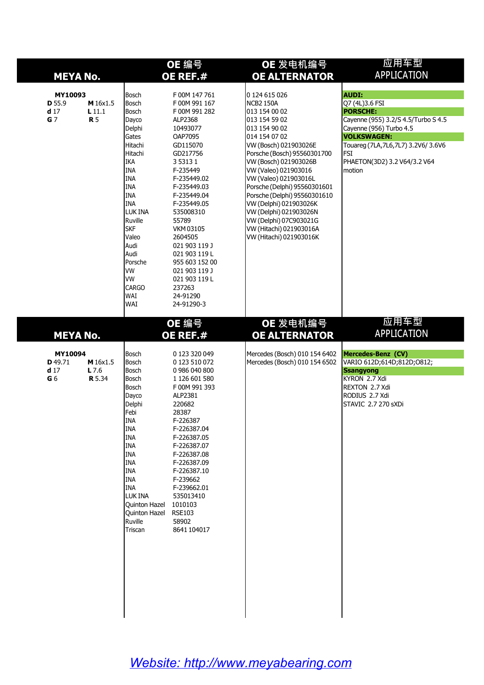| <b>MEYA No.</b>                                                                                 | OE 编号                                                                                                                                                                                                                                                                                                                                                                                                                                                                                                                                                                                                                                                                             | OE 发电机编号                                                                                                                                                                                                                                                                                                                                                                                                                             | 应用车型                                                                                                                                                                                                                               |
|-------------------------------------------------------------------------------------------------|-----------------------------------------------------------------------------------------------------------------------------------------------------------------------------------------------------------------------------------------------------------------------------------------------------------------------------------------------------------------------------------------------------------------------------------------------------------------------------------------------------------------------------------------------------------------------------------------------------------------------------------------------------------------------------------|--------------------------------------------------------------------------------------------------------------------------------------------------------------------------------------------------------------------------------------------------------------------------------------------------------------------------------------------------------------------------------------------------------------------------------------|------------------------------------------------------------------------------------------------------------------------------------------------------------------------------------------------------------------------------------|
|                                                                                                 | OE REF.#                                                                                                                                                                                                                                                                                                                                                                                                                                                                                                                                                                                                                                                                          | <b>OE ALTERNATOR</b>                                                                                                                                                                                                                                                                                                                                                                                                                 | <b>APPLICATION</b>                                                                                                                                                                                                                 |
| MY10093<br>D 55.9<br>M 16x1.5<br>d <sub>17</sub><br>$L$ 11.1<br>G <sub>7</sub><br><b>R</b> 5    | Bosch<br>F 00M 147 761<br>Bosch<br>F 00M 991 167<br>Bosch<br>F 00M 991 282<br>Dayco<br>ALP2368<br>Delphi<br>10493077<br>Gates<br>OAP7095<br>Hitachi<br>GD115070<br>Hitachi<br>GD217756<br><b>IKA</b><br>3 5 3 1 3 1<br><b>INA</b><br>F-235449<br><b>INA</b><br>F-235449.02<br><b>INA</b><br>F-235449.03<br><b>INA</b><br>F-235449.04<br><b>INA</b><br>F-235449.05<br>LUK INA<br>535008310<br>Ruville<br>55789<br><b>SKF</b><br>VKM 03105<br>Valeo<br>2604505<br>Audi<br>021 903 119 J<br>Audi<br>021 903 119L<br><b>Porsche</b><br>955 603 152 00<br><b>IVW</b><br>021 903 119 J<br><b>IVW</b><br>021 903 119 L<br><b>CARGO</b><br>237263<br>WAI<br>24-91290<br>WAI<br>24-91290-3 | 0 124 615 026<br>NCB2 150A<br>013 154 00 02<br>013 154 59 02<br>013 154 90 02<br>014 154 07 02<br>VW (Bosch) 021903026E<br>Porsche (Bosch) 95560301700<br>VW (Bosch) 021903026B<br>VW (Valeo) 021903016<br>VW (Valeo) 021903016L<br>Porsche (Delphi) 95560301601<br>Porsche (Delphi) 95560301610<br>VW (Delphi) 021903026K<br>VW (Delphi) 021903026N<br>VW (Delphi) 07C903021G<br>VW (Hitachi) 021903016A<br>VW (Hitachi) 021903016K | <b>AUDI:</b><br>Q7 (4L) 3.6 FSI<br><b>PORSCHE:</b><br>Cayenne (955) 3.2/S 4.5/Turbo S 4.5<br>Cayenne (956) Turbo 4.5<br><b>VOLKSWAGEN:</b><br>Touareg (7LA, 7L6, 7L7) 3.2V6/3.6V6<br>FSI<br>PHAETON(3D2) 3.2 V64/3.2 V64<br>motion |
| <b>MEYA No.</b>                                                                                 | OE 编号                                                                                                                                                                                                                                                                                                                                                                                                                                                                                                                                                                                                                                                                             | OE 发电机编号                                                                                                                                                                                                                                                                                                                                                                                                                             | 应用车型                                                                                                                                                                                                                               |
|                                                                                                 | OE REF.#                                                                                                                                                                                                                                                                                                                                                                                                                                                                                                                                                                                                                                                                          | <b>OE ALTERNATOR</b>                                                                                                                                                                                                                                                                                                                                                                                                                 | <b>APPLICATION</b>                                                                                                                                                                                                                 |
| MY10094<br>M 16x1.5<br>D 49.71<br>d <sub>17</sub><br>$L$ 7.6<br>G <sub>6</sub><br><b>R</b> 5.34 | 0 123 320 049<br>Bosch<br>Bosch<br>0 123 510 072<br>Bosch<br>0 986 040 800<br>Bosch<br>1 126 601 580<br>Bosch<br>F 00M 991 393<br>Dayco<br>ALP2381<br>Delphi<br>220682<br>Febi<br>28387<br><b>INA</b><br>F-226387<br><b>INA</b><br>F-226387.04<br><b>INA</b><br>F-226387.05<br><b>INA</b><br>F-226387.07<br><b>INA</b><br>F-226387.08<br><b>INA</b><br>F-226387.09<br><b>INA</b><br>F-226387.10<br><b>INA</b><br>F-239662<br><b>INA</b><br>F-239662.01<br>LUK INA<br>535013410<br>1010103<br>Quinton Hazel<br>Quinton Hazel<br><b>RSE103</b><br>Ruville<br>58902<br>Triscan<br>8641 104017                                                                                        | Mercedes (Bosch) 010 154 6402<br>Mercedes (Bosch) 010 154 6502                                                                                                                                                                                                                                                                                                                                                                       | Mercedes-Benz (CV)<br>VARIO 612D;614D;812D;0812;<br><b>Ssangyong</b><br>KYRON 2.7 Xdi<br>REXTON 2.7 Xdi<br>RODIUS 2.7 Xdi<br>STAVIC 2.7 270 sXDi                                                                                   |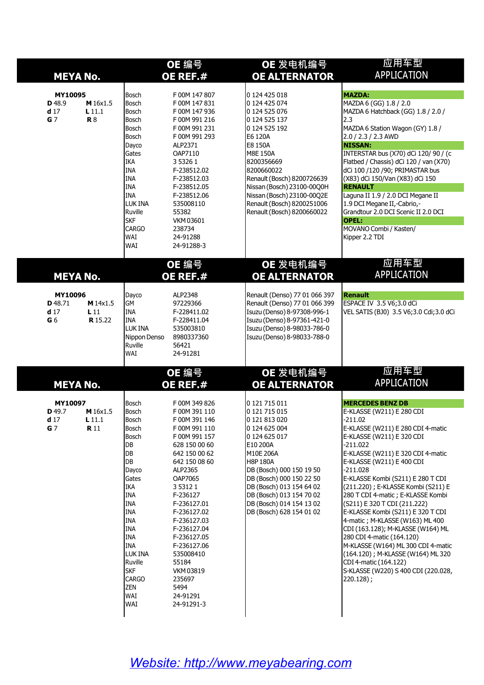| <b>MEYA No.</b>                                                |                                               |                                                                                                                                                                                                                     | OE 编号<br>OE REF.#                                                                                                                                                                                                                                                             | OE 发电机编号<br><b>OE ALTERNATOR</b>                                                                                                                                                                                                                                                                                    | 应用车型<br><b>APPLICATION</b>                                                                                                                                                                                                                                                                                                                                                                                                                                                                                       |
|----------------------------------------------------------------|-----------------------------------------------|---------------------------------------------------------------------------------------------------------------------------------------------------------------------------------------------------------------------|-------------------------------------------------------------------------------------------------------------------------------------------------------------------------------------------------------------------------------------------------------------------------------|---------------------------------------------------------------------------------------------------------------------------------------------------------------------------------------------------------------------------------------------------------------------------------------------------------------------|------------------------------------------------------------------------------------------------------------------------------------------------------------------------------------------------------------------------------------------------------------------------------------------------------------------------------------------------------------------------------------------------------------------------------------------------------------------------------------------------------------------|
| MY10095<br>D 48.9<br>d <sub>17</sub><br>G <sub>7</sub>         | M 16x1.5<br>L11.1<br><b>R</b> 8               | Bosch<br>Bosch<br>Bosch<br>Bosch<br>Bosch<br>Bosch<br>Dayco<br>Gates<br><b>IKA</b><br><b>INA</b><br><b>INA</b><br><b>INA</b><br><b>INA</b><br>LUK INA<br>Ruville<br><b>SKF</b><br><b>CARGO</b><br>WAI<br><b>WAI</b> | F 00M 147 807<br>F 00M 147 831<br>F 00M 147 936<br>F00M991216<br>F 00M 991 231<br>F 00M 991 293<br>ALP2371<br>OAP7110<br>3 5 3 2 6 1<br>F-238512.02<br>F-238512.03<br>F-238512.05<br>F-238512.06<br>535008110<br>55382<br><b>VKM03601</b><br>238734<br>24-91288<br>24-91288-3 | 0 124 425 018<br>0 124 425 074<br>0 124 525 076<br>0 124 525 137<br>0 124 525 192<br>E6 120A<br><b>E8 150A</b><br><b>M8E 150A</b><br>8200356669<br>8200660022<br>Renault (Bosch) 8200726639<br>Nissan (Bosch) 23100-00Q0H<br>Nissan (Bosch) 23100-00Q2E<br>Renault (Bosch) 8200251006<br>Renault (Bosch) 8200660022 | <b>MAZDA:</b><br>MAZDA 6 (GG) 1.8 / 2.0<br>MAZDA 6 Hatchback (GG) 1.8 / 2.0 /<br> 2.3<br>MAZDA 6 Station Wagon (GY) 1.8 /<br>2.0 / 2.3 / 2.3 AWD<br><b>NISSAN:</b><br>INTERSTAR bus (X70) dCi 120/90/(c<br>Flatbed / Chassis) dCi 120 / van (X70)<br>dCi 100 /120 /90; PRIMASTAR bus<br>(X83) dCi 150/Van (X83) dCi 150<br><b>RENAULT</b><br>Laguna II 1.9 / 2.0 DCI Megane II<br>1.9 DCI Megane II,-Cabrio,-<br>Grandtour 2.0 DCI Scenic II 2.0 DCI<br><b>OPEL:</b><br>MOVANO Combi / Kasten/<br>Kipper 2.2 TDI |
| <b>MEYA No.</b>                                                |                                               |                                                                                                                                                                                                                     | OE 编号<br>OE REF.#                                                                                                                                                                                                                                                             | OE 发电机编号<br><b>OE ALTERNATOR</b>                                                                                                                                                                                                                                                                                    | 应用车型<br><b>APPLICATION</b>                                                                                                                                                                                                                                                                                                                                                                                                                                                                                       |
| <b>MY10096</b><br>D 48.71<br>d <sub>17</sub><br>G <sub>6</sub> | M 14x1.5<br>L <sub>11</sub><br><b>R</b> 15.22 | Dayco<br>GM<br><b>INA</b><br><b>INA</b><br>LUK INA<br>Nippon Denso<br>Ruville<br>WAI                                                                                                                                | ALP2348<br>97229366<br>F-228411.02<br>F-228411.04<br>535003810<br>8980337360<br>56421<br>24-91281                                                                                                                                                                             | Renault (Denso) 77 01 066 397<br>Renault (Denso) 77 01 066 399<br>Isuzu (Denso) 8-97308-996-1<br>Isuzu (Denso) 8-97361-421-0<br>Isuzu (Denso) 8-98033-786-0<br>Isuzu (Denso) 8-98033-788-0                                                                                                                          | Renault<br>ESPACE IV 3.5 V6;3.0 dCi<br>VEL SATIS (BJ0) 3.5 V6;3.0 Cdi;3.0 dCi                                                                                                                                                                                                                                                                                                                                                                                                                                    |
| <b>MEYA No.</b>                                                |                                               |                                                                                                                                                                                                                     | OE 编号<br>OE REF.#                                                                                                                                                                                                                                                             | OE 发电机编号<br><b>OE ALTERNATOR</b>                                                                                                                                                                                                                                                                                    | 应用车型<br><b>APPLICATION</b>                                                                                                                                                                                                                                                                                                                                                                                                                                                                                       |
| MY10097<br>D 49.7<br>d <sub>17</sub><br>G <sub>7</sub>         | M 16x1.5<br>$L$ 11.1<br><b>R</b> 11           | Bosch<br>Bosch<br>Bosch<br>Bosch<br>Bosch<br>DB<br>DB                                                                                                                                                               | F 00M 349 826<br>F 00M 391 110<br>F 00M 391 146<br>F00M991110<br>F 00M 991 157<br>628 150 00 60<br>642 150 00 62                                                                                                                                                              | 0 121 715 011<br>0 121 715 015<br>0 121 813 020<br>0 124 625 004<br>0 124 625 017<br>E10 200A<br>M10E 206A<br><b>H8P 180A</b>                                                                                                                                                                                       | <b>MERCEDES BENZ DB</b><br>E-KLASSE (W211) E 280 CDI<br>$-211.02$<br>E-KLASSE (W211) E 280 CDI 4-matic<br>E-KLASSE (W211) E 320 CDI<br>$-211.022$<br>E-KLASSE (W211) E 320 CDI 4-matic<br>E-KLASSE (W211) E 400 CDI                                                                                                                                                                                                                                                                                              |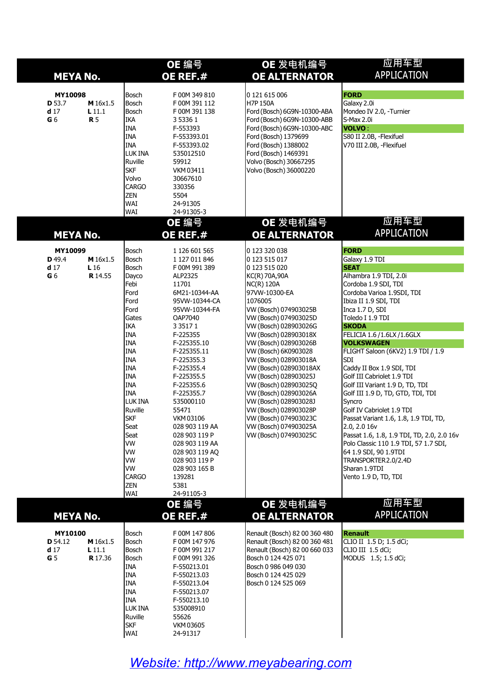| <b>MEYA No.</b>                                                            |                                               |                                                                                                                                                                                                                                                                                                                          | OE 编号<br>OE REF.#                                                                                                                                                                                                                                                                                                                                                                                                                               | OE 发电机编号<br><b>OE ALTERNATOR</b>                                                                                                                                                                                                                                                                                                                                                                                                                                                                                            | 应用车型<br><b>APPLICATION</b>                                                                                                                                                                                                                                                                                                                                                                                                                                                                                                                                                                                                                                                                                                           |
|----------------------------------------------------------------------------|-----------------------------------------------|--------------------------------------------------------------------------------------------------------------------------------------------------------------------------------------------------------------------------------------------------------------------------------------------------------------------------|-------------------------------------------------------------------------------------------------------------------------------------------------------------------------------------------------------------------------------------------------------------------------------------------------------------------------------------------------------------------------------------------------------------------------------------------------|-----------------------------------------------------------------------------------------------------------------------------------------------------------------------------------------------------------------------------------------------------------------------------------------------------------------------------------------------------------------------------------------------------------------------------------------------------------------------------------------------------------------------------|--------------------------------------------------------------------------------------------------------------------------------------------------------------------------------------------------------------------------------------------------------------------------------------------------------------------------------------------------------------------------------------------------------------------------------------------------------------------------------------------------------------------------------------------------------------------------------------------------------------------------------------------------------------------------------------------------------------------------------------|
| MY10098<br>D 53.7<br>d <sub>17</sub><br>G <sub>6</sub>                     | M 16x1.5<br>$L$ 11.1<br><b>R</b> 5            | Bosch<br>Bosch<br>Bosch<br>Ika<br>INA<br>INA<br><b>INA</b><br>LUK INA<br>Ruville<br><b>SKF</b><br>Volvo<br>CARGO<br>ZEN<br>WAI<br>WAI                                                                                                                                                                                    | F 00M 349 810<br>F 00M 391 112<br>F 00M 391 138<br>3 5 3 3 6 1<br>F-553393<br>F-553393.01<br>F-553393.02<br>535012510<br>59912<br>VKM 03411<br>30667610<br>330356<br>5504<br>24-91305<br>24-91305-3                                                                                                                                                                                                                                             | 0 121 615 006<br><b>H7P 150A</b><br>Ford (Bosch) 6G9N-10300-ABA<br>Ford (Bosch) 6G9N-10300-ABB<br>Ford (Bosch) 6G9N-10300-ABC<br>Ford (Bosch) 1379699<br>Ford (Bosch) 1388002<br>Ford (Bosch) 1469391<br>Volvo (Bosch) 30667295<br>Volvo (Bosch) 36000220                                                                                                                                                                                                                                                                   | <b>FORD</b><br>Galaxy 2.0i<br>Mondeo IV 2.0, -Turnier<br>S-Max 2.0i<br><b>VOLVO:</b><br>S80 II 2.0B, -Flexifuel<br>V70 III 2.0B, -Flexifuel                                                                                                                                                                                                                                                                                                                                                                                                                                                                                                                                                                                          |
| <b>MEYA No.</b>                                                            |                                               |                                                                                                                                                                                                                                                                                                                          | OE 编号<br>OE REF.#                                                                                                                                                                                                                                                                                                                                                                                                                               | OE 发电机编号<br><b>OE ALTERNATOR</b>                                                                                                                                                                                                                                                                                                                                                                                                                                                                                            | 应用车型<br><b>APPLICATION</b>                                                                                                                                                                                                                                                                                                                                                                                                                                                                                                                                                                                                                                                                                                           |
| MY10099<br>D 49.4<br>d <sub>17</sub><br>G <sub>6</sub>                     | M 16x1.5<br>L <sub>16</sub><br><b>R</b> 14.55 | Bosch<br>Bosch<br>Bosch<br>Dayco<br>rebi<br>Ford<br>Ford<br>Ford<br>Gates<br>IKA<br><b>INA</b><br><b>INA</b><br><b>INA</b><br><b>INA</b><br><b>INA</b><br><b>INA</b><br><b>INA</b><br><b>INA</b><br>LUK INA<br>Ruville<br><b>SKF</b><br>Seat<br>Seat<br><b>VW</b><br><b>VW</b><br>VW<br>VW<br><b>CARGO</b><br>ZEN<br>WAI | 1 126 601 565<br>1 127 011 846<br>F00M991389<br>ALP2325<br>11701<br>6M21-10344-AA<br>95VW-10344-CA<br>95VW-10344-FA<br>OAP7040<br>3 3 5 1 7 1<br>F-225355<br>F-225355.10<br>F-225355.11<br>F-225355.3<br>F-225355.4<br>F-225355.5<br>F-225355.6<br>F-225355.7<br>535000110<br>55471<br><b>VKM03106</b><br>028 903 119 AA<br>028 903 119 P<br>028 903 119 AA<br>028 903 119 AQ<br>028 903 119 P<br>028 903 165 B<br>139281<br>5381<br>24-91105-3 | 0 123 320 038<br>0 123 515 017<br>0 123 515 020<br>KC(R) 70A, 90A<br>NC(R) 120A<br>97VW-10300-EA<br>1076005<br>VW (Bosch) 074903025B<br>VW (Bosch) 074903025D<br>VW (Bosch) 028903026G<br>VW (Bosch) 028903018X<br>VW (Bosch) 028903026B<br>VW (Bosch) 6K0903028<br>VW (Bosch) 028903018A<br>VW (Bosch) 028903018AX<br>VW (Bosch) 028903025J<br>VW (Bosch) 028903025Q<br>VW (Bosch) 028903026A<br>VW (Bosch) 028903028J<br>VW (Bosch) 028903028P<br>VW (Bosch) 074903023C<br>VW (Bosch) 074903025A<br>VW (Bosch) 074903025C | <b>FORD</b><br>Galaxy 1.9 TDI<br><b>SEAT</b><br>Alhambra 1.9 TDI, 2.0i<br>Cordoba 1.9 SDI, TDI<br>Cordoba Varioa 1.9SDI, TDI<br>Ibiza II 1.9 SDI, TDI<br>Inca 1.7 D, SDI<br>Toledo I 1.9 TDI<br><b>SKODA</b><br>FELICIA 1.6 / 1.6LX / 1.6GLX<br><b>VOLKSWAGEN</b><br>FLIGHT Saloon (6KV2) 1.9 TDI / 1.9<br>lsdi.<br>Caddy II Box 1.9 SDI, TDI<br>Golf III Cabriolet 1.9 TDI<br>Golf III Variant 1.9 D, TD, TDI<br>Golf III 1.9 D, TD, GTD, TDI, TDI<br>Syncro<br>Golf IV Cabriolet 1.9 TDI<br>Passat Variant 1.6, 1.8, 1.9 TDI, TD,<br>2.0, 2.0 16v<br>Passat 1.6, 1.8, 1.9 TDI, TD, 2.0, 2.0 16v<br>Polo Classic 110 1.9 TDI, 57 1.7 SDI,<br>64 1.9 SDI, 90 1.9TDI<br>TRANSPORTER 2.0/2.4D<br>Sharan 1.9TDI<br>Vento 1.9 D, TD, TDI |
| <b>MEYA No.</b><br>MY10100<br>D 54.12<br>d <sub>17</sub><br>G <sub>5</sub> | M 16x1.5<br>$L$ 11.1<br><b>R</b> 17.36        | Bosch<br>Bosch<br>Bosch<br>Bosch<br><b>INA</b><br><b>INA</b><br><b>INA</b><br><b>INA</b><br>INA<br>LUK INA<br>Ruville<br><b>SKF</b><br>WAI                                                                                                                                                                               | OE 编号<br>OE REF.#<br>F00M 147 806<br>F 00M 147 976<br>F00M991217<br>F00M991326<br>F-550213.01<br>F-550213.03<br>F-550213.04<br>F-550213.07<br>F-550213.10<br>535008910<br>55626<br><b>VKM 03605</b><br>24-91317                                                                                                                                                                                                                                 | OE 发电机编号<br><b>OE ALTERNATOR</b><br>Renault (Bosch) 82 00 360 480<br>Renault (Bosch) 82 00 360 481<br>Renault (Bosch) 82 00 660 033<br>Bosch 0 124 425 071<br>Bosch 0 986 049 030<br>Bosch 0 124 425 029<br>Bosch 0 124 525 069                                                                                                                                                                                                                                                                                             | 应用车型<br><b>APPLICATION</b><br><b>Renault</b><br>CLIO II 1.5 D; 1.5 dCi;<br>CLIO III 1.5 dCi;<br>MODUS 1.5; 1.5 dCi;                                                                                                                                                                                                                                                                                                                                                                                                                                                                                                                                                                                                                  |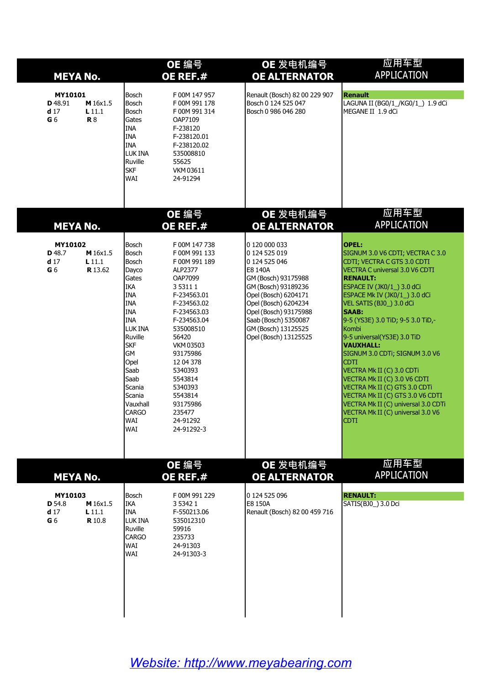| <b>MEYA No.</b>                                         |                                        |                                                                                                                                                                                                                                                               | OE 编号<br>OE REF.#                                                                                                                                                                                                                                                                                            | OE 发电机编号<br><b>OE ALTERNATOR</b>                                                                                                                                                                                                                          | 应用车型<br><b>APPLICATION</b>                                                                                                                                                                                                                                                                                                                                                                                                                                                                                                                                                                                                     |
|---------------------------------------------------------|----------------------------------------|---------------------------------------------------------------------------------------------------------------------------------------------------------------------------------------------------------------------------------------------------------------|--------------------------------------------------------------------------------------------------------------------------------------------------------------------------------------------------------------------------------------------------------------------------------------------------------------|-----------------------------------------------------------------------------------------------------------------------------------------------------------------------------------------------------------------------------------------------------------|--------------------------------------------------------------------------------------------------------------------------------------------------------------------------------------------------------------------------------------------------------------------------------------------------------------------------------------------------------------------------------------------------------------------------------------------------------------------------------------------------------------------------------------------------------------------------------------------------------------------------------|
| MY10101<br>D 48.91<br>d <sub>17</sub><br>G <sub>6</sub> | M 16x1.5<br>L11.1<br><b>R</b> 8        | Bosch<br>Bosch<br>Bosch<br>Gates<br><b>INA</b><br><b>INA</b><br><b>I</b> INA<br><b>LUKINA</b><br>Ruville<br><b>SKF</b><br><b>WAI</b>                                                                                                                          | F 00M 147 957<br>F 00M 991 178<br>F 00M 991 314<br>OAP7109<br>F-238120<br>F-238120.01<br>F-238120.02<br>535008810<br>55625<br>VKM 03611<br>24-91294                                                                                                                                                          | Renault (Bosch) 82 00 229 907<br>Bosch 0 124 525 047<br>Bosch 0 986 046 280                                                                                                                                                                               | <b>Renault</b><br>LAGUNA II (BG0/1_/KG0/1_) 1.9 dCi<br>MEGANE II 1.9 dCi                                                                                                                                                                                                                                                                                                                                                                                                                                                                                                                                                       |
| <b>MEYA No.</b>                                         |                                        |                                                                                                                                                                                                                                                               | OE 编号<br>OE REF.#                                                                                                                                                                                                                                                                                            | OE 发电机编号<br><b>OE ALTERNATOR</b>                                                                                                                                                                                                                          | 应用车型<br><b>APPLICATION</b>                                                                                                                                                                                                                                                                                                                                                                                                                                                                                                                                                                                                     |
| MY10102<br>D 48.7<br>d <sub>17</sub><br>G 6             | M 16x1.5<br>$L$ 11.1<br><b>R</b> 13.62 | Bosch<br>Bosch<br>Bosch<br>Dayco<br>Gates<br><b>IKA</b><br><b>INA</b><br><b>INA</b><br><b>INA</b><br><b>INA</b><br>LUK INA<br>Ruville<br><b>SKF</b><br><b>GM</b><br>Opel<br>Saab<br>Saab<br>Scania<br>Scania<br>Vauxhall<br>CARGO<br><b>WAI</b><br><b>WAI</b> | F 00M 147 738<br>F 00M 991 133<br>F 00M 991 189<br>ALP2377<br>OAP7099<br>3 5 3 1 1<br>F-234563.01<br>F-234563.02<br>F-234563.03<br>F-234563.04<br>535008510<br>56420<br><b>VKM03503</b><br>93175986<br>12 04 378<br>5340393<br>5543814<br>5340393<br>5543814<br>93175986<br>235477<br>24-91292<br>24-91292-3 | 0 120 000 033<br>0 124 525 019<br>0 124 525 046<br>E8 140A<br>GM (Bosch) 93175988<br>GM (Bosch) 93189236<br>Opel (Bosch) 6204171<br>Opel (Bosch) 6204234<br>Opel (Bosch) 93175988<br>Saab (Bosch) 5350087<br>GM (Bosch) 13125525<br>Opel (Bosch) 13125525 | <b>OPEL:</b><br>SIGNUM 3.0 V6 CDTI; VECTRA C 3.0<br>CDTI; VECTRA C GTS 3.0 CDTI<br>VECTRA C universal 3.0 V6 CDTI<br><b>RENAULT:</b><br>ESPACE IV (JK0/1_) 3.0 dCi<br>ESPACE Mk IV (JK0/1_) 3.0 dCi<br>VEL SATIS (BJ0_) 3.0 dCi<br><b>SAAB:</b><br>9-5 (YS3E) 3.0 TiD; 9-5 3.0 TiD,-<br>Kombi<br>9-5 universal(YS3E) 3.0 TiD<br><b>VAUXHALL:</b><br>SIGNUM 3.0 CDTi; SIGNUM 3.0 V6<br><b>CDTI</b><br>VECTRA Mk II (C) 3.0 CDTi<br>VECTRA Mk II (C) 3.0 V6 CDTI<br>VECTRA Mk II (C) GTS 3.0 CDTi<br>VECTRA Mk II (C) GTS 3.0 V6 CDTI<br>VECTRA Mk II (C) universal 3.0 CDTi<br>VECTRA Mk II (C) universal 3.0 V6<br><b>CDTI</b> |
| <b>MEYA No.</b>                                         |                                        |                                                                                                                                                                                                                                                               | OE 编号<br>OE REF.#                                                                                                                                                                                                                                                                                            | OE 发电机编号<br><b>OE ALTERNATOR</b>                                                                                                                                                                                                                          | 应用车型<br><b>APPLICATION</b>                                                                                                                                                                                                                                                                                                                                                                                                                                                                                                                                                                                                     |
| MY10103<br>D 54.8<br>d <sub>17</sub><br>G <sub>6</sub>  | M 16x1.5<br>$L$ 11.1<br><b>R</b> 10.8  | Bosch<br><b>IKA</b><br><b>INA</b><br>LUK INA<br>Ruville<br>CARGO<br>WAI<br><b>WAI</b>                                                                                                                                                                         | F 00M 991 229<br>3 5 3 4 2 1<br>F-550213.06<br>535012310<br>59916<br>235733<br>24-91303<br>24-91303-3                                                                                                                                                                                                        | 0 124 525 096<br>E8 150A<br>Renault (Bosch) 82 00 459 716                                                                                                                                                                                                 | <b>RENAULT:</b><br>SATIS(BJ0_) 3.0 Dci                                                                                                                                                                                                                                                                                                                                                                                                                                                                                                                                                                                         |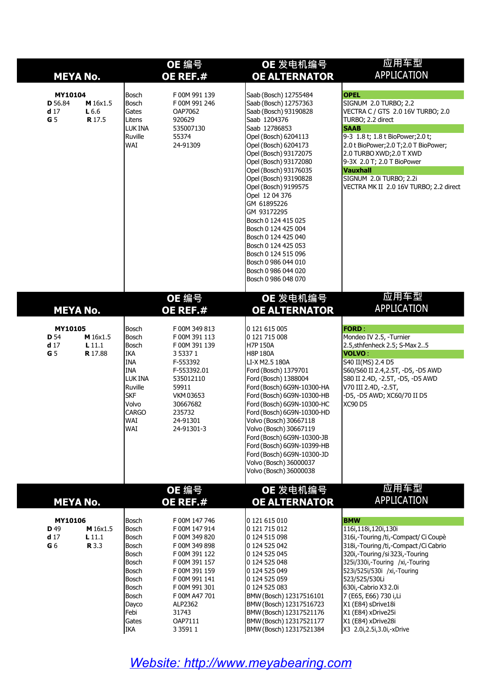|                                                             | <b>MEYA No.</b>                      |                                                                                                                                                       | OE 编号<br>OE REF.#                                                                                                                                                                                                 | OE 发电机编号<br><b>OE ALTERNATOR</b>                                                                                                                                                                                                                                                                                                                                                                                                                                                                                             | 应用车型<br><b>APPLICATION</b>                                                                                                                                                                                                                                                                                                                                                                       |
|-------------------------------------------------------------|--------------------------------------|-------------------------------------------------------------------------------------------------------------------------------------------------------|-------------------------------------------------------------------------------------------------------------------------------------------------------------------------------------------------------------------|------------------------------------------------------------------------------------------------------------------------------------------------------------------------------------------------------------------------------------------------------------------------------------------------------------------------------------------------------------------------------------------------------------------------------------------------------------------------------------------------------------------------------|--------------------------------------------------------------------------------------------------------------------------------------------------------------------------------------------------------------------------------------------------------------------------------------------------------------------------------------------------------------------------------------------------|
| MY10104<br>D 56.84<br>d <sub>17</sub><br>G <sub>5</sub>     | M 16x1.5<br>L6.6<br><b>R</b> 17.5    | Bosch<br>Bosch<br>Gates<br>Litens<br>LUK INA<br>Ruville<br>WAI                                                                                        | F 00M 991 139<br>F 00M 991 246<br>OAP7062<br>920629<br>535007130<br>55374<br>24-91309                                                                                                                             | Saab (Bosch) 12755484<br>Saab (Bosch) 12757363<br>Saab (Bosch) 93190828<br>Saab 1204376<br>Saab 12786853<br>Opel (Bosch) 6204113<br>Opel (Bosch) 6204173<br>Opel (Bosch) 93172075<br>Opel (Bosch) 93172080<br>Opel (Bosch) 93176035<br>Opel (Bosch) 93190828<br>Opel (Bosch) 9199575<br>Opel 12 04 376<br>GM 61895226<br>GM 93172295<br>Bosch 0 124 415 025<br>Bosch 0 124 425 004<br>Bosch 0 124 425 040<br>Bosch 0 124 425 053<br>Bosch 0 124 515 096<br>Bosch 0 986 044 010<br>Bosch 0 986 044 020<br>Bosch 0 986 048 070 | <b>OPEL</b><br>SIGNUM 2.0 TURBO; 2.2<br>VECTRA C / GTS 2.0 16V TURBO; 2.0<br>TURBO; 2.2 direct<br><b>SAAB</b><br>9-3 1.8 t; 1.8 t BioPower; 2.0 t;<br>2.0 t BioPower; 2.0 T; 2.0 T BioPower;<br>2.0 TURBO XWD; 2.0 T XWD<br>9-3X 2.0 T; 2.0 T BioPower<br>Vauxhall<br>SIGNUM 2.0i TURBO; 2.2i<br>VECTRA MK II 2.0 16V TURBO; 2.2 direct                                                          |
|                                                             | <b>MEYA No.</b>                      |                                                                                                                                                       | OE 编号<br>OE REF.#                                                                                                                                                                                                 | OE 发电机编号<br><b>OE ALTERNATOR</b>                                                                                                                                                                                                                                                                                                                                                                                                                                                                                             | 应用车型<br><b>APPLICATION</b>                                                                                                                                                                                                                                                                                                                                                                       |
| MY10105<br><b>D</b> 54<br>d <sub>17</sub><br>G <sub>5</sub> | M 16x1.5<br>L11.1<br><b>R</b> 17.88  | Bosch<br>Bosch<br><b>Bosch</b><br><b>IKA</b><br><b>INA</b><br><b>INA</b><br>LUK INA<br>Ruville<br><b>SKF</b><br>Volvo<br><b>I</b> CARGO<br>WAI<br>WAI | F 00M 349 813<br>F 00M 391 113<br>F00M391139<br>3 5337 1<br>F-553392<br>F-553392.01<br>535012110<br>59911<br><b>VKM03653</b><br>30667682<br>235732<br>24-91301<br>24-91301-3                                      | 0 121 615 005<br>0 121 715 008<br>H7P 150A<br><b>H8P 180A</b><br>LI-X M2.5 180A<br>Ford (Bosch) 1379701<br>Ford (Bosch) 1388004<br>Ford (Bosch) 6G9N-10300-HA<br>Ford (Bosch) 6G9N-10300-HB<br>Ford (Bosch) 6G9N-10300-HC<br>Ford (Bosch) 6G9N-10300-HD<br>Volvo (Bosch) 30667118<br>Volvo (Bosch) 30667119<br>Ford (Bosch) 6G9N-10300-JB<br>Ford (Bosch) 6G9N-10399-HB<br>Ford (Bosch) 6G9N-10300-JD<br>Volvo (Bosch) 36000037<br>Volvo (Bosch) 36000038                                                                    | <b>FORD:</b><br>Mondeo IV 2.5, -Turnier<br>2.5, sthfenheck 2.5; S-Max 25<br>VOLVO :<br>S40 II(MS) 2.4 D5<br>S60/S60 II 2.4,2.5T, -D5, -D5 AWD<br>S80 II 2.4D, -2.5T, -D5, -D5 AWD<br>V70 III 2.4D, -2.5T,<br>-D5, -D5 AWD; XC60/70 II D5<br><b>XC90 D5</b>                                                                                                                                       |
|                                                             | <b>MEYA No.</b>                      |                                                                                                                                                       | OE 编号<br>OE REF.#                                                                                                                                                                                                 | OE 发电机编号<br><b>OE ALTERNATOR</b>                                                                                                                                                                                                                                                                                                                                                                                                                                                                                             | 应用车型<br><b>APPLICATION</b>                                                                                                                                                                                                                                                                                                                                                                       |
| MY10106<br>D 49<br>d <sub>17</sub><br>G <sub>6</sub>        | M 16x1.5<br>$L$ 11.1<br><b>R</b> 3.3 | Bosch<br>Bosch<br>Bosch<br><b>Bosch</b><br>Bosch<br>Bosch<br>Bosch<br>Bosch<br>Bosch<br>Bosch<br>Dayco<br>Febi<br>Gates<br>IKA                        | F 00M 147 746<br>F 00M 147 914<br>F 00M 349 820<br>F 00M 349 898<br>F 00M 391 122<br>F 00M 391 157<br>F 00M 391 159<br>F 00M 991 141<br>F00M991301<br>F 00M A47 701<br>ALP2362<br>31743<br>OAP7111<br>3 3 5 9 1 1 | 0 121 615 010<br>0 121 715 012<br>0 124 515 098<br>0 124 525 042<br>0 124 525 045<br>0 124 525 048<br>0 124 525 049<br>0 124 525 059<br>0 124 525 083<br>BMW (Bosch) 12317516101<br>BMW (Bosch) 12317516723<br>BMW (Bosch) 12317521176<br>BMW (Bosch) 12317521177<br>BMW (Bosch) 12317521384                                                                                                                                                                                                                                 | <b>BMW</b><br>116i, 118i, 120i, 130i<br>316i,-Touring /ti,-Compact/ Ci Coupè<br>318i,-Touring /ti,-Compact / Ci Cabrio<br>320i,-Touring / si 323i,-Touring<br>325i/330i,-Touring /xi,-Touring<br>523i/525i/530i /xi,-Touring<br>523/525/530Li<br>630i,-Cabrio X3 2.0i<br>7 (E65, E66) 730 i,Li<br>X1 (E84) sDrive18i<br>X1 (E84) xDrive25i<br>X1 (E84) xDrive28i<br>X3 2.0i, 2.5i, 3.0i, -xDrive |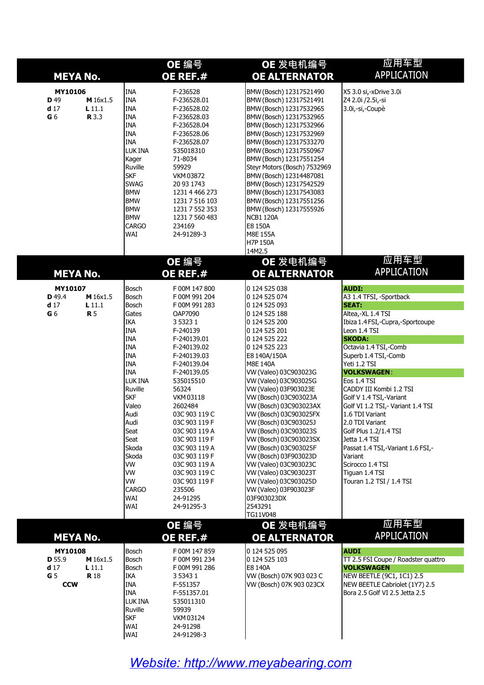|                                                             | <b>MEYA No.</b>                    |                                                                                                                                                                                                                                                                                                               | OE 编号<br>OE REF.#                                                                                                                                                                                                                                                                                                                                                                                              | OE 发电机编号<br><b>OE ALTERNATOR</b>                                                                                                                                                                                                                                                                                                                                                                                                                                                                                                                                                                 | 应用车型<br><b>APPLICATION</b>                                                                                                                                                                                                                                                                                                                                                                                                                                                                                                                           |
|-------------------------------------------------------------|------------------------------------|---------------------------------------------------------------------------------------------------------------------------------------------------------------------------------------------------------------------------------------------------------------------------------------------------------------|----------------------------------------------------------------------------------------------------------------------------------------------------------------------------------------------------------------------------------------------------------------------------------------------------------------------------------------------------------------------------------------------------------------|--------------------------------------------------------------------------------------------------------------------------------------------------------------------------------------------------------------------------------------------------------------------------------------------------------------------------------------------------------------------------------------------------------------------------------------------------------------------------------------------------------------------------------------------------------------------------------------------------|------------------------------------------------------------------------------------------------------------------------------------------------------------------------------------------------------------------------------------------------------------------------------------------------------------------------------------------------------------------------------------------------------------------------------------------------------------------------------------------------------------------------------------------------------|
| MY10106<br><b>D</b> 49<br>d <sub>17</sub><br>G <sub>6</sub> | M 16x1.5<br>L11.1<br><b>R</b> 3.3  | <b>INA</b><br>Ina<br><b>INA</b><br><b>INA</b><br><b>INA</b><br><b>INA</b><br><b>INA</b><br>LUK INA<br>Kager<br>Ruville<br><b>SKF</b><br><b>SWAG</b><br><b>BMW</b><br><b>BMW</b><br><b>BMW</b><br><b>BMW</b><br><b>CARGO</b><br><b>WAI</b>                                                                     | F-236528<br>F-236528.01<br>F-236528.02<br>F-236528.03<br>F-236528.04<br>F-236528.06<br>F-236528.07<br>535018310<br>71-8034<br>59929<br><b>VKM03872</b><br>20 93 1743<br>1231 4 466 273<br>1231 7 516 103<br>1231 7 552 353<br>1231 7 560 483<br>234169<br>24-91289-3                                                                                                                                           | BMW (Bosch) 12317521490<br>BMW (Bosch) 12317521491<br>BMW (Bosch) 12317532965<br>BMW (Bosch) 12317532965<br>BMW (Bosch) 12317532966<br>BMW (Bosch) 12317532969<br>BMW (Bosch) 12317533270<br>BMW (Bosch) 12317550967<br>BMW (Bosch) 12317551254<br>Steyr Motors (Bosch) 7532969<br>BMW (Bosch) 12314487081<br>BMW (Bosch) 12317542529<br>BMW (Bosch) 12317543083<br>BMW (Bosch) 12317551256<br>BMW (Bosch) 12317555926<br><b>NCB1 120A</b><br>E8 150A<br><b>M8E 155A</b><br><b>H7P 150A</b>                                                                                                      | X5 3.0 si,-xDrive 3.0i<br>Z4 2.0i / 2.5i,-si<br>3.0i,-si,-Coupè                                                                                                                                                                                                                                                                                                                                                                                                                                                                                      |
|                                                             | <b>MEYA No.</b>                    |                                                                                                                                                                                                                                                                                                               | OE 编号<br>OE REF.#                                                                                                                                                                                                                                                                                                                                                                                              | 14M2.5<br>OE 发电机编号<br><b>OE ALTERNATOR</b>                                                                                                                                                                                                                                                                                                                                                                                                                                                                                                                                                       | 应用车型<br><b>APPLICATION</b>                                                                                                                                                                                                                                                                                                                                                                                                                                                                                                                           |
| MY10107<br>D 49.4<br>d <sub>17</sub><br>G <sub>6</sub>      | M 16x1.5<br>$L$ 11.1<br><b>R</b> 5 | Bosch<br>Bosch<br>Bosch<br>Gates<br><b>IKA</b><br><b>INA</b><br><b>INA</b><br><b>INA</b><br><b>INA</b><br><b>INA</b><br><b>INA</b><br>LUK INA<br>Ruville<br><b>SKF</b><br>Valeo<br>Audi<br>Audi<br>Seat<br>Seat<br>Skoda<br>Skoda<br><b>VW</b><br><b>VW</b><br><b>VW</b><br>CARGO<br><b>WAI</b><br><b>WAI</b> | F 00M 147 800<br>F 00M 991 204<br>F00M991283<br>OAP7090<br>3 5 3 2 3 1<br>F-240139<br>F-240139.01<br>F-240139.02<br>F-240139.03<br>F-240139.04<br>F-240139.05<br>535015510<br>56324<br><b>VKM03118</b><br>2602484<br>03C 903 119 C<br>03C 903 119 F<br>03C 903 119 A<br>03C 903 119 F<br>03C 903 119 A<br>03C 903 119 F<br>03C 903 119 A<br>03C 903 119 C<br>03C 903 119 F<br>235506<br>24-91295<br>24-91295-3 | 0 124 525 038<br>0 124 525 074<br>0 124 525 093<br>0 124 525 188<br>0 124 525 200<br>0 124 525 201<br>0 124 525 222<br>0 124 525 223<br>E8 140A/150A<br>M8E 140A<br>VW (Valeo) 03C903023G<br>VW (Valeo) 03C903025G<br>VW (Valeo) 03F903023E<br>VW (Bosch) 03C903023A<br>VW (Bosch) 03C903023AX<br>VW (Bosch) 03C903025FX<br>VW (Bosch) 03C903025J<br>VW (Bosch) 03C903023S<br>VW (Bosch) 03C903023SX<br>VW (Bosch) 03C903025F<br>VW (Bosch) 03F903023D<br>VW (Valeo) 03C903023C<br>VW (Valeo) 03C903023T<br>VW (Valeo) 03C903025D<br>VW (Valeo) 03F903023F<br>03F903023DX<br>2543291<br>TG11V048 | <b>AUDI:</b><br>A3 1.4 TFSI, -Sportback<br><b>SEAT:</b><br>Altea,-XL 1.4 TSI<br>Ibiza 1.4 FSI,-Cupra,-Sportcoupe<br>Leon 1.4 TSI<br><b>SKODA:</b><br>Octavia 1.4 TSI,-Comb<br>Superb 1.4 TSI,-Comb<br>Yeti 1.2 TSI<br><b>VOLKSWAGEN:</b><br>Eos 1.4 TSI<br>CADDY III Kombi 1.2 TSI<br>Golf V 1.4 TSI,-Variant<br>Golf VI 1.2 TSI,- Variant 1.4 TSI<br>1.6 TDI Variant<br>2.0 TDI Variant<br>Golf Plus 1.2/1.4 TSI<br>Jetta 1.4 TSI<br>Passat 1.4 TSI,-Variant 1.6 FSI,-<br>Variant<br>Scirocco 1.4 TSI<br>Tiguan 1.4 TSI<br>Touran 1.2 TSI / 1.4 TSI |
|                                                             | <b>MEYA No.</b>                    | Bosch                                                                                                                                                                                                                                                                                                         | OE 编号<br>OE REF. $#$                                                                                                                                                                                                                                                                                                                                                                                           | OE 发电机编号<br><b>OE ALTERNATOR</b><br>0 124 525 095                                                                                                                                                                                                                                                                                                                                                                                                                                                                                                                                                | 应用车型<br><b>APPLICATION</b>                                                                                                                                                                                                                                                                                                                                                                                                                                                                                                                           |
| MY10108<br>D 55.9<br>d17<br>G <sub>5</sub><br><b>CCW</b>    | M 16x1.5<br>L11.1<br><b>R</b> 18   | Bosch<br>Bosch<br><b>IKA</b><br><b>INA</b><br><b>INA</b><br>LUK INA<br>Ruville<br><b>SKF</b><br><b>WAI</b>                                                                                                                                                                                                    | F 00M 147 859<br>F 00M 991 234<br>F00M991286<br>3 5 3 4 3 1<br>F-551357<br>F-551357.01<br>535011310<br>59939<br>VKM 03124<br>24-91298                                                                                                                                                                                                                                                                          | 0 124 525 103<br>E8 140A<br>VW (Bosch) 07K 903 023 C<br>VW (Bosch) 07K 903 023CX                                                                                                                                                                                                                                                                                                                                                                                                                                                                                                                 | <b>AUDI</b><br>TT 2.5 FSI Coupe / Roadster quattro<br><b>VOLKSWAGEN</b><br>NEW BEETLE (9C1, 1C1) 2.5<br>NEW BEETLE Cabriolet (1Y7) 2.5<br>Bora 2.5 Golf VI 2.5 Jetta 2.5                                                                                                                                                                                                                                                                                                                                                                             |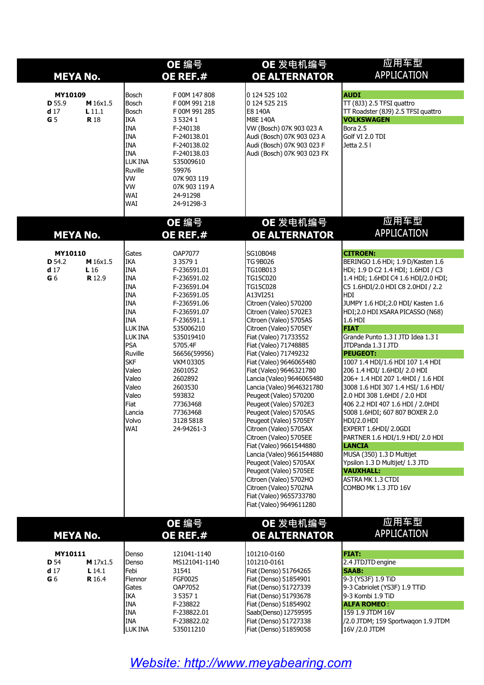|                                                             | <b>MEYA No.</b>                       |                                                                                                                                                                                                                       | OE 编号<br>OE REF.#                                                                                                                                                                                                                                                                                     | OE 发电机编号<br><b>OE ALTERNATOR</b>                                                                                                                                                                                                                                                                                                                                                                                                                                                                                                                                                                                                                                                                                                                                 | 应用车型<br><b>APPLICATION</b>                                                                                                                                                                                                                                                                                                                                                                                                                                                                                                                                                                                                                                                                                                                                                                                                                        |
|-------------------------------------------------------------|---------------------------------------|-----------------------------------------------------------------------------------------------------------------------------------------------------------------------------------------------------------------------|-------------------------------------------------------------------------------------------------------------------------------------------------------------------------------------------------------------------------------------------------------------------------------------------------------|------------------------------------------------------------------------------------------------------------------------------------------------------------------------------------------------------------------------------------------------------------------------------------------------------------------------------------------------------------------------------------------------------------------------------------------------------------------------------------------------------------------------------------------------------------------------------------------------------------------------------------------------------------------------------------------------------------------------------------------------------------------|---------------------------------------------------------------------------------------------------------------------------------------------------------------------------------------------------------------------------------------------------------------------------------------------------------------------------------------------------------------------------------------------------------------------------------------------------------------------------------------------------------------------------------------------------------------------------------------------------------------------------------------------------------------------------------------------------------------------------------------------------------------------------------------------------------------------------------------------------|
| MY10109<br>D 55.9<br>d <sub>17</sub><br>G <sub>5</sub>      | M 16x1.5<br>$L$ 11.1<br><b>R</b> 18   | Bosch<br>Bosch<br>Bosch<br>Ika<br>INA<br><b>INA</b><br><b>INA</b><br>INA<br>LUK INA<br>Ruville<br><b>VW</b><br><b>VW</b><br>WAI<br>WAI                                                                                | F 00M 147 808<br>F 00M 991 218<br>F 00M 991 285<br>3 5 3 2 4 1<br>F-240138<br>F-240138.01<br>F-240138.02<br>F-240138.03<br>535009610<br>59976<br>07K 903 119<br>07K 903 119 A<br>24-91298<br>24-91298-3                                                                                               | 0 124 525 102<br>0 124 525 215<br>E8 140A<br>M8E 140A<br>VW (Bosch) 07K 903 023 A<br>Audi (Bosch) 07K 903 023 A<br>Audi (Bosch) 07K 903 023 F<br>Audi (Bosch) 07K 903 023 FX                                                                                                                                                                                                                                                                                                                                                                                                                                                                                                                                                                                     | <b>AUDI</b><br>$TT(8J3)$ 2.5 TFSI quattro<br>TT Roadster (8J9) 2.5 TFSI quattro<br><b>VOLKSWAGEN</b><br>Bora 2.5<br><b>Golf VI 2.0 TDI</b><br>Jetta 2.5 I                                                                                                                                                                                                                                                                                                                                                                                                                                                                                                                                                                                                                                                                                         |
|                                                             | <b>MEYA No.</b>                       |                                                                                                                                                                                                                       | OE 编号<br>OE REF.#                                                                                                                                                                                                                                                                                     | OE 发电机编号<br><b>OE ALTERNATOR</b>                                                                                                                                                                                                                                                                                                                                                                                                                                                                                                                                                                                                                                                                                                                                 | 应用车型<br><b>APPLICATION</b>                                                                                                                                                                                                                                                                                                                                                                                                                                                                                                                                                                                                                                                                                                                                                                                                                        |
| MY10110<br>D 54.2<br>d <sub>17</sub><br>G <sub>6</sub>      | M 16x1.5<br>L16<br><b>R</b> 12.9      | Gates<br><b>IKA</b><br>INA<br><b>INA</b><br>INA<br><b>INA</b><br><b>INA</b><br>INA<br>INA<br>LUK INA<br>LUK INA<br>PSA<br>Ruville<br><b>SKF</b><br>Valeo<br>Valeo<br>Valeo<br>Valeo<br>Fiat<br>Lancia<br>Volvo<br>WAI | OAP7077<br>3 3 5 7 9 1<br>F-236591.01<br>F-236591.02<br>F-236591.04<br>F-236591.05<br>F-236591.06<br>F-236591.07<br>F-236591.1<br>535006210<br>535019410<br>5705.4F<br>56656(59956)<br><b>VKM 03305</b><br>2601052<br>2602892<br>2603530<br>593832<br>77363468<br>77363468<br>3128 5818<br>24-94261-3 | SG10B048<br><b>TG 9B026</b><br>TG10B013<br>TG15C020<br>TG15C028<br>A13VI251<br>Citroen (Valeo) 570200<br>Citroen (Valeo) 5702E3<br>Citroen (Valeo) 5705AS<br>Citroen (Valeo) 5705EY<br>Fiat (Valeo) 71733552<br>Fiat (Valeo) 71748885<br>Fiat (Valeo) 71749232<br>Fiat (Valeo) 9646065480<br>Fiat (Valeo) 9646321780<br>Lancia (Valeo) 9646065480<br>Lancia (Valeo) 9646321780<br>Peugeot (Valeo) 570200<br>Peugeot (Valeo) 5702E3<br>Peugeot (Valeo) 5705AS<br>Peugeot (Valeo) 5705EY<br>Citroen (Valeo) 5705AX<br>Citroen (Valeo) 5705EE<br>Fiat (Valeo) 9661544880<br>Lancia (Valeo) 9661544880<br>Peugeot (Valeo) 5705AX<br>Peugeot (Valeo) 5705EE<br>Citroen (Valeo) 5702HO<br>Citroen (Valeo) 5702NA<br>Fiat (Valeo) 9655733780<br>Fiat (Valeo) 9649611280 | <b>CITROEN:</b><br>BERINGO 1.6 HDi; 1.9 D/Kasten 1.6<br>HDi; 1.9 D C2 1.4 HDI; 1.6HDI / C3<br>1.4 HDI; 1.6HDI C4 1.6 HDI/2.0 HDI;<br>C5 1.6HDI/2.0 HDI C8 2.0HDI / 2.2<br>HDI<br>JUMPY 1.6 HDI; 2.0 HDI/ Kasten 1.6<br>HDI;2.0 HDI XSARA PICASSO (N68)<br>1.6 HDI<br><b>FIAT</b><br>Grande Punto 1.3 I JTD Idea 1.3 I<br>JTDPanda 1.3 I JTD<br><b>PEUGEOT:</b><br>1007 1.4 HDI/1.6 HDI 107 1.4 HDI<br>206 1.4 HDI/ 1.6HDI/ 2.0 HDI<br>206+ 1.4 HDI 207 1.4HDI / 1.6 HDI<br>3008 1.6 HDI 307 1.4 HSI/ 1.6 HDI/<br>2.0 HDI 308 1.6HDI / 2.0 HDI<br>406 2.2 HDI 407 1.6 HDI / 2.0HDI<br>5008 1.6HDI; 607 807 BOXER 2.0<br>HDI/2.0 HDI<br>EXPERT 1.6HDI/ 2.0GDI<br>PARTNER 1.6 HDI/1.9 HDI/ 2.0 HDI<br><b>LANCIA</b><br>MUSA (350) 1.3 D Multijet<br>Ypsilon 1.3 D Multijet/ 1.3 JTD<br><b>VAUXHALL:</b><br>ASTRA MK 1.3 CTDI<br>COMBO MK 1.3 JTD 16V |
|                                                             | <b>MEYA No.</b>                       |                                                                                                                                                                                                                       | OE 编号<br>OE REF.#                                                                                                                                                                                                                                                                                     | OE 发电机编号<br><b>OE ALTERNATOR</b>                                                                                                                                                                                                                                                                                                                                                                                                                                                                                                                                                                                                                                                                                                                                 | 应用车型<br><b>APPLICATION</b>                                                                                                                                                                                                                                                                                                                                                                                                                                                                                                                                                                                                                                                                                                                                                                                                                        |
| MY10111<br><b>D</b> 54<br>d <sub>17</sub><br>G <sub>6</sub> | M 17x1.5<br>$L$ 14.1<br><b>R</b> 16.4 | Denso<br>Denso<br>Febi<br>Flennor<br>Gates<br><b>IKA</b><br>INA<br>INA<br><b>INA</b><br>LUK INA                                                                                                                       | 121041-1140<br>MS121041-1140<br>31541<br>FGF0025<br>OAP7052<br>3 5 3 5 7 1<br>F-238822<br>F-238822.01<br>F-238822.02<br>535011210                                                                                                                                                                     | 101210-0160<br>101210-0161<br>Fiat (Denso) 51764265<br>Fiat (Denso) 51854901<br>Fiat (Denso) 51727339<br>Fiat (Denso) 51793678<br>Fiat (Denso) 51854902<br>Saab(Denso) 12759595<br>Fiat (Denso) 51727338<br>Fiat (Denso) 51859058                                                                                                                                                                                                                                                                                                                                                                                                                                                                                                                                | <b>FIAT:</b><br>2.4 JTDJTD engine<br><b>SAAB:</b><br>9-3 (YS3F) 1.9 TiD<br>9-3 Cabriolet (YS3F) 1.9 TTiD<br>9-3 Kombi 1.9 TiD<br><b>ALFA ROMEO:</b><br>159 1.9 JTDM 16V<br>/2.0 JTDM; 159 Sportwaqon 1.9 JTDM<br>16V / 2.0 JTDM                                                                                                                                                                                                                                                                                                                                                                                                                                                                                                                                                                                                                   |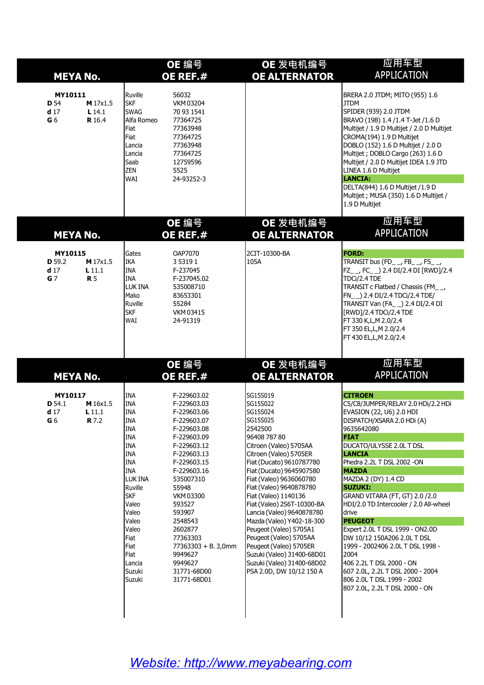| MY10111                                                       | <b>MEYA No.</b>                       |                                                                                                                                                                                                                                                   | OE 编号<br>OE REF.#                                                                                                                                                                                                                                                                                                             | OE 发电机编号<br><b>OE ALTERNATOR</b>                                                                                                                                                                                                                                                                                                                                                                                                                                                                                                | 应用车型<br><b>APPLICATION</b>                                                                                                                                                                                                                                                                                                                                                                                                                                                                                                                                                                                                    |
|---------------------------------------------------------------|---------------------------------------|---------------------------------------------------------------------------------------------------------------------------------------------------------------------------------------------------------------------------------------------------|-------------------------------------------------------------------------------------------------------------------------------------------------------------------------------------------------------------------------------------------------------------------------------------------------------------------------------|---------------------------------------------------------------------------------------------------------------------------------------------------------------------------------------------------------------------------------------------------------------------------------------------------------------------------------------------------------------------------------------------------------------------------------------------------------------------------------------------------------------------------------|-------------------------------------------------------------------------------------------------------------------------------------------------------------------------------------------------------------------------------------------------------------------------------------------------------------------------------------------------------------------------------------------------------------------------------------------------------------------------------------------------------------------------------------------------------------------------------------------------------------------------------|
| <b>D</b> 54<br>d <sub>17</sub><br>G <sub>6</sub>              | M 17x1.5<br>$L$ 14.1<br><b>R</b> 16.4 | Ruville<br><b>SKF</b><br><b>SWAG</b><br>Alfa Romeo<br>Fiat<br>Fiat<br>Lancia<br>Lancia<br>Saab<br><b>ZEN</b><br><b>WAI</b>                                                                                                                        | 56032<br><b>VKM03204</b><br>70 93 1541<br>77364725<br>77363948<br>77364725<br>77363948<br>77364725<br>12759596<br>5525<br>24-93252-3                                                                                                                                                                                          |                                                                                                                                                                                                                                                                                                                                                                                                                                                                                                                                 | BRERA 2.0 JTDM; MITO (955) 1.6<br><b>JTDM</b><br>SPIDER (939) 2.0 JTDM<br>BRAVO (198) 1.4 / 1.4 T-Jet / 1.6 D<br>Multijet / 1.9 D Multijet / 2.0 D Multijet<br>CROMA(194) 1.9 D Multijet<br>DOBLO (152) 1.6 D Multijet / 2.0 D<br>Multijet ; DOBLO Cargo (263) 1.6 D<br>Multijet / 2.0 D Multijet IDEA 1.9 JTD<br>LINEA 1.6 D Multijet<br>LANCIA:<br>DELTA(844) 1.6 D Multijet / 1.9 D<br>Multijet ; MUSA (350) 1.6 D Multijet /<br>1.9 D Multijet                                                                                                                                                                            |
|                                                               |                                       |                                                                                                                                                                                                                                                   |                                                                                                                                                                                                                                                                                                                               | OE 发电机编号<br><b>OE ALTERNATOR</b>                                                                                                                                                                                                                                                                                                                                                                                                                                                                                                | 应用车型<br><b>APPLICATION</b>                                                                                                                                                                                                                                                                                                                                                                                                                                                                                                                                                                                                    |
| MY10115<br>D 59.2<br>d <sub>17</sub><br>G <sub>7</sub>        |                                       | Gates<br>IKA<br><b>INA</b><br><b>INA</b><br>LUK INA<br>Mako<br>Ruville<br><b>SKF</b><br>WAI                                                                                                                                                       | OAP7070<br>3 5 3 1 9 1<br>F-237045<br>F-237045.02<br>535008710<br>83653301<br>55284<br>VKM 03415<br>24-91319                                                                                                                                                                                                                  | 2CIT-10300-BA<br>105A                                                                                                                                                                                                                                                                                                                                                                                                                                                                                                           | <b>FORD:</b><br>TRANSIT bus (FD_ _, FB_ _, FS_ _,<br>FZ_ _, FC_ _) 2.4 DI/2.4 DI [RWD]/2.4<br>TDCi/2.4 TDE<br>TRANSIT c Flatbed / Chassis (FM__,<br>FN_ _) 2.4 DI/2.4 TDCi/2.4 TDE/<br>TRANSIT Van (FA_ _) 2.4 DI/2.4 DI<br>[RWD]/2.4 TDCi/2.4 TDE<br>FT 330 K, L, M 2.0/2.4<br>FT 350 EL, L, M 2.0/2.4<br>FT 430 EL, L, M 2.0/2.4                                                                                                                                                                                                                                                                                            |
|                                                               |                                       |                                                                                                                                                                                                                                                   |                                                                                                                                                                                                                                                                                                                               | OE 发电机编号<br><b>OE ALTERNATOR</b>                                                                                                                                                                                                                                                                                                                                                                                                                                                                                                | 应用车型<br><b>APPLICATION</b>                                                                                                                                                                                                                                                                                                                                                                                                                                                                                                                                                                                                    |
| MY10117<br><b>D</b> 54.1<br>d <sub>17</sub><br>G <sub>6</sub> |                                       | <b>INA</b><br><b>INA</b><br><b>INA</b><br><b>INA</b><br><b>INA</b><br><b>INA</b><br><b>INA</b><br>INA<br>INA<br>INA<br>LUK INA<br>Ruville<br><b>SKF</b><br>Valeo<br>Valeo<br>Valeo<br>Valeo<br>Fiat<br>Fiat<br>Fiat<br>Lancia<br>Suzuki<br>Suzuki | F-229603.02<br>F-229603.03<br>F-229603.06<br>F-229603.07<br>F-229603.08<br>F-229603.09<br>F-229603.12<br>F-229603.13<br>F-229603.15<br>F-229603.16<br>535007310<br>55948<br><b>VKM 03300</b><br>593527<br>593907<br>2548543<br>2602877<br>77363303<br>77363303 + B. 3,0mm<br>9949627<br>9949627<br>31771-68D00<br>31771-68D01 | SG15S019<br>SG15S022<br>SG15S024<br>SG15S025<br>2542500<br>96408 787 80<br>Citroen (Valeo) 5705AA<br>Citroen (Valeo) 5705ER<br>Fiat (Ducato) 9610787780<br>Fiat (Ducato) 9645907580<br>Fiat (Valeo) 9636060780<br>Fiat (Valeo) 9640878780<br>Fiat (Valeo) 1140136<br>Fiat (Valeo) 2S6T-10300-BA<br>Lancia (Valeo) 9640878780<br>Mazda (Valeo) Y402-18-300<br>Peugeot (Valeo) 5705A1<br>Peugeot (Valeo) 5705AA<br>Peugeot (Valeo) 5705ER<br>Suzuki (Valeo) 31400-68D01<br>Suzuki (Valeo) 31400-68D02<br>PSA 2.0D, DW 10/12 150 A | <b>CITROEN</b><br>C5/C8/JUMPER/RELAY 2.0 HDi/2.2 HDi<br>EVASION (22, U6) 2.0 HDI<br>DISPATCH/XSARA 2.0 HDi (A)<br>9635642080<br><b>FIAT</b><br>DUCATO/ULYSSE 2.0L T DSL<br>LANCIA<br>Phedra 2.2L T DSL 2002 -ON<br><b>MAZDA</b><br>MAZDA 2 (DY) 1.4 CD<br><b>SUZUKI:</b><br>GRAND VITARA (FT, GT) 2.0 /2.0<br>HDI/2.0 TD Intercooler / 2.0 All-wheel<br>drive<br><b>PEUGEOT</b><br>Expert 2.0L T DSL 1999 - ON2.0D<br>DW 10/12 150A206 2.0L T DSL<br>1999 - 2002406 2.0L T DSL 1998 -<br>2004<br>406 2.2L T DSL 2000 - ON<br>607 2.0L, 2.2L T DSL 2000 - 2004<br>806 2.0L T DSL 1999 - 2002<br>807 2.0L, 2.2L T DSL 2000 - ON |
|                                                               |                                       | <b>MEYA No.</b><br>M 17x1.5<br>$L$ 11.1<br><b>R</b> 5<br><b>MEYA No.</b><br>M 16x1.5<br>L11.1<br><b>R</b> 7.2                                                                                                                                     |                                                                                                                                                                                                                                                                                                                               | OE 编号<br>OE REF.#<br>OE 编号<br>OE REF. $#$                                                                                                                                                                                                                                                                                                                                                                                                                                                                                       |                                                                                                                                                                                                                                                                                                                                                                                                                                                                                                                                                                                                                               |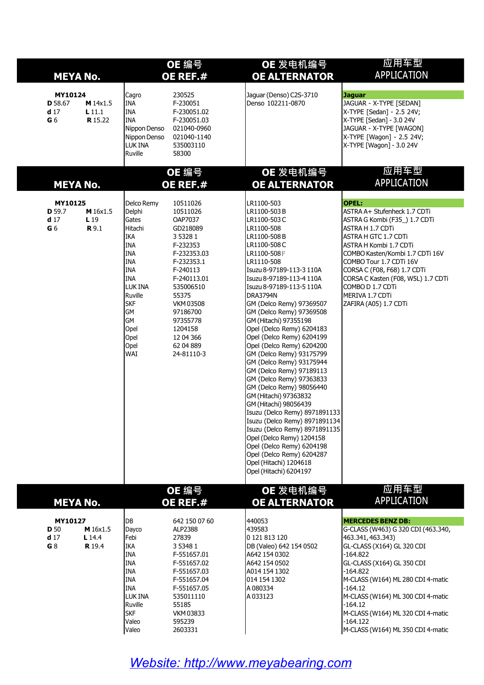|                                                         | <b>MEYA No.</b>                        |                                                                                                                                                                                               | OE 编号<br>OE REF.#                                                                                                                                                                                                                                   | OE 发电机编号<br><b>OE ALTERNATOR</b>                                                                                                                                                                                                                                                                                                                                                                                                                                                                                                                                                                                                                                                                                                                                                                                                       | 应用车型<br><b>APPLICATION</b>                                                                                                                                                                                                                                                                                                                                              |
|---------------------------------------------------------|----------------------------------------|-----------------------------------------------------------------------------------------------------------------------------------------------------------------------------------------------|-----------------------------------------------------------------------------------------------------------------------------------------------------------------------------------------------------------------------------------------------------|----------------------------------------------------------------------------------------------------------------------------------------------------------------------------------------------------------------------------------------------------------------------------------------------------------------------------------------------------------------------------------------------------------------------------------------------------------------------------------------------------------------------------------------------------------------------------------------------------------------------------------------------------------------------------------------------------------------------------------------------------------------------------------------------------------------------------------------|-------------------------------------------------------------------------------------------------------------------------------------------------------------------------------------------------------------------------------------------------------------------------------------------------------------------------------------------------------------------------|
| MY10124<br>D 58.67<br>d <sub>17</sub><br>G <sub>6</sub> | M 14x1.5<br>$L$ 11.1<br><b>R</b> 15.22 | Cagro<br><b>INA</b><br><b>INA</b><br><b>I</b> INA<br>Nippon Denso<br>Nippon Denso<br>LUK INA<br>Ruville                                                                                       | 230525<br>F-230051<br>F-230051.02<br>F-230051.03<br>021040-0960<br>021040-1140<br>535003110<br>58300                                                                                                                                                | Jaguar (Denso) C2S-3710<br>Denso 102211-0870                                                                                                                                                                                                                                                                                                                                                                                                                                                                                                                                                                                                                                                                                                                                                                                           | <b>Jaguar</b><br>JAGUAR - X-TYPE [SEDAN]<br>X-TYPE [Sedan] - 2.5 24V;<br>X-TYPE [Sedan] - 3.0 24V<br>JAGUAR - X-TYPE [WAGON]<br>X-TYPE [Wagon] - 2.5 24V;<br>X-TYPE [Wagon] - 3.0 24V                                                                                                                                                                                   |
|                                                         | <b>MEYA No.</b>                        |                                                                                                                                                                                               | OE 编号<br>OE REF.#                                                                                                                                                                                                                                   | OE 发电机编号<br><b>OE ALTERNATOR</b>                                                                                                                                                                                                                                                                                                                                                                                                                                                                                                                                                                                                                                                                                                                                                                                                       | 应用车型<br><b>APPLICATION</b>                                                                                                                                                                                                                                                                                                                                              |
| MY10125<br>D 59.7<br>d <sub>17</sub><br>G <sub>6</sub>  | M 16x1.5<br>L <sub>19</sub><br>R 9.1   | Delco Remy<br>Delphi<br>Gates<br>Hitachi<br>IKA<br><b>INA</b><br><b>INA</b><br><b>INA</b><br>INA<br><b>INA</b><br>LUK INA<br>Ruville<br><b>SKF</b><br>GM<br>GM<br>Opel<br>Opel<br>Opel<br>WAI | 10511026<br>10511026<br>OAP7037<br>GD218089<br>3 5 3 2 8 1<br>F-232353<br>F-232353.03<br>F-232353.1<br>F-240113<br>F-240113.01<br>535006510<br>55375<br><b>VKM 03508</b><br>97186700<br>97355778<br>1204158<br>12 04 366<br>62 04 889<br>24-81110-3 | LR1100-503<br>LR1100-503B<br>LR1100-503C<br>LR1100-508<br>LR1100-508B<br>LR1100-508 C<br>LR1100-508F<br>LR1110-508<br>Isuzu 8-97189-113-3 110A<br>Isuzu 8-97189-113-4 110A<br>Isuzu 8-97189-113-5 110A<br>DRA3794N<br>GM (Delco Remy) 97369507<br>GM (Delco Remy) 97369508<br>GM (Hitachi) 97355198<br>Opel (Delco Remy) 6204183<br>Opel (Delco Remy) 6204199<br>Opel (Delco Remy) 6204200<br>GM (Delco Remy) 93175799<br>GM (Delco Remy) 93175944<br>GM (Delco Remy) 97189113<br>GM (Delco Remy) 97363833<br>GM (Delco Remy) 98056440<br>GM (Hitachi) 97363832<br>GM (Hitachi) 98056439<br>Isuzu (Delco Remy) 8971891133<br>Isuzu (Delco Remy) 8971891134<br>Isuzu (Delco Remy) 8971891135<br>Opel (Delco Remy) 1204158<br>Opel (Delco Remy) 6204198<br>Opel (Delco Remy) 6204287<br>Opel (Hitachi) 1204618<br>Opel (Hitachi) 6204197 | <b>OPEL:</b><br>ASTRA A+ Stufenheck 1.7 CDTi<br>ASTRA G Kombi (F35_) 1.7 CDTi<br>ASTRA H 1.7 CDTi<br>ASTRA H GTC 1.7 CDTi<br>ASTRA H Kombi 1.7 CDTi<br>COMBO Kasten/Kombi 1.7 CDTi 16V<br>COMBO Tour 1.7 CDTi 16V<br>CORSA C (F08, F68) 1.7 CDTi<br>CORSA C Kasten (F08, W5L) 1.7 CDTi<br>COMBO D 1.7 CDTi<br>MERIVA 1.7 CDTi<br>ZAFIRA (A05) 1.7 CDTi                  |
|                                                         | <b>MEYA No.</b>                        |                                                                                                                                                                                               | OE 编号<br>OE REF.#                                                                                                                                                                                                                                   | OE 发电机编号<br><b>OE ALTERNATOR</b>                                                                                                                                                                                                                                                                                                                                                                                                                                                                                                                                                                                                                                                                                                                                                                                                       | 应用车型<br><b>APPLICATION</b>                                                                                                                                                                                                                                                                                                                                              |
| MY10127<br><b>D</b> 50<br>d <sub>17</sub><br>G 8        | M 16x1.5<br>L 14.4<br><b>R</b> 19.4    | DB<br>Dayco<br>Febi<br>IKA<br><b>INA</b><br><b>INA</b><br><b>INA</b><br>INA<br>INA<br>LUK INA<br>Ruville<br><b>SKF</b><br>Valeo<br>Valeo                                                      | 642 150 07 60<br>ALP2388<br>27839<br>3 5 3 4 8 1<br>F-551657.01<br>F-551657.02<br>F-551657.03<br>F-551657.04<br>F-551657.05<br>535011110<br>55185<br>VKM 03833<br>595239<br>2603331                                                                 | 440053<br>439583<br>0 121 813 120<br>DB (Valeo) 642 154 0502<br>A642 154 0302<br>A642 154 0502<br>A014 154 1302<br>014 154 1302<br>A 080334<br>A 033123                                                                                                                                                                                                                                                                                                                                                                                                                                                                                                                                                                                                                                                                                | <b>MERCEDES BENZ DB:</b><br>G-CLASS (W463) G 320 CDI (463.340,<br>463.341, 463.343)<br>GL-CLASS (X164) GL 320 CDI<br>$-164.822$<br>GL-CLASS (X164) GL 350 CDI<br>$-164.822$<br>M-CLASS (W164) ML 280 CDI 4-matic<br>$-164.12$<br>M-CLASS (W164) ML 300 CDI 4-matic<br>$-164.12$<br>M-CLASS (W164) ML 320 CDI 4-matic<br>$-164.122$<br>M-CLASS (W164) ML 350 CDI 4-matic |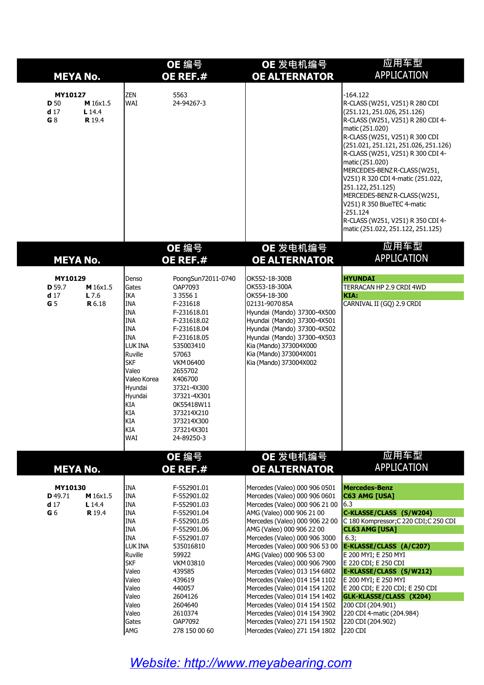|                                                         | <b>MEYA No.</b>                      |                                                                                                                                                                                                                                | OE 编号<br>OE REF.#                                                                                                                                                                                                                                                                        | OE 发电机编号<br><b>OE ALTERNATOR</b>                                                                                                                                                                                                                                                                                                                                                                                                                                                                                                                                                                          | 应用车型<br><b>APPLICATION</b>                                                                                                                                                                                                                                                                                                                                                                                                                                                                                             |
|---------------------------------------------------------|--------------------------------------|--------------------------------------------------------------------------------------------------------------------------------------------------------------------------------------------------------------------------------|------------------------------------------------------------------------------------------------------------------------------------------------------------------------------------------------------------------------------------------------------------------------------------------|-----------------------------------------------------------------------------------------------------------------------------------------------------------------------------------------------------------------------------------------------------------------------------------------------------------------------------------------------------------------------------------------------------------------------------------------------------------------------------------------------------------------------------------------------------------------------------------------------------------|------------------------------------------------------------------------------------------------------------------------------------------------------------------------------------------------------------------------------------------------------------------------------------------------------------------------------------------------------------------------------------------------------------------------------------------------------------------------------------------------------------------------|
| MY10127<br><b>D</b> 50<br>d <sub>17</sub><br>G8         | M 16x1.5<br>L 14.4<br><b>R</b> 19.4  | <b>ZEN</b><br><b>WAI</b>                                                                                                                                                                                                       | 5563<br>24-94267-3                                                                                                                                                                                                                                                                       |                                                                                                                                                                                                                                                                                                                                                                                                                                                                                                                                                                                                           | $-164.122$<br>R-CLASS (W251, V251) R 280 CDI<br>(251.121, 251.026, 251.126)<br>R-CLASS (W251, V251) R 280 CDI 4-<br>matic (251.020)<br>R-CLASS (W251, V251) R 300 CDI<br>(251.021, 251.121, 251.026, 251.126)<br>R-CLASS (W251, V251) R 300 CDI 4-<br>matic (251.020)<br>MERCEDES-BENZ R-CLASS (W251,<br>V251) R 320 CDI 4-matic (251.022,<br>251.122, 251.125)<br>MERCEDES-BENZ R-CLASS (W251,<br>V251) R 350 BlueTEC 4-matic<br>$-251.124$<br>R-CLASS (W251, V251) R 350 CDI 4-<br>matic (251.022, 251.122, 251.125) |
|                                                         | <b>MEYA No.</b>                      |                                                                                                                                                                                                                                | OE 编号<br>OE REF.#                                                                                                                                                                                                                                                                        | OE 发电机编号<br><b>OE ALTERNATOR</b>                                                                                                                                                                                                                                                                                                                                                                                                                                                                                                                                                                          | 应用车型<br><b>APPLICATION</b>                                                                                                                                                                                                                                                                                                                                                                                                                                                                                             |
| MY10129<br>D 59.7<br>d <sub>17</sub><br>G <sub>5</sub>  | M 16x1.5<br>$L$ 7.6<br><b>R</b> 6.18 | Denso<br>Gates<br><b>IKA</b><br><b>INA</b><br><b>INA</b><br><b>INA</b><br><b>INA</b><br><b>INA</b><br>LUK INA<br>Ruville<br><b>SKF</b><br>Valeo<br>Valeo Korea<br>Hyundai<br>Hyundai<br>KIA<br>KIA<br>KIA<br>KIA<br><b>WAI</b> | PoongSun72011-0740<br>OAP7093<br>3 3 5 5 6 1<br>F-231618<br>F-231618.01<br>F-231618.02<br>F-231618.04<br>F-231618.05<br>535003410<br>57063<br><b>VKM 06400</b><br>2655702<br>K406700<br>37321-4X300<br>37321-4X301<br>0K55418W11<br>373214X210<br>373214X300<br>373214X301<br>24-89250-3 | OK552-18-300B<br>OK553-18-300A<br>OK554-18-300<br>02131-907085A<br>Hyundai (Mando) 37300-4X500<br>Hyundai (Mando) 37300-4X501<br>Hyundai (Mando) 37300-4X502<br>Hyundai (Mando) 37300-4X503<br>Kia (Mando) 373004X000<br>Kia (Mando) 373004X001<br>Kia (Mando) 373004X002                                                                                                                                                                                                                                                                                                                                 | <b>HYUNDAI</b><br>TERRACAN HP 2.9 CRDI 4WD<br>KIA:<br>CARNIVAL II (GQ) 2.9 CRDI                                                                                                                                                                                                                                                                                                                                                                                                                                        |
|                                                         | <b>MEYA No.</b>                      |                                                                                                                                                                                                                                | OE 编号<br>OE REF.#                                                                                                                                                                                                                                                                        | OE 发电机编号<br><b>OE ALTERNATOR</b>                                                                                                                                                                                                                                                                                                                                                                                                                                                                                                                                                                          | 应用车型<br><b>APPLICATION</b>                                                                                                                                                                                                                                                                                                                                                                                                                                                                                             |
| MY10130<br>D 49.71<br>d <sub>17</sub><br>G <sub>6</sub> | M 16x1.5<br>L 14.4<br>R 19.4         | <b>INA</b><br><b>INA</b><br><b>INA</b><br><b>INA</b><br><b>INA</b><br><b>INA</b><br><b>INA</b><br>LUK INA<br>Ruville<br><b>SKF</b><br>Valeo<br>Valeo<br>Valeo<br>Valeo<br>Valeo<br>Valeo<br>Gates<br>AMG                       | F-552901.01<br>F-552901.02<br>F-552901.03<br>F-552901.04<br>F-552901.05<br>F-552901.06<br>F-552901.07<br>535016810<br>59922<br><b>VKM03810</b><br>439585<br>439619<br>440057<br>2604126<br>2604640<br>2610374<br>OAP7092<br>278 150 00 60                                                | Mercedes (Valeo) 000 906 0501<br>Mercedes (Valeo) 000 906 0601<br>Mercedes (Valeo) 000 906 21 00 6.3<br>AMG (Valeo) 000 906 21 00<br>Mercedes (Valeo) 000 906 22 00<br>AMG (Valeo) 000 906 22 00<br>Mercedes (Valeo) 000 906 3000<br>Mercedes (Valeo) 000 906 53 00<br>AMG (Valeo) 000 906 53 00<br>Mercedes (Valeo) 000 906 7900<br>Mercedes (Valeo) 013 154 6802<br>Mercedes (Valeo) 014 154 1102<br>Mercedes (Valeo) 014 154 1202<br>Mercedes (Valeo) 014 154 1402<br>Mercedes (Valeo) 014 154 1502<br>Mercedes (Valeo) 014 154 3902<br>Mercedes (Valeo) 271 154 1502<br>Mercedes (Valeo) 271 154 1802 | <b>Mercedes-Benz</b><br>C63 AMG [USA]<br>C-KLASSE/CLASS (S/W204)<br>C 180 Kompressor; C 220 CDI; C 250 CDI<br><b>CL63 AMG [USA]</b><br>6.3;<br>E-KLASSE/CLASS (A/C207)<br>E 200 MYI; E 250 MYI<br>E 220 CDI; E 250 CDI<br>E-KLASSE/CLASS (S/W212)<br>E 200 MYI; E 250 MYI<br>E 200 CDI; E 220 CDI; E 250 CDI<br>GLK-KLASSE/CLASS (X204)<br>200 CDI (204.901)<br>220 CDI 4-matic (204.984)<br>220 CDI (204.902)<br>220 CDI                                                                                              |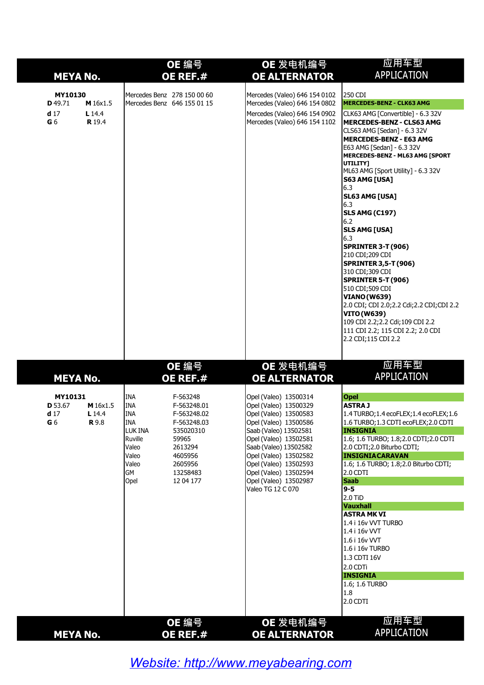| MY10130<br>Mercedes Benz 278 150 00 60<br>Mercedes (Valeo) 646 154 0102<br>250 CDI<br>D 49.71<br>M 16x1.5<br>Mercedes Benz 646 155 01 15<br>Mercedes (Valeo) 646 154 0802<br>MERCEDES-BENZ - CLK63 AMG<br>d <sub>17</sub><br>Mercedes (Valeo) 646 154 0902<br>$L$ 14.4<br>CLK63 AMG [Convertible] - 6.3 32V<br>G 6<br><b>R</b> 19.4<br>Mercedes (Valeo) 646 154 1102<br>MERCEDES-BENZ - CLS63 AMG<br>CLS63 AMG [Sedan] - 6.3 32V<br>MERCEDES-BENZ - E63 AMG<br>E63 AMG [Sedan] - 6.3 32V<br>MERCEDES-BENZ - ML63 AMG [SPORT<br>UTILITY]<br>ML63 AMG [Sport Utility] - 6.3 32V<br><b>S63 AMG [USA]</b><br>6.3<br><b>SL63 AMG [USA]</b><br>6.3<br>SLS AMG (C197)<br>6.2<br><b>SLS AMG [USA]</b><br>6.3<br>SPRINTER 3-T (906)<br>210 CDI;209 CDI<br><b>SPRINTER 3,5-T (906)</b><br>310 CDI;309 CDI<br>SPRINTER 5-T (906)<br>510 CDI;509 CDI<br>VIANO (W639)<br>2.0 CDI; CDI 2.0;2.2 Cdi;2.2 CDI;CDI 2.2<br><b>VITO (W639)</b><br>109 CDI 2.2;2.2 Cdi;109 CDI 2.2<br>111 CDI 2.2; 115 CDI 2.2; 2.0 CDI<br>2.2 CDI;115 CDI 2.2<br>应用车型<br>OE 发电机编号<br>OE 编号<br><b>APPLICATION</b><br><b>MEYA No.</b><br>OE REF.#<br><b>OE ALTERNATOR</b><br>MY10131<br><b>INA</b><br>F-563248<br>Opel (Valeo) 13500314<br><b>Opel</b><br><b>ASTRAJ</b><br>D 53.67<br>M 16x1.5<br><b>INA</b><br>Opel (Valeo) 13500329<br>F-563248.01<br><b>INA</b><br>d <sub>17</sub><br>L 14.4<br>Opel (Valeo) 13500583<br>1.4 TURBO; 1.4 ecoFLEX; 1.4 ecoFLEX; 1.6<br>F-563248.02<br>INA<br>Opel (Valeo) 13500586<br>G <sub>6</sub><br><b>R</b> 9.8<br>F-563248.03<br>1.6 TURBO; 1.3 CDTI ecoFLEX; 2.0 CDTI<br>LUK INA<br>Saab (Valeo) 13502581<br>535020310<br><b>INSIGNIA</b><br>59965<br>Opel (Valeo) 13502581<br>1.6; 1.6 TURBO; 1.8; 2.0 CDTI; 2.0 CDTI<br>Ruville<br>Valeo<br>Saab (Valeo) 13502582<br>2.0 CDTI;2.0 Biturbo CDTI;<br>2613294<br>Valeo<br>4605956<br>Opel (Valeo) 13502582<br><b>INSIGNIA CARAVAN</b><br>Valeo<br>2605956<br>Opel (Valeo) 13502593<br>1.6; 1.6 TURBO; 1.8; 2.0 Biturbo CDTI;<br>GM<br>13258483<br>Opel (Valeo) 13502594<br>2.0 CDTI<br><b>Saab</b><br>Opel<br>12 04 177<br>Opel (Valeo) 13502987<br>$9 - 5$<br>Valeo TG 12 C 070<br>2.0 TiD<br>Vauxhall<br><b>ASTRA MK VI</b><br>1.4 i 16v VVT TURBO<br>1.4 i 16v VVT<br>1.6 i 16v VVT<br>1.6 i 16v TURBO<br>1.3 CDTI 16V<br>2.0 CDTi<br><b>INSIGNIA</b><br>1.6; 1.6 TURBO<br>1.8<br>2.0 CDTI | <b>MEYA No.</b> | OE 编号<br>OE REF.# | OE 发电机编号<br><b>OE ALTERNATOR</b> | 应用车型<br><b>APPLICATION</b> |
|------------------------------------------------------------------------------------------------------------------------------------------------------------------------------------------------------------------------------------------------------------------------------------------------------------------------------------------------------------------------------------------------------------------------------------------------------------------------------------------------------------------------------------------------------------------------------------------------------------------------------------------------------------------------------------------------------------------------------------------------------------------------------------------------------------------------------------------------------------------------------------------------------------------------------------------------------------------------------------------------------------------------------------------------------------------------------------------------------------------------------------------------------------------------------------------------------------------------------------------------------------------------------------------------------------------------------------------------------------------------------------------------------------------------------------------------------------------------------------------------------------------------------------------------------------------------------------------------------------------------------------------------------------------------------------------------------------------------------------------------------------------------------------------------------------------------------------------------------------------------------------------------------------------------------------------------------------------------------------------------------------------------------------------------------------------------------------------------------------------------------------------------------------------------------------------------------------------------------------------------------------------------------------------------------------------------------------------------|-----------------|-------------------|----------------------------------|----------------------------|
|                                                                                                                                                                                                                                                                                                                                                                                                                                                                                                                                                                                                                                                                                                                                                                                                                                                                                                                                                                                                                                                                                                                                                                                                                                                                                                                                                                                                                                                                                                                                                                                                                                                                                                                                                                                                                                                                                                                                                                                                                                                                                                                                                                                                                                                                                                                                                |                 |                   |                                  |                            |
|                                                                                                                                                                                                                                                                                                                                                                                                                                                                                                                                                                                                                                                                                                                                                                                                                                                                                                                                                                                                                                                                                                                                                                                                                                                                                                                                                                                                                                                                                                                                                                                                                                                                                                                                                                                                                                                                                                                                                                                                                                                                                                                                                                                                                                                                                                                                                |                 |                   |                                  |                            |
|                                                                                                                                                                                                                                                                                                                                                                                                                                                                                                                                                                                                                                                                                                                                                                                                                                                                                                                                                                                                                                                                                                                                                                                                                                                                                                                                                                                                                                                                                                                                                                                                                                                                                                                                                                                                                                                                                                                                                                                                                                                                                                                                                                                                                                                                                                                                                |                 |                   |                                  |                            |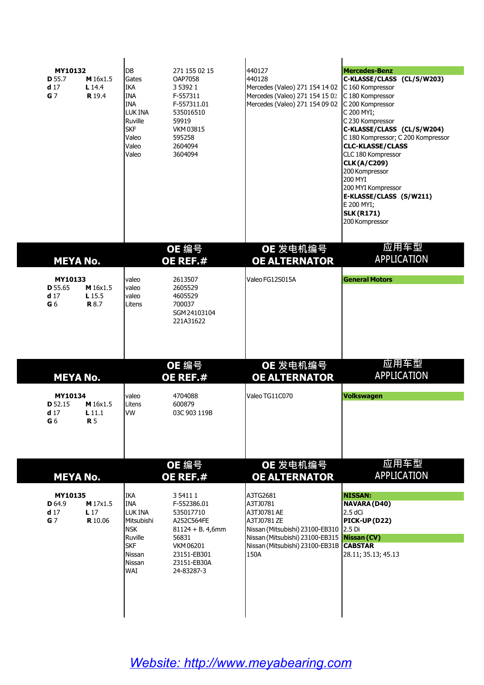| MY10132<br><b>D</b> 55.7<br>d <sub>17</sub><br>G <sub>7</sub>  | M 16x1.5<br>L14.4<br><b>R</b> 19.4            | ldb.<br>Gates<br><b>IKA</b><br><b>INA</b><br>IINA<br>LUK INA<br>Ruville<br><b>SKF</b><br>Valeo<br>Valeo<br>Valeo             | 271 155 02 15<br>OAP7058<br>3 5 3 9 2 1<br>F-557311<br>F-557311.01<br>535016510<br>59919<br><b>VKM03815</b><br>595258<br>2604094<br>3604094 | 440127<br>440128<br>Mercedes (Valeo) 271 154 14 02<br>Mercedes (Valeo) 271 154 15 02<br>Mercedes (Valeo) 271 154 09 02                                                             | <b>Mercedes-Benz</b><br>C-KLASSE/CLASS (CL/S/W203)<br>C 160 Kompressor<br>C 180 Kompressor<br>C 200 Kompressor<br>C 200 MYI;<br>C 230 Kompressor<br>C-KLASSE/CLASS (CL/S/W204)<br>C 180 Kompressor; C 200 Kompressor<br><b>CLC-KLASSE/CLASS</b><br>CLC 180 Kompressor<br><b>CLK (A/C209)</b><br>200 Kompressor<br>200 MYI<br>200 MYI Kompressor<br>E-KLASSE/CLASS (S/W211)<br>E 200 MYI;<br><b>SLK (R171)</b><br>200 Kompressor |
|----------------------------------------------------------------|-----------------------------------------------|------------------------------------------------------------------------------------------------------------------------------|---------------------------------------------------------------------------------------------------------------------------------------------|------------------------------------------------------------------------------------------------------------------------------------------------------------------------------------|---------------------------------------------------------------------------------------------------------------------------------------------------------------------------------------------------------------------------------------------------------------------------------------------------------------------------------------------------------------------------------------------------------------------------------|
| <b>MEYA No.</b>                                                |                                               |                                                                                                                              | OE 编号<br>OE REF.#                                                                                                                           | OE 发电机编号<br><b>OE ALTERNATOR</b>                                                                                                                                                   | 应用车型<br><b>APPLICATION</b>                                                                                                                                                                                                                                                                                                                                                                                                      |
| MY10133<br><b>D</b> 55.65<br>d <sub>17</sub><br>G <sub>6</sub> | M 16x1.5<br>L 15.5<br><b>R</b> 8.7            | valeo<br><b>valeo</b><br>valeo<br>Litens                                                                                     | 2613507<br>2605529<br>4605529<br>700037<br>SGM 24103104<br>221A31622                                                                        | Valeo FG12S015A                                                                                                                                                                    | <b>General Motors</b>                                                                                                                                                                                                                                                                                                                                                                                                           |
| <b>MEYA No.</b>                                                |                                               |                                                                                                                              | OE 编号<br>OE REF.#                                                                                                                           | OE 发电机编号<br><b>OE ALTERNATOR</b>                                                                                                                                                   | 应用车型<br><b>APPLICATION</b>                                                                                                                                                                                                                                                                                                                                                                                                      |
| MY10134<br>D 52.15<br>d <sub>17</sub><br>G <sub>6</sub>        | M 16x1.5<br>$L$ 11.1<br><b>R</b> 5            | valeo<br>Litens<br>lvw.                                                                                                      | 4704088<br>600879<br>03C 903 119B                                                                                                           | Valeo TG11C070                                                                                                                                                                     | Volkswagen                                                                                                                                                                                                                                                                                                                                                                                                                      |
| <b>MEYA No.</b>                                                |                                               |                                                                                                                              | OE 编号<br>OE REF.#                                                                                                                           | OE 发电机编号<br><b>OE ALTERNATOR</b>                                                                                                                                                   | 应用车型<br><b>APPLICATION</b>                                                                                                                                                                                                                                                                                                                                                                                                      |
| MY10135<br>D 64.9<br>d <sub>17</sub><br>G <sub>7</sub>         | M 17x1.5<br>L <sub>17</sub><br><b>R</b> 10.06 | <b>IKA</b><br><b>INA</b><br><b>LUKINA</b><br>Mitsubishi<br><b>I</b> nsk<br>Ruville<br><b>SKF</b><br>Nissan<br>Nissan<br>lwai | 3 5 4 1 1<br>F-552386.01<br>535017710<br>A252C564FE<br>$81124 + B. 4,6mm$<br>56831<br>VKM 06201<br>23151-EB301<br>23151-EB30A<br>24-83287-3 | A3TG2681<br>A3TJ0781<br>A3TJ0781 AE<br>A3TJ0781 ZE<br>Nissan (Mitsubishi) 23100-EB310 2.5 Di<br>Nissan (Mitsubishi) 23100-EB315<br>Nissan (Mitsubishi) 23100-EB31B CABSTAR<br>150A | <b>NISSAN:</b><br>NAVARA (D40)<br>2.5 dCi<br>PICK-UP(D22)<br><b>Nissan (CV)</b><br>28.11; 35.13; 45.13                                                                                                                                                                                                                                                                                                                          |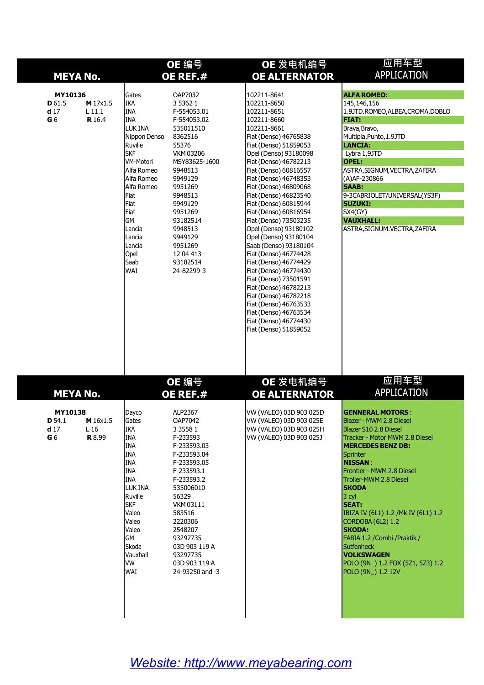| <b>MEYA No.</b>                                                                  |                                    |                                                                                                                                                                                                                                               | OE 编号<br>OE REF.#                                                                                                                                                                                                                                                                  | OE 发电机编号<br><b>OE ALTERNATOR</b>                                                                                                                                                                                                                                                                                                                                                                                                                                                                                                                                                                                                                                                                | 应用车型<br><b>APPLICATION</b>                                                                                                                                                                                                                                                                                                                                                                                                                                                                             |
|----------------------------------------------------------------------------------|------------------------------------|-----------------------------------------------------------------------------------------------------------------------------------------------------------------------------------------------------------------------------------------------|------------------------------------------------------------------------------------------------------------------------------------------------------------------------------------------------------------------------------------------------------------------------------------|-------------------------------------------------------------------------------------------------------------------------------------------------------------------------------------------------------------------------------------------------------------------------------------------------------------------------------------------------------------------------------------------------------------------------------------------------------------------------------------------------------------------------------------------------------------------------------------------------------------------------------------------------------------------------------------------------|--------------------------------------------------------------------------------------------------------------------------------------------------------------------------------------------------------------------------------------------------------------------------------------------------------------------------------------------------------------------------------------------------------------------------------------------------------------------------------------------------------|
| MY10136<br>D 61.5<br>d <sub>17</sub><br>G <sub>6</sub>                           | M 17x1.5<br>L11.1<br><b>R</b> 16.4 | Gates<br><b>IKA</b><br><b>INA</b><br><b>INA</b><br>LUK INA<br>Nippon Denso<br>Ruville<br><b>SKF</b><br>VM-Motori<br>Alfa Romeo<br>Alfa Romeo<br>Alfa Romeo<br>Fiat<br>Fiat<br>Fiat<br>GM<br>Lancia<br>Lancia<br>Lancia<br>Opel<br>Saab<br>WAI | OAP7032<br>3 5 3 6 2 1<br>F-554053.01<br>F-554053.02<br>535011510<br>8362516<br>55376<br><b>VKM03206</b><br>MSY83625-1600<br>9948513<br>9949129<br>9951269<br>9948513<br>9949129<br>9951269<br>93182514<br>9948513<br>9949129<br>9951269<br>12 04 413<br>93182514<br>24-82299-3    | 102211-8641<br>102211-8650<br>102211-8651<br>102211-8660<br>102211-8661<br>Fiat (Denso) 46765838<br>Fiat (Denso) 51859053<br>Opel (Denso) 93180098<br>Fiat (Denso) 46782213<br>Fiat (Denso) 60816557<br>Fiat (Denso) 46748353<br>Fiat (Denso) 46809068<br>Fiat (Denso) 46823540<br>Fiat (Denso) 60815944<br>Fiat (Denso) 60816954<br>Fiat (Denso) 73503235<br>Opel (Denso) 93180102<br>Opel (Denso) 93180104<br>Saab (Denso) 93180104<br>Fiat (Denso) 46774428<br>Fiat (Denso) 46774429<br>Fiat (Denso) 46774430<br>Fiat (Denso) 73501591<br>Fiat (Denso) 46782213<br>Fiat (Denso) 46782218<br>Fiat (Denso) 46763533<br>Fiat (Denso) 46763534<br>Fiat (Denso) 46774430<br>Fiat (Denso) 51859052 | <b>ALFA ROMEO:</b><br>145,146,156<br>1.9JTD.ROMEO,ALBEA,CROMA,DOBLO<br><b>FIAT:</b><br>Brava, Bravo,<br>Multipla, Punto, 1.9JTD<br><b>LANCIA:</b><br>Lybra 1,9JTD<br><b>OPEL:</b><br>ASTRA, SIGNUM, VECTRA, ZAFIRA<br>(A)AF-230866<br><b>SAAB:</b><br>9-3CABRIOLET/UNIVERSAL(YS3F)<br><b>SUZUKI:</b><br>SX4(GY)<br><b>VAUXHALL:</b><br>ASTRA, SIGNUM. VECTRA, ZAFIRA                                                                                                                                   |
|                                                                                  |                                    |                                                                                                                                                                                                                                               | OE 编号                                                                                                                                                                                                                                                                              | OE 发电机编号                                                                                                                                                                                                                                                                                                                                                                                                                                                                                                                                                                                                                                                                                        | 应用车型<br><b>APPLICATION</b>                                                                                                                                                                                                                                                                                                                                                                                                                                                                             |
| <b>MEYA No.</b><br>MY10138<br><b>D</b> 54.1<br>d <sub>17</sub><br>G <sub>6</sub> | M 16x1.5<br>L16<br>R 8.99          | Dayco<br>Gates<br><b>IKA</b><br><b>INA</b><br><b>INA</b><br><b>INA</b><br><b>INA</b><br><b>INA</b><br><b>INA</b><br>LUK INA<br>Ruville<br><b>SKF</b><br>Valeo<br>Valeo<br>Valeo<br>GM<br>Skoda<br>Vauxhall<br><b>VW</b><br>WAI                | OE REF.#<br>ALP2367<br>OAP7042<br>3 3 5 5 8 1<br>F-233593<br>F-233593.03<br>F-233593.04<br>F-233593.05<br>F-233593.1<br>F-233593.2<br>535006010<br>56329<br>VKM 03111<br>583516<br>2220306<br>2548207<br>93297735<br>03D 903 119 A<br>93297735<br>03D 903 119 A<br>24-93250 and -3 | <b>OE ALTERNATOR</b><br>VW (VALEO) 03D 903 025D<br>VW (VALEO) 03D 903 025E<br>VW (VALEO) 03D 903 025H<br>VW (VALEO) 03D 903 025J                                                                                                                                                                                                                                                                                                                                                                                                                                                                                                                                                                | <b>GENNERAL MOTORS:</b><br>Blazer - MWM 2.8 Diesel<br>Blazer S10 2.8 Diesel<br>Tracker - Motor MWM 2.8 Diesel<br><b>MERCEDES BENZ DB:</b><br>Sprinter<br><b>NISSAN:</b><br>Frontier - MWM 2.8 Diesel<br>Troller-MWM 2.8 Diesel<br><b>SKODA</b><br>3 <sub>cyl</sub><br><b>SEAT:</b><br>IBIZA IV (6L1) 1.2 / Mk IV (6L1) 1.2<br>CORDOBA (6L2) 1.2<br><b>SKODA:</b><br>FABIA 1.2 / Combi / Praktik /<br><b>Sutfenheck</b><br><b>VOLKSWAGEN</b><br>POLO (9N_) 1.2 FOX (5Z1, 5Z3) 1.2<br>POLO (9N_) 1.2 12V |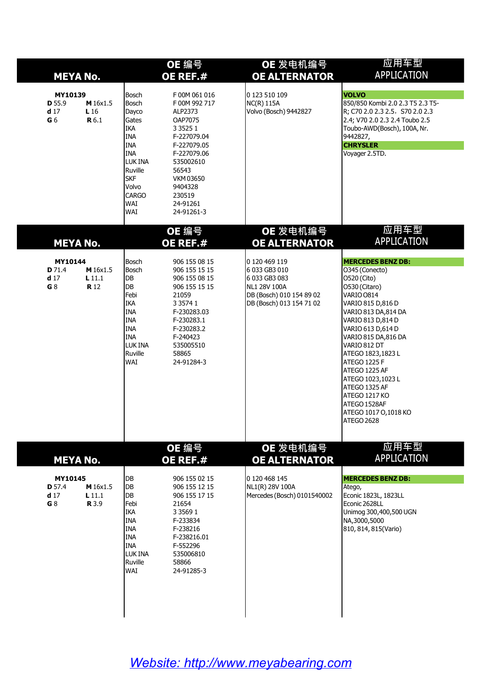| <b>MEYA No.</b>                                                                           | OE 编号<br>OE REF.#                                                                                                                                                                                                                                                                                                                                                             | OE 发电机编号<br><b>OE ALTERNATOR</b>                                                                                        | 应用车型<br><b>APPLICATION</b>                                                                                                                                                                                                                                                                                                                                                                  |
|-------------------------------------------------------------------------------------------|-------------------------------------------------------------------------------------------------------------------------------------------------------------------------------------------------------------------------------------------------------------------------------------------------------------------------------------------------------------------------------|-------------------------------------------------------------------------------------------------------------------------|---------------------------------------------------------------------------------------------------------------------------------------------------------------------------------------------------------------------------------------------------------------------------------------------------------------------------------------------------------------------------------------------|
| MY10139<br>D 55.9<br>M 16x1.5<br>d <sub>17</sub><br>L16<br>G <sub>6</sub><br><b>R</b> 6.1 | Bosch<br>F00M061016<br>Bosch<br>F 00M 992 717<br>Dayco<br>ALP2373<br>Gates<br>OAP7075<br><b>IKA</b><br>3 3 5 2 5 1<br><b>INA</b><br>F-227079.04<br><b>INA</b><br>F-227079.05<br><b>INA</b><br>F-227079.06<br>LUK INA<br>535002610<br>Ruville<br>56543<br><b>SKF</b><br><b>VKM 03650</b><br>Volvo<br>9404328<br>CARGO<br>230519<br><b>WAI</b><br>24-91261<br>WAI<br>24-91261-3 | 0 123 510 109<br><b>NC(R) 115A</b><br>Volvo (Bosch) 9442827                                                             | <b>VOLVO</b><br>850/850 Kombi 2.0 2.3 T5 2.3 T5-<br>R; C70 2.0 2.3 2.5, S70 2.0 2.3<br>2.4; V70 2.0 2.3 2.4 Toubo 2.5<br>Toubo-AWD(Bosch), 100A, Nr.<br>9442827,<br><b>CHRYSLER</b><br>Voyager 2.5TD.                                                                                                                                                                                       |
| <b>MEYA No.</b>                                                                           | OE 编号<br>OE REF.#                                                                                                                                                                                                                                                                                                                                                             | OE 发电机编号<br><b>OE ALTERNATOR</b>                                                                                        | 应用车型<br><b>APPLICATION</b>                                                                                                                                                                                                                                                                                                                                                                  |
| MY10144<br>D 71.4<br>M 16x1.5<br>d <sub>17</sub><br>$L$ 11.1<br>G 8<br><b>R</b> 12        | Bosch<br>906 155 08 15<br>Bosch<br>906 155 15 15<br>DB<br>906 155 08 15<br>DB<br>906 155 15 15<br>Febi<br>21059<br><b>IKA</b><br>3 3 5 7 4 1<br><b>INA</b><br>F-230283.03<br>INA<br>F-230283.1<br>INA<br>F-230283.2<br>INA<br>F-240423<br>LUK INA<br>535005510<br>Ruville<br>58865<br>WAI<br>24-91284-3                                                                       | 0 120 469 119<br>6 033 GB3 010<br>6 033 GB3 083<br>NL1 28V 100A<br>DB (Bosch) 010 154 89 02<br>DB (Bosch) 013 154 71 02 | <b>MERCEDES BENZ DB:</b><br>O345 (Conecto)<br>O520 (Cito)<br>O530 (Citaro)<br>VARIO 0814<br>VARIO 815 D,816 D<br>VARIO 813 DA, 814 DA<br>VARIO 813 D,814 D<br>VARIO 613 D, 614 D<br>VARIO 815 DA, 816 DA<br>VARIO 812 DT<br>ATEGO 1823,1823 L<br>ATEGO 1225 F<br>ATEGO 1225 AF<br>ATEGO 1023,1023L<br>ATEGO 1325 AF<br>ATEGO 1217 KO<br>ATEGO 1528AF<br>ATEGO 1017 O, 1018 KO<br>ATEGO 2628 |
| <b>MEYA No.</b>                                                                           | OE 编号<br>OE REF.#                                                                                                                                                                                                                                                                                                                                                             | OE 发电机编号<br><b>OE ALTERNATOR</b>                                                                                        | 应用车型<br><b>APPLICATION</b>                                                                                                                                                                                                                                                                                                                                                                  |
| MY10145<br><b>D</b> 57.4<br>M 16x1.5<br>d <sub>17</sub><br>L11.1<br>G 8<br><b>R</b> 3.9   | DB<br>906 155 02 15<br>DB<br>906 155 12 15<br><b>DB</b><br>906 155 17 15<br>Febi<br>21654<br><b>IKA</b><br>3 3 5 6 9 1<br>INA<br>F-233834<br>INA<br>F-238216<br>INA<br>F-238216.01<br><b>INA</b><br>F-552296<br>LUK INA<br>535006810<br>Ruville<br>58866<br>WAI<br>24-91285-3                                                                                                 | 0 120 468 145<br>NL1(R) 28V 100A<br>Mercedes (Bosch) 0101540002                                                         | <b>MERCEDES BENZ DB:</b><br>Atego,<br>Econic 1823L, 1823LL<br>Econic 2628LL<br>Unimog 300,400,500 UGN<br>NA,3000,5000<br>810, 814, 815 (Vario)                                                                                                                                                                                                                                              |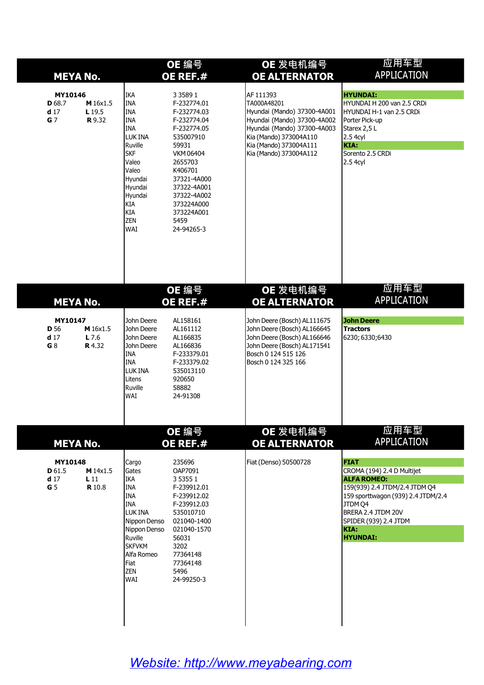| <b>MEYA No.</b>                                        |                                      |                                                                                                                                                                                                     | OE 编号<br>OE REF.#                                                                                                                                                                                                               | OE 发电机编号<br><b>OE ALTERNATOR</b>                                                                                                                                                                    | 应用车型<br><b>APPLICATION</b>                                                                                                                                      |
|--------------------------------------------------------|--------------------------------------|-----------------------------------------------------------------------------------------------------------------------------------------------------------------------------------------------------|---------------------------------------------------------------------------------------------------------------------------------------------------------------------------------------------------------------------------------|-----------------------------------------------------------------------------------------------------------------------------------------------------------------------------------------------------|-----------------------------------------------------------------------------------------------------------------------------------------------------------------|
| MY10146<br>D 68.7<br>d <sub>17</sub><br>G <sub>7</sub> | M 16x1.5<br>L 19.5<br><b>R</b> 9.32  | <b>IKA</b><br><b>INA</b><br><b>INA</b><br><b>INA</b><br><b>INA</b><br>LUK INA<br>Ruville<br><b>SKF</b><br>Valeo<br>Valeo<br>Hyundai<br>Hyundai<br>Hyundai<br>KIA<br>KIA<br><b>ZEN</b><br><b>WAI</b> | 3 3 5 8 9 1<br>F-232774.01<br>F-232774.03<br>F-232774.04<br>F-232774.05<br>535007910<br>59931<br>VKM 06404<br>2655703<br>K406701<br>37321-4A000<br>37322-4A001<br>37322-4A002<br>373224A000<br>373224A001<br>5459<br>24-94265-3 | AF 111393<br>TA000A48201<br>Hyundai (Mando) 37300-4A001<br>Hyundai (Mando) 37300-4A002<br>Hyundai (Mando) 37300-4A003<br>Kia (Mando) 373004A110<br>Kia (Mando) 373004A111<br>Kia (Mando) 373004A112 | <b>HYUNDAI:</b><br>HYUNDAI H 200 van 2.5 CRDi<br>HYUNDAI H-1 van 2.5 CRDi<br>Porter Pick-up<br>Starex 2,5 L<br>2.5 4cyl<br>KIA:<br>Sorento 2.5 CRDi<br>2.5 4cyl |
| <b>MEYA No.</b>                                        |                                      |                                                                                                                                                                                                     | OE 编号<br>OE REF.#                                                                                                                                                                                                               | OE 发电机编号<br><b>OE ALTERNATOR</b>                                                                                                                                                                    | 应用车型<br><b>APPLICATION</b>                                                                                                                                      |
| MY10147<br><b>D</b> 56<br>d <sub>17</sub><br>G 8       | M 16x1.5<br>$L$ 7.6<br><b>R</b> 4.32 | John Deere<br>John Deere<br>John Deere<br>John Deere<br><b>INA</b><br><b>INA</b><br>LUK INA<br>Litens<br>Ruville<br>WAI                                                                             | AL158161<br>AL161112<br>AL166835<br>AL166836<br>F-233379.01<br>F-233379.02<br>535013110<br>920650<br>58882<br>24-91308                                                                                                          | John Deere (Bosch) AL111675<br>John Deere (Bosch) AL166645<br>John Deere (Bosch) AL166646<br>John Deere (Bosch) AL171541<br>Bosch 0 124 515 126<br>Bosch 0 124 325 166                              | <b>John Deere</b><br><b>Tractors</b><br>6230; 6330; 6430                                                                                                        |
| <b>MEYA No.</b>                                        |                                      |                                                                                                                                                                                                     | OE 编号<br>OE REF.#                                                                                                                                                                                                               | OE 发电机编号<br><b>OE ALTERNATOR</b>                                                                                                                                                                    | 应用车型<br><b>APPLICATION</b>                                                                                                                                      |
| MY10148<br>D 61.5                                      | M 14x1.5<br>L <sub>11</sub>          | Cargo<br>Gates<br><b>IKA</b><br><b>INA</b>                                                                                                                                                          | 235696<br>OAP7091<br>3 5 3 5 5 1<br>F-239912.01                                                                                                                                                                                 | Fiat (Denso) 50500728                                                                                                                                                                               | <b>FIAT</b><br>CROMA (194) 2.4 D Multijet<br><b>ALFA ROMEO:</b><br>159(939) 2.4 JTDM/2.4 JTDM Q4                                                                |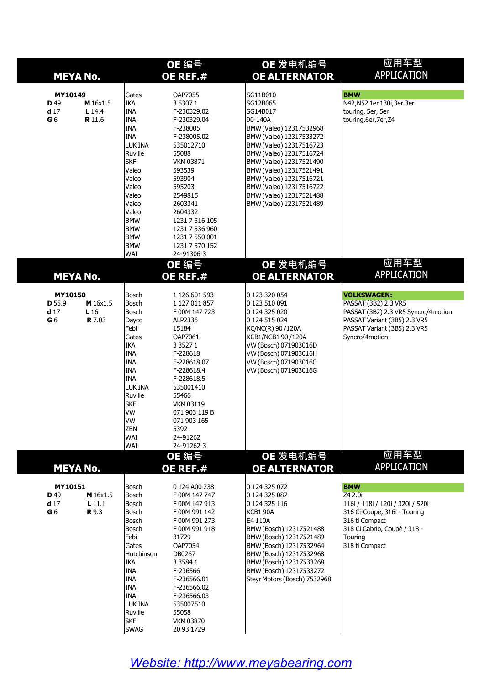|                                                        | <b>MEYA No.</b>                      |                                                                                                                                                                                                                                       | OE 编号<br>OE REF.#                                                                                                                                                                                                                                                       | OE 发电机编号<br><b>OE ALTERNATOR</b>                                                                                                                                                                                                                                                                                          | 应用车型<br><b>APPLICATION</b>                                                                                                                                                  |
|--------------------------------------------------------|--------------------------------------|---------------------------------------------------------------------------------------------------------------------------------------------------------------------------------------------------------------------------------------|-------------------------------------------------------------------------------------------------------------------------------------------------------------------------------------------------------------------------------------------------------------------------|---------------------------------------------------------------------------------------------------------------------------------------------------------------------------------------------------------------------------------------------------------------------------------------------------------------------------|-----------------------------------------------------------------------------------------------------------------------------------------------------------------------------|
| MY10149<br>D 49<br>d17<br>G <sub>6</sub>               | M 16x1.5<br>L 14.4<br>R 11.6         | Gates<br><b>IKA</b><br><b>INA</b><br>Ina<br><b>INA</b><br><b>INA</b><br><b>ILUK INA</b><br>Ruville<br><b>SKF</b><br>Valeo<br>Valeo<br>Valeo<br>Valeo<br>Valeo<br>Valeo<br><b>BMW</b><br><b>BMW</b><br><b>BMW</b><br><b>BMW</b><br>WAI | OAP7055<br>3 5 3 0 7 1<br>F-230329.02<br>F-230329.04<br>F-238005<br>F-238005.02<br>535012710<br>55088<br>VKM 03871<br>593539<br>593904<br>595203<br>2549815<br>2603341<br>2604332<br>1231 7 516 105<br>1231 7 536 960<br>1231 7 550 001<br>1231 7 570 152<br>24-91306-3 | SG11B010<br>SG12B065<br>SG14B017<br>90-140A<br>BMW (Valeo) 12317532968<br>BMW (Valeo) 12317533272<br>BMW (Valeo) 12317516723<br>BMW (Valeo) 12317516724<br>BMW (Valeo) 12317521490<br>BMW (Valeo) 12317521491<br>BMW (Valeo) 12317516721<br>BMW (Valeo) 12317516722<br>BMW (Valeo) 12317521488<br>BMW (Valeo) 12317521489 | <b>BMW</b><br>N42, N52 1er 130i, 3er. 3er<br>touring, 5er, 5er<br>touring, 6er, 7er, Z4                                                                                     |
|                                                        | <b>MEYA No.</b>                      |                                                                                                                                                                                                                                       | OE 编号<br>OE REF.#                                                                                                                                                                                                                                                       | OE 发电机编号<br><b>OE ALTERNATOR</b>                                                                                                                                                                                                                                                                                          | 应用车型<br><b>APPLICATION</b>                                                                                                                                                  |
| MY10150<br>D 55.9<br>d <sub>17</sub><br>G <sub>6</sub> | M 16x1.5<br>L16<br><b>R</b> 7.03     | Bosch<br>Bosch<br>Bosch<br>Dayco<br>Febi<br>Gates<br><b>IKA</b><br><b>INA</b><br>INA<br>INA<br>INA<br>LUK INA<br>Ruville<br>SKF<br> vw<br> vw<br>ZEN<br>WAI<br>WAI                                                                    | 1 126 601 593<br>1 127 011 857<br>F 00M 147 723<br>ALP2336<br>15184<br>OAP7061<br>3 3 5 2 7 1<br>F-228618<br>F-228618.07<br>F-228618.4<br>F-228618.5<br>535001410<br>55466<br>VKM 03119<br>071 903 119 B<br>071 903 165<br>5392<br>24-91262<br>24-91262-3               | 0 123 320 054<br>0 123 510 091<br>0 124 325 020<br>0 124 515 024<br>KC/NC(R) 90/120A<br>KCB1/NCB1 90/120A<br>VW (Bosch) 071903016D<br>VW (Bosch) 071903016H<br>VW (Bosch) 071903016C<br>WW (Bosch) 071903016G                                                                                                             | <b>VOLKSWAGEN:</b><br>PASSAT (3B2) 2.3 VR5<br>PASSAT (3B2) 2.3 VR5 Syncro/4motion<br>PASSAT Variant (3B5) 2.3 VR5<br>PASSAT Variant (3B5) 2.3 VR5<br>Syncro/4motion<br>应用车型 |
|                                                        | <b>MEYA No.</b>                      |                                                                                                                                                                                                                                       | OE 编号<br><b>OE REF.#</b>                                                                                                                                                                                                                                                | OE 发电机编号<br><b>OE ALTERNATOR</b>                                                                                                                                                                                                                                                                                          | <b>APPLICATION</b>                                                                                                                                                          |
| MY10151<br>D 49<br>d <sub>17</sub><br>G <sub>6</sub>   | M 16x1.5<br>$L$ 11.1<br><b>R</b> 9.3 | Bosch<br>Bosch<br>Bosch<br>Bosch<br>Bosch<br>Bosch<br>Febi<br>Gates<br>Hutchinson<br><b>IKA</b><br>INA<br>INA<br>INA<br>INA<br>LUK INA<br>Ruville<br>SKF<br><b>SWAG</b>                                                               | 0 124 A00 238<br>F 00M 147 747<br>F 00M 147 913<br>F 00M 991 142<br>F 00M 991 273<br>F 00M 991 918<br>31729<br>OAP7054<br>DB0267<br>3 3 5 8 4 1<br>F-236566<br>F-236566.01<br>F-236566.02<br>F-236566.03<br>535007510<br>55058<br><b>VKM 03870</b><br>20 93 1729        | 0 124 325 072<br>0 124 325 087<br>0 124 325 116<br>KCB1 90A<br>E4 110A<br>BMW (Bosch) 12317521488<br>BMW (Bosch) 12317521489<br>BMW (Bosch) 12317532964<br>BMW (Bosch) 12317532968<br>BMW (Bosch) 12317533268<br>BMW (Bosch) 12317533272<br>Steyr Motors (Bosch) 7532968                                                  | <b>BMW</b><br>Z4 2.0i<br>116i / 118i / 120i / 320i / 520i<br>316 Ci-Coupè, 316i - Touring<br>316 ti Compact<br>318 Ci Cabrio, Coupè / 318 -<br>Touring<br>318 ti Compact    |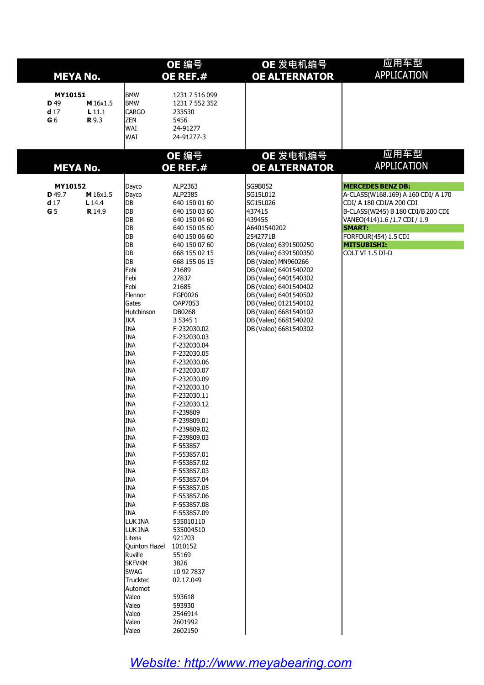|                                                             | <b>MEYA No.</b>                     |                                                                                                                                                                                                                                                                                                                                                                                                                                                                                                                                                                                                                                  | OE 编号<br>OE REF.#                                                                                                                                                                                                                                                                                                                                                                                                                                                                                                                                                                                                                                                                                                 | OE 发电机编号<br><b>OE ALTERNATOR</b>                                                                                                                                                                                                                                                                                                                                | 应用车型<br><b>APPLICATION</b>                                                                                                                                                                                                                         |
|-------------------------------------------------------------|-------------------------------------|----------------------------------------------------------------------------------------------------------------------------------------------------------------------------------------------------------------------------------------------------------------------------------------------------------------------------------------------------------------------------------------------------------------------------------------------------------------------------------------------------------------------------------------------------------------------------------------------------------------------------------|-------------------------------------------------------------------------------------------------------------------------------------------------------------------------------------------------------------------------------------------------------------------------------------------------------------------------------------------------------------------------------------------------------------------------------------------------------------------------------------------------------------------------------------------------------------------------------------------------------------------------------------------------------------------------------------------------------------------|-----------------------------------------------------------------------------------------------------------------------------------------------------------------------------------------------------------------------------------------------------------------------------------------------------------------------------------------------------------------|----------------------------------------------------------------------------------------------------------------------------------------------------------------------------------------------------------------------------------------------------|
| MY10151<br><b>D</b> 49<br>d <sub>17</sub><br>G <sub>6</sub> | M 16x1.5<br>L11.1<br><b>R</b> 9.3   | <b>BMW</b><br><b>BMW</b><br><b>CARGO</b><br><b>ZEN</b><br>WAI<br>WAI                                                                                                                                                                                                                                                                                                                                                                                                                                                                                                                                                             | 1231 7 516 099<br>1231 7 552 352<br>233530<br>5456<br>24-91277<br>24-91277-3                                                                                                                                                                                                                                                                                                                                                                                                                                                                                                                                                                                                                                      |                                                                                                                                                                                                                                                                                                                                                                 |                                                                                                                                                                                                                                                    |
|                                                             | <b>MEYA No.</b>                     |                                                                                                                                                                                                                                                                                                                                                                                                                                                                                                                                                                                                                                  | OE 编号<br>OE REF.#                                                                                                                                                                                                                                                                                                                                                                                                                                                                                                                                                                                                                                                                                                 | OE 发电机编号<br><b>OE ALTERNATOR</b>                                                                                                                                                                                                                                                                                                                                | 应用车型<br><b>APPLICATION</b>                                                                                                                                                                                                                         |
| MY10152<br>D 49.7<br>d <sub>17</sub><br>G <sub>5</sub>      | M 16x1.5<br>L 14.4<br><b>R</b> 14.9 | Dayco<br>Dayco<br>DB<br>DB<br>DB<br>DB<br>DB<br>DB<br>DB<br>DB<br>Febi<br>Febi<br>Febi<br>Flennor<br>Gates<br>Hutchinson<br>IKA<br><b>INA</b><br><b>INA</b><br><b>INA</b><br><b>INA</b><br><b>INA</b><br><b>INA</b><br><b>INA</b><br><b>INA</b><br><b>INA</b><br><b>INA</b><br><b>INA</b><br><b>INA</b><br><b>INA</b><br><b>INA</b><br><b>INA</b><br><b>INA</b><br><b>INA</b><br><b>INA</b><br><b>INA</b><br><b>INA</b><br><b>INA</b><br><b>INA</b><br><b>INA</b><br>LUK INA<br>luk ina<br>Litens<br>Quinton Hazel 1010152<br>Ruville<br><b>SKFVKM</b><br><b>SWAG</b><br>Trucktec<br>Automot<br>Valeo<br>Valeo<br>Valeo<br>Valeo | ALP2363<br>ALP2385<br>640 150 01 60<br>640 150 03 60<br>640 150 04 60<br>640 150 05 60<br>640 150 06 60<br>640 150 07 60<br>668 155 02 15<br>668 155 06 15<br>21689<br>27837<br>21685<br>FGF0026<br>OAP7053<br>DB0268<br>3 5 3 4 5 1<br>F-232030.02<br>F-232030.03<br>F-232030.04<br>F-232030.05<br>F-232030.06<br>F-232030.07<br>F-232030.09<br>F-232030.10<br>F-232030.11<br>F-232030.12<br>F-239809<br>F-239809.01<br>F-239809.02<br>F-239809.03<br>F-553857<br>F-553857.01<br>F-553857.02<br>F-553857.03<br>F-553857.04<br>F-553857.05<br>F-553857.06<br>F-553857.08<br>F-553857.09<br>535010110<br>535004510<br>921703<br>55169<br>3826<br>10 92 7837<br>02.17.049<br>593618<br>593930<br>2546914<br>2601992 | SG9B052<br>SG15L012<br>SG15L026<br>437415<br>439455<br>A6401540202<br>2542771B<br>DB (Valeo) 6391500250<br>DB (Valeo) 6391500350<br>DB (Valeo) MN960266<br>DB (Valeo) 6401540202<br>DB (Valeo) 6401540302<br>DB (Valeo) 6401540402<br>DB (Valeo) 6401540502<br>DB (Valeo) 0121540102<br>DB (Valeo) 6681540102<br>DB (Valeo) 6681540202<br>DB (Valeo) 6681540302 | <b>MERCEDES BENZ DB:</b><br>A-CLASS(W168.169) A 160 CDI/ A 170<br>CDI/ A 180 CDI/A 200 CDI<br>B-CLASS(W245) B 180 CDI/B 200 CDI<br>VANEO(414)1.6 /1.7 CDI / 1.9<br><b>SMART:</b><br>FORFOUR(454) 1.5 CDI<br><b>MITSUBISHI:</b><br>COLT VI 1.5 DI-D |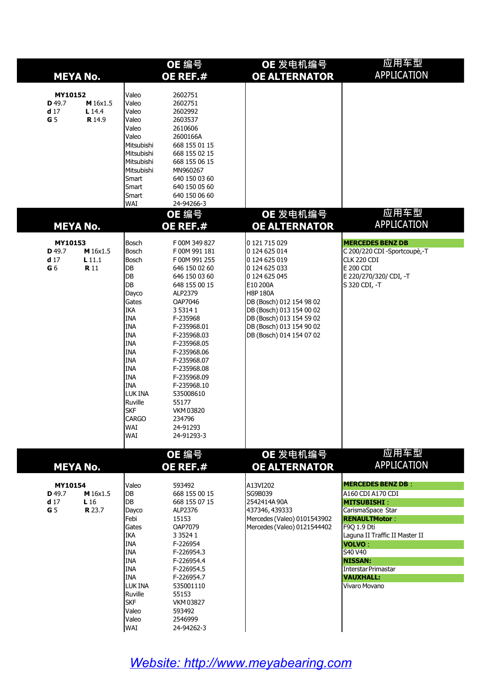| <b>MEYA No.</b>                                                                               | OE 编号<br>OE REF.#                                                                                                                                                                                                                                                                                                                                                                                                                                                                                                                                                                                                                       | OE 发电机编号<br><b>OE ALTERNATOR</b>                                                                                                                                                                                                                             | 应用车型<br><b>APPLICATION</b>                                                                                                                                                                                                                                                  |
|-----------------------------------------------------------------------------------------------|-----------------------------------------------------------------------------------------------------------------------------------------------------------------------------------------------------------------------------------------------------------------------------------------------------------------------------------------------------------------------------------------------------------------------------------------------------------------------------------------------------------------------------------------------------------------------------------------------------------------------------------------|--------------------------------------------------------------------------------------------------------------------------------------------------------------------------------------------------------------------------------------------------------------|-----------------------------------------------------------------------------------------------------------------------------------------------------------------------------------------------------------------------------------------------------------------------------|
| MY10152<br>M 16x1.5<br>D 49.7<br>d <sub>17</sub><br>L 14.4<br>G <sub>5</sub><br><b>R</b> 14.9 | Valeo<br>2602751<br>Valeo<br>2602751<br>Valeo<br>2602992<br>Valeo<br>2603537<br>Valeo<br>2610606<br>Valeo<br>2600166A<br>Mitsubishi<br>668 155 01 15<br>Mitsubishi<br>668 155 02 15<br>Mitsubishi<br>668 155 06 15<br>Mitsubishi<br>MN960267<br>640 150 03 60<br>Smart<br>640 150 05 60<br>Smart<br>Smart<br>640 150 06 60<br>WAI<br>24-94266-3                                                                                                                                                                                                                                                                                         |                                                                                                                                                                                                                                                              |                                                                                                                                                                                                                                                                             |
| <b>MEYA No.</b>                                                                               | OE 编号<br>OE REF.#                                                                                                                                                                                                                                                                                                                                                                                                                                                                                                                                                                                                                       | OE 发电机编号<br><b>OE ALTERNATOR</b>                                                                                                                                                                                                                             | 应用车型<br><b>APPLICATION</b>                                                                                                                                                                                                                                                  |
| MY10153<br>D 49.7<br>M 16x1.5<br>d <sub>17</sub><br>$L$ 11.1<br>G <sub>6</sub><br><b>R</b> 11 | Bosch<br>F 00M 349 827<br>Bosch<br>F 00M 991 181<br>Bosch<br>F 00M 991 255<br>DB<br>646 150 02 60<br>DB<br>646 150 03 60<br> DB<br>648 155 00 15<br>Dayco<br>ALP2379<br>OAP7046<br>Gates<br><b>IKA</b><br>3 5 3 1 4 1<br><b>INA</b><br>F-235968<br><b>INA</b><br>F-235968.01<br><b>INA</b><br>F-235968.03<br><b>INA</b><br>F-235968.05<br><b>INA</b><br>F-235968.06<br><b>INA</b><br>F-235968.07<br><b>INA</b><br>F-235968.08<br><b>INA</b><br>F-235968.09<br><b>INA</b><br>F-235968.10<br>LUK INA<br>535008610<br>Ruville<br>55177<br><b>SKF</b><br><b>VKM 03820</b><br><b>CARGO</b><br>234796<br>WAI<br>24-91293<br>WAI<br>24-91293-3 | 0 121 715 029<br>0 124 625 014<br>0 124 625 019<br>0 124 625 033<br>0 124 625 045<br>E10 200A<br><b>H8P 180A</b><br>DB (Bosch) 012 154 98 02<br>DB (Bosch) 013 154 00 02<br>DB (Bosch) 013 154 59 02<br>DB (Bosch) 013 154 90 02<br>DB (Bosch) 014 154 07 02 | <b>MERCEDES BENZ DB</b><br>C 200/220 CDI-Sportcoupè,-T<br>CLK 220 CDI<br>E 200 CDI<br>E 220/270/320/ CDI, -T<br> S 320 CDI, -1                                                                                                                                              |
| <b>MEYA No.</b>                                                                               | OE 编号<br>OE REF.#                                                                                                                                                                                                                                                                                                                                                                                                                                                                                                                                                                                                                       | OE 发电机编号<br><b>OE ALTERNATOR</b>                                                                                                                                                                                                                             | 应用车型<br><b>APPLICATION</b>                                                                                                                                                                                                                                                  |
| MY10154<br>M 16x1.5<br>D 49.7<br>d <sub>17</sub><br>L16<br>G <sub>5</sub><br><b>R</b> 23.7    | Valeo<br>593492<br>DB<br>668 155 00 15<br>DB<br>668 155 07 15<br>Dayco<br>ALP2376<br>Febi<br>15153<br>Gates<br>OAP7079<br><b>IKA</b><br>3 3 5 2 4 1<br><b>INA</b><br>F-226954<br><b>INA</b><br>F-226954.3<br><b>INA</b><br>F-226954.4<br><b>INA</b><br>F-226954.5<br><b>INA</b><br>F-226954.7<br>LUK INA<br>535001110<br>Ruville<br>55153<br><b>SKF</b><br><b>VKM 03827</b><br>Valeo<br>593492<br>2546999<br>Valeo<br>WAI<br>24-94262-3                                                                                                                                                                                                 | A13VI202<br>SG9B039<br>2542414A 90A<br>437346, 439333<br>Mercedes (Valeo) 0101543902<br>Mercedes (Valeo) 0121544402                                                                                                                                          | <b>MERCEDES BENZ DB:</b><br>A160 CDI A170 CDI<br><b>MITSUBISHI:</b><br>CarismaSpace Star<br><b>RENAULTMotor:</b><br>F9Q 1.9 Dti<br>Laguna II Traffic II Master II<br><b>VOLVO:</b><br>S40 V40<br><b>NISSAN:</b><br>Interstar Primastar<br><b>VAUXHALL:</b><br>Vivaro Movano |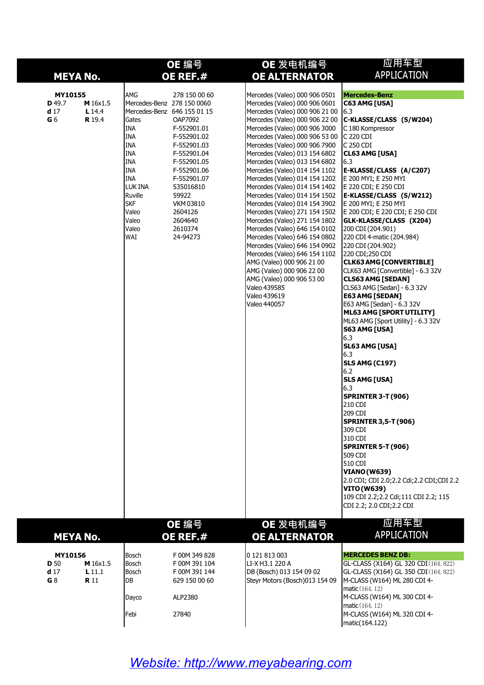| <b>MEYA No.</b>                                        |                                     |                                                                                                                                                                                      | OE 编号<br>OE REF.#                                                                                                                                                                                                                                                                    | OE 发电机编号<br><b>OE ALTERNATOR</b>                                                                                                                                                                                                                                                                                                                                                                                                                                                                                                                                                                                                                                                                                                                                                                                           | 应用车型<br><b>APPLICATION</b>                                                                                                                                                                                                                                                                                                                                                                                                                                                                                                                                                                                                                                                                                                                                                                                                                                                                                                                                                                                                                                                                                        |
|--------------------------------------------------------|-------------------------------------|--------------------------------------------------------------------------------------------------------------------------------------------------------------------------------------|--------------------------------------------------------------------------------------------------------------------------------------------------------------------------------------------------------------------------------------------------------------------------------------|----------------------------------------------------------------------------------------------------------------------------------------------------------------------------------------------------------------------------------------------------------------------------------------------------------------------------------------------------------------------------------------------------------------------------------------------------------------------------------------------------------------------------------------------------------------------------------------------------------------------------------------------------------------------------------------------------------------------------------------------------------------------------------------------------------------------------|-------------------------------------------------------------------------------------------------------------------------------------------------------------------------------------------------------------------------------------------------------------------------------------------------------------------------------------------------------------------------------------------------------------------------------------------------------------------------------------------------------------------------------------------------------------------------------------------------------------------------------------------------------------------------------------------------------------------------------------------------------------------------------------------------------------------------------------------------------------------------------------------------------------------------------------------------------------------------------------------------------------------------------------------------------------------------------------------------------------------|
| MY10155<br>D 49.7<br>d <sub>17</sub><br>G <sub>6</sub> | M 16x1.5<br>L 14.4<br><b>R</b> 19.4 | AMG<br>Gates<br><b>INA</b><br><b>INA</b><br><b>INA</b><br><b>INA</b><br><b>INA</b><br><b>INA</b><br><b>INA</b><br>LUK INA<br>Ruville<br><b>SKF</b><br>Valeo<br>Valeo<br>Valeo<br>WAI | 278 150 00 60<br>Mercedes-Benz 278 150 0060<br>Mercedes-Benz 646 155 01 15<br>OAP7092<br>F-552901.01<br>F-552901.02<br>F-552901.03<br>F-552901.04<br>F-552901.05<br>F-552901.06<br>F-552901.07<br>535016810<br>59922<br><b>VKM03810</b><br>2604126<br>2604640<br>2610374<br>24-94273 | Mercedes (Valeo) 000 906 0501<br>Mercedes (Valeo) 000 906 0601<br>Mercedes (Valeo) 000 906 21 00<br>Mercedes (Valeo) 000 906 22 00<br>Mercedes (Valeo) 000 906 3000<br>Mercedes (Valeo) 000 906 53 00<br>Mercedes (Valeo) 000 906 7900<br>Mercedes (Valeo) 013 154 6802<br>Mercedes (Valeo) 013 154 6802<br>Mercedes (Valeo) 014 154 1102<br>Mercedes (Valeo) 014 154 1202<br>Mercedes (Valeo) 014 154 1402<br>Mercedes (Valeo) 014 154 1502<br>Mercedes (Valeo) 014 154 3902<br>Mercedes (Valeo) 271 154 1502<br>Mercedes (Valeo) 271 154 1802<br>Mercedes (Valeo) 646 154 0102<br>Mercedes (Valeo) 646 154 0802<br>Mercedes (Valeo) 646 154 0902<br>Mercedes (Valeo) 646 154 1102<br>AMG (Valeo) 000 906 21 00<br>AMG (Valeo) 000 906 22 00<br>AMG (Valeo) 000 906 53 00<br>Valeo 439585<br>Valeo 439619<br>Valeo 440057 | <b>Mercedes-Benz</b><br>C63 AMG [USA]<br>6.3<br>C-KLASSE/CLASS (S/W204)<br>C 180 Kompressor<br>$C$ 220 CDI<br>$C250$ CDI<br>CL63 AMG [USA]<br>6.3<br>E-KLASSE/CLASS (A/C207)<br>E 200 MYI; E 250 MYI<br>E 220 CDI; E 250 CDI<br>E-KLASSE/CLASS (S/W212)<br>E 200 MYI; E 250 MYI<br>E 200 CDI; E 220 CDI; E 250 CDI<br>GLK-KLASSE/CLASS (X204)<br>200 CDI (204.901)<br>220 CDI 4-matic (204.984)<br>220 CDI (204.902)<br>220 CDI;250 CDI<br>CLK63 AMG [CONVERTIBLE]<br>CLK63 AMG [Convertible] - 6.3 32V<br><b>CLS63 AMG [SEDAN]</b><br>CLS63 AMG [Sedan] - 6.3 32V<br><b>E63 AMG [SEDAN]</b><br>E63 AMG [Sedan] - 6.3 32V<br>ML63 AMG [SPORT UTILITY]<br>ML63 AMG [Sport Utility] - 6.3 32V<br> S63 AMG [USA]<br>6.3<br><b>SL63 AMG [USA]</b><br>6.3<br>SLS AMG (C197)<br>6.2<br><b>SLS AMG [USA]</b><br>6.3<br>SPRINTER 3-T (906)<br>210 CDI<br>209 CDI<br><b>SPRINTER 3,5-T (906)</b><br>309 CDI<br>310 CDI<br>SPRINTER 5-T (906)<br>509 CDI<br>510 CDI<br><b>VIANO (W639)</b><br>2.0 CDI; CDI 2.0;2.2 Cdi;2.2 CDI;CDI 2.2<br> VITO (W639)<br>109 CDI 2.2;2.2 Cdi;111 CDI 2.2; 115<br>CDI 2.2; 2.0 CDI; 2.2 CDI |
| <b>MEYA No.</b>                                        |                                     |                                                                                                                                                                                      | OE 编号<br>OE REF.#                                                                                                                                                                                                                                                                    | OE 发电机编号<br><b>OE ALTERNATOR</b>                                                                                                                                                                                                                                                                                                                                                                                                                                                                                                                                                                                                                                                                                                                                                                                           | 应用车型<br><b>APPLICATION</b>                                                                                                                                                                                                                                                                                                                                                                                                                                                                                                                                                                                                                                                                                                                                                                                                                                                                                                                                                                                                                                                                                        |
| MY10156<br><b>D</b> 50<br>d <sub>17</sub>              | M 16x1.5<br>L11.1                   | Bosch<br>Bosch<br>Bosch                                                                                                                                                              | F 00M 349 828<br>F 00M 391 104<br>F 00M 391 144                                                                                                                                                                                                                                      | 0 121 813 003<br>LI-X H3.1 220 A<br>DB (Bosch) 013 154 09 02                                                                                                                                                                                                                                                                                                                                                                                                                                                                                                                                                                                                                                                                                                                                                               | <b>MERCEDES BENZ DB:</b><br>GL-CLASS (X164) GL 320 CDI (164. 822)<br>GL-CLASS (X164) GL 350 CDI (164. 822)                                                                                                                                                                                                                                                                                                                                                                                                                                                                                                                                                                                                                                                                                                                                                                                                                                                                                                                                                                                                        |

| 应用车型<br>OE 编号<br>OE 发电机编号<br><b>APPLICATION</b><br><b>OE REF.#</b><br><b>OE ALTERNATOR</b><br><b>MEYA No.</b><br><b>MERCEDES BENZ DB:</b><br>Bosch<br><b>MY10156</b><br>F 00M 349 828<br>0 121 813 003<br><b>Bosch</b><br><b>D</b> 50<br>M 16x1.5<br><b>GL-CLASS (X164) GL 320 CDI</b> (164. 822)<br>F 00M 391 104<br>LI-X H3.1 220 A<br><b>GL-CLASS (X164) GL 350 CDI</b> (164. 822)<br>d <sub>17</sub><br>DB (Bosch) 013 154 09 02<br>$L$ 11.1<br>F 00M 391 144<br>Bosch<br>G8<br><b>R</b> 11<br>DB.<br>Steyr Motors (Bosch)013 154 09<br>M-CLASS (W164) ML 280 CDI 4-<br>629 150 00 60<br>$\textsf{matic}(164.12)$<br>M-CLASS (W164) ML 300 CDI 4-<br>ALP2380<br>Dayco<br>$\textsf{matic}(164.12)$<br>Febi<br>27840<br>M-CLASS (W164) ML 320 CDI 4-<br>matic(164.122) |  |  |  | 510 CDI<br> VIANO (W639)<br>2.0 CDI; CDI 2.0;2.2 Cdi;2.2 CDI;CDI 2.2<br> VITO (W639)<br>109 CDI 2.2;2.2 Cdi;111 CDI 2.2; 115<br> CDI 2.2; 2.0 CDI;2.2 CDI |
|--------------------------------------------------------------------------------------------------------------------------------------------------------------------------------------------------------------------------------------------------------------------------------------------------------------------------------------------------------------------------------------------------------------------------------------------------------------------------------------------------------------------------------------------------------------------------------------------------------------------------------------------------------------------------------------------------------------------------------------------------------------------------|--|--|--|-----------------------------------------------------------------------------------------------------------------------------------------------------------|
|                                                                                                                                                                                                                                                                                                                                                                                                                                                                                                                                                                                                                                                                                                                                                                          |  |  |  |                                                                                                                                                           |
|                                                                                                                                                                                                                                                                                                                                                                                                                                                                                                                                                                                                                                                                                                                                                                          |  |  |  |                                                                                                                                                           |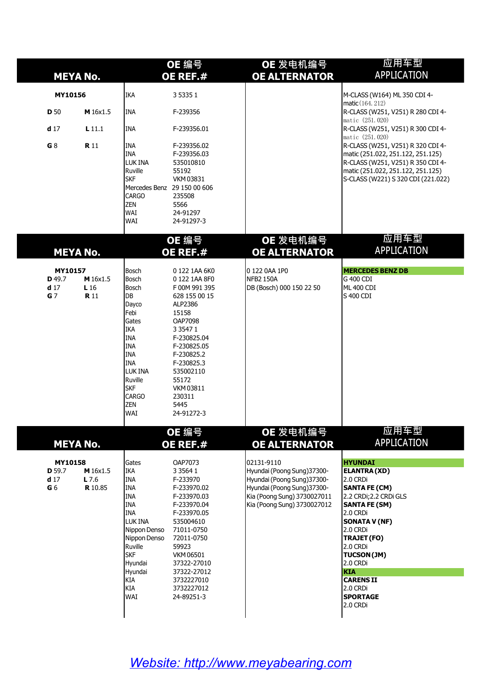|                                                        | <b>MEYA No.</b>                       |                                                                                                                                                                                                   | OE 编号<br>OE REF.#                                                                                                                                                                                                                           | OE 发电机编号<br><b>OE ALTERNATOR</b>                                                                                                                                      | 应用车型<br><b>APPLICATION</b>                                                                                                                                                                                                                                                                     |
|--------------------------------------------------------|---------------------------------------|---------------------------------------------------------------------------------------------------------------------------------------------------------------------------------------------------|---------------------------------------------------------------------------------------------------------------------------------------------------------------------------------------------------------------------------------------------|-----------------------------------------------------------------------------------------------------------------------------------------------------------------------|------------------------------------------------------------------------------------------------------------------------------------------------------------------------------------------------------------------------------------------------------------------------------------------------|
| MY10156                                                |                                       | IKA                                                                                                                                                                                               | 3 5 3 3 5 1                                                                                                                                                                                                                                 |                                                                                                                                                                       | M-CLASS (W164) ML 350 CDI 4-                                                                                                                                                                                                                                                                   |
| D 50                                                   | M 16x1.5                              | <b>INA</b>                                                                                                                                                                                        | F-239356                                                                                                                                                                                                                                    |                                                                                                                                                                       | matic (164. 212)<br>R-CLASS (W251, V251) R 280 CDI 4-                                                                                                                                                                                                                                          |
| d <sub>17</sub>                                        | L11.1                                 | <b>INA</b>                                                                                                                                                                                        | F-239356.01                                                                                                                                                                                                                                 |                                                                                                                                                                       | matic (251.020)<br>R-CLASS (W251, V251) R 300 CDI 4-<br>matic (251.020)                                                                                                                                                                                                                        |
| G 8                                                    | <b>R</b> 11                           | <b>INA</b><br><b>INA</b><br>LUK INA<br>Ruville<br><b>SKF</b><br>Mercedes Benz<br><b>CARGO</b><br>ZEN<br>WAI<br>WAI                                                                                | F-239356.02<br>F-239356.03<br>535010810<br>55192<br>VKM 03831<br>29 150 00 606<br>235508<br>5566<br>24-91297<br>24-91297-3                                                                                                                  |                                                                                                                                                                       | R-CLASS (W251, V251) R 320 CDI 4-<br>matic (251.022, 251.122, 251.125)<br>R-CLASS (W251, V251) R 350 CDI 4-<br>matic (251.022, 251.122, 251.125)<br>S-CLASS (W221) S 320 CDI (221.022)                                                                                                         |
|                                                        | <b>MEYA No.</b>                       |                                                                                                                                                                                                   | OE 编号<br>OE REF.#                                                                                                                                                                                                                           | OE 发电机编号<br><b>OE ALTERNATOR</b>                                                                                                                                      | 应用车型<br><b>APPLICATION</b>                                                                                                                                                                                                                                                                     |
| MY10157<br>D 49.7<br>d <sub>17</sub><br>G <sub>7</sub> | M 16x1.5<br>L16<br><b>R</b> 11        | Bosch<br>Bosch<br>Bosch<br>DB<br>Dayco<br>Febi<br>Gates<br>IKA<br><b>INA</b><br><b>INA</b><br><b>INA</b><br><b>INA</b><br>LUK INA<br>Ruville<br><b>SKF</b><br>CARGO<br><b>ZEN</b><br>WAI          | 0 122 1AA 6K0<br>0 122 1AA 8F0<br>F 00M 991 395<br>628 155 00 15<br>ALP2386<br>15158<br>OAP7098<br>3 3 5 4 7 1<br>F-230825.04<br>F-230825.05<br>F-230825.2<br>F-230825.3<br>535002110<br>55172<br>VKM 03811<br>230311<br>5445<br>24-91272-3 | 0 122 0AA 1P0<br><b>NFB2 150A</b><br>DB (Bosch) 000 150 22 50                                                                                                         | <b>MERCEDES BENZ DB</b><br>IG 400 CDI<br>ML 400 CDI<br>S 400 CDI                                                                                                                                                                                                                               |
|                                                        | <b>MEYA No.</b>                       |                                                                                                                                                                                                   | OE 编号<br>OE REF. $#$                                                                                                                                                                                                                        | OE 发电机编号<br><b>OE ALTERNATOR</b>                                                                                                                                      | 应用车型<br><b>APPLICATION</b>                                                                                                                                                                                                                                                                     |
| MY10158<br>D 59.7<br>d <sub>17</sub><br>G <sub>6</sub> | M 16x1.5<br>$L$ 7.6<br><b>R</b> 10.85 | Gates<br>IKA<br><b>INA</b><br><b>INA</b><br><b>INA</b><br><b>INA</b><br><b>INA</b><br>LUK INA<br>Nippon Denso<br>Nippon Denso<br>Ruville<br><b>SKF</b><br>Hyundai<br>Hyundai<br>KIA<br>KIA<br>WAI | OAP7073<br>3 3 5 6 4 1<br>F-233970<br>F-233970.02<br>F-233970.03<br>F-233970.04<br>F-233970.05<br>535004610<br>71011-0750<br>72011-0750<br>59923<br>VKM 06501<br>37322-27010<br>37322-27012<br>3732227010<br>3732227012<br>24-89251-3       | 02131-9110<br>Hyundai (Poong Sung) 37300-<br>Hyundai (Poong Sung) 37300-<br>Hyundai (Poong Sung) 37300-<br>Kia (Poong Sung) 3730027011<br>Kia (Poong Sung) 3730027012 | <b>HYUNDAI</b><br>ELANTRA(XD)<br>2.0 CRDi<br><b>SANTA FE (CM)</b><br>2.2 CRDi; 2.2 CRDi GLS<br><b>SANTA FE (SM)</b><br>2.0 CRDi<br><b>SONATA V (NF)</b><br>2.0 CRDi<br>TRAJET (FO)<br>2.0 CRDi<br>TUCSON (JM)<br>2.0 CRDi<br>KIA<br><b>CARENSII</b><br>2.0 CRDi<br><b>SPORTAGE</b><br>2.0 CRDi |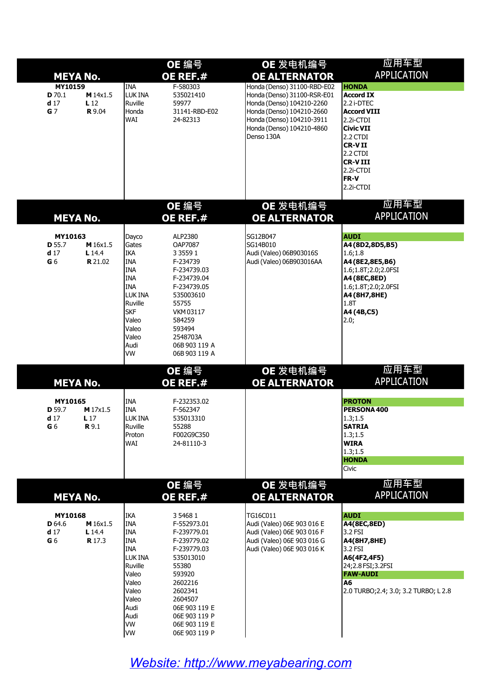|                                                        | <b>MEYA No.</b>                              |                                                                                                                                                                          | OE 编号<br>OE REF.#                                                                                                                                                                                            | OE 发电机编号<br><b>OE ALTERNATOR</b>                                                                                                                                                             | 应用车型<br>APPLICATION                                                                                                                                                                                    |  |
|--------------------------------------------------------|----------------------------------------------|--------------------------------------------------------------------------------------------------------------------------------------------------------------------------|--------------------------------------------------------------------------------------------------------------------------------------------------------------------------------------------------------------|----------------------------------------------------------------------------------------------------------------------------------------------------------------------------------------------|--------------------------------------------------------------------------------------------------------------------------------------------------------------------------------------------------------|--|
| MY10159<br>D 70.1<br>d <sub>17</sub><br>G <sub>7</sub> | M 14x1.5<br>L <sub>12</sub><br><b>R</b> 9.04 | <b>INA</b><br>LUK INA<br>Ruville<br>Honda<br>WAI                                                                                                                         | F-580303<br>535021410<br>59977<br>31141-RBD-E02<br>24-82313                                                                                                                                                  | Honda (Denso) 31100-RBD-E02<br>Honda (Denso) 31100-RSR-E01<br>Honda (Denso) 104210-2260<br>Honda (Denso) 104210-2660<br>Honda (Denso) 104210-3911<br>Honda (Denso) 104210-4860<br>Denso 130A | <b>HONDA</b><br><b>Accord IX</b><br>2.2 i-DTEC<br><b>Accord VIII</b><br>2.2i-CTDI<br><b>Civic VII</b><br>$2.2$ CTDI<br><b>CR-VII</b><br>$2.2$ CTDI<br><b>CR-VIII</b><br>2.2i-CTDI<br>FR-V<br>2.2i-CTDI |  |
|                                                        | <b>MEYA No.</b>                              |                                                                                                                                                                          | OE 编号<br>OE REF.#                                                                                                                                                                                            | OE 发电机编号<br><b>OE ALTERNATOR</b>                                                                                                                                                             | 应用车型<br><b>APPLICATION</b>                                                                                                                                                                             |  |
| MY10163<br>D 55.7<br>d <sub>17</sub><br>G <sub>6</sub> | M 16x1.5<br>L 14.4<br><b>R</b> 21.02         | Dayco<br>Gates<br><b>IKA</b><br><b>INA</b><br><b>INA</b><br><b>INA</b><br><b>INA</b><br>LUK INA<br>Ruville<br><b>SKF</b><br>Valeo<br>Valeo<br>Valeo<br>Audi<br><b>VW</b> | ALP2380<br>OAP7087<br>3 3 5 5 9 1<br>F-234739<br>F-234739.03<br>F-234739.04<br>F-234739.05<br>535003610<br>55755<br>VKM 03117<br>584259<br>593494<br>2548703A<br>06B 903 119 A<br>06B 903 119 A              | SG12B047<br>SG14B010<br>Audi (Valeo) 06B903016S<br>Audi (Valeo) 06B903016AA                                                                                                                  | <b>AUDI</b><br>A4(8D2,8D5,B5)<br>1.6; 1.8<br>A4 (8E2, 8E5, B6)<br>1.6;1.8T;2.0;2.0FSI<br>A4 (8EC, 8ED)<br>1.6;1.8T;2.0;2.0FSI<br>A4 (8H7,8HE)<br>1.8T<br>A4 (4B,C5)<br>2.0;                            |  |
|                                                        | <b>MEYA No.</b>                              |                                                                                                                                                                          | OE 编号<br>OE REF.#                                                                                                                                                                                            | OE 发电机编号<br><b>OE ALTERNATOR</b>                                                                                                                                                             | 应用车型<br><b>APPLICATION</b>                                                                                                                                                                             |  |
| MY10165<br>D 59.7<br>d <sub>17</sub><br>G 6            | M 17x1.5<br>L <sub>17</sub><br><b>R</b> 9.1  | INA<br><b>INA</b><br>LUK INA<br>Ruville<br>Proton<br>WAI                                                                                                                 | F-232353.02<br>F-562347<br>535013310<br>55288<br>F002G9C350<br>24-81110-3                                                                                                                                    |                                                                                                                                                                                              | <b>PROTON</b><br>PERSONA 400<br>1.3;1.5<br><b>SATRIA</b><br>1.3;1.5<br><b>WIRA</b><br>1.3;1.5<br><b>HONDA</b><br>Civic                                                                                 |  |
| <b>MEYA No.</b>                                        |                                              | OE 编号<br>OE REF.#                                                                                                                                                        |                                                                                                                                                                                                              | OE 发电机编号<br><b>OE ALTERNATOR</b>                                                                                                                                                             | 应用车型<br>APPLICATION                                                                                                                                                                                    |  |
| MY10168<br>D 64.6<br>d <sub>17</sub><br>G <sub>6</sub> | M 16x1.5<br>L 14.4<br><b>R</b> 17.3          | <b>IKA</b><br>INA<br><b>INA</b><br><b>INA</b><br><b>INA</b><br>LUK INA<br>Ruville<br>Valeo<br>Valeo<br>Valeo<br>Valeo<br>Audi<br>Audi<br>VW<br> vw                       | 3 5 4 6 8 1<br>F-552973.01<br>F-239779.01<br>F-239779.02<br>F-239779.03<br>535013010<br>55380<br>593920<br>2602216<br>2602341<br>2604507<br>06E 903 119 E<br>06E 903 119 P<br>06E 903 119 E<br>06E 903 119 P | TG16C011<br>Audi (Valeo) 06E 903 016 E<br>Audi (Valeo) 06E 903 016 F<br>Audi (Valeo) 06E 903 016 G<br>Audi (Valeo) 06E 903 016 K                                                             | <b>AUDI</b><br>A4(8EC,8ED)<br>3.2 FSI<br>A4(8H7,8HE)<br>3.2 FSI<br>A6(4F2,4F5)<br>24; 2.8 FSI; 3.2FSI<br><b>FAW-AUDI</b><br>A <sub>6</sub><br>2.0 TURBO; 2.4; 3.0; 3.2 TURBO; L 2.8                    |  |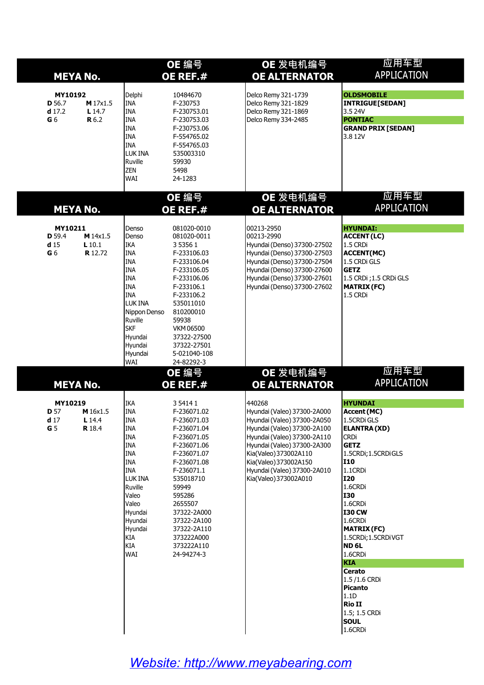| <b>MEYA No.</b>                                             |                                        | OE 编号<br>OE REF.#                                                                                                                                                                                   |                                                                                                                                                                                                                                                                      | OE 发电机编号<br><b>OE ALTERNATOR</b>                                                                                                                                                                                                                                            | 应用车型<br><b>APPLICATION</b>                                                                                                                                                                                                                                                                                                                                                                                                 |
|-------------------------------------------------------------|----------------------------------------|-----------------------------------------------------------------------------------------------------------------------------------------------------------------------------------------------------|----------------------------------------------------------------------------------------------------------------------------------------------------------------------------------------------------------------------------------------------------------------------|-----------------------------------------------------------------------------------------------------------------------------------------------------------------------------------------------------------------------------------------------------------------------------|----------------------------------------------------------------------------------------------------------------------------------------------------------------------------------------------------------------------------------------------------------------------------------------------------------------------------------------------------------------------------------------------------------------------------|
| MY10192<br>D 56.7<br>$d$ 17.2<br>G <sub>6</sub>             | M 17x1.5<br>L 14.7<br><b>R</b> 6.2     | Delphi<br><b>INA</b><br><b>INA</b><br><b>INA</b><br><b>INA</b><br><b>INA</b><br>INA<br><b>LUK INA</b><br>Ruville<br><b>ZEN</b><br>WAI                                                               | 10484670<br>F-230753<br>F-230753.01<br>F-230753.03<br>F-230753.06<br>F-554765.02<br>F-554765.03<br>535003310<br>59930<br>5498<br>24-1283                                                                                                                             | Delco Remy 321-1739<br>Delco Remy 321-1829<br>Delco Remy 321-1869<br>Delco Remy 334-2485                                                                                                                                                                                    | <b>OLDSMOBILE</b><br><b>INTRIGUE [SEDAN]</b><br>3.5 24V<br><b>PONTIAC</b><br><b>GRAND PRIX [SEDAN]</b><br>3.8 12V                                                                                                                                                                                                                                                                                                          |
|                                                             | <b>MEYA No.</b>                        |                                                                                                                                                                                                     | OE 编号<br>OE REF.#                                                                                                                                                                                                                                                    | OE 发电机编号<br><b>OE ALTERNATOR</b>                                                                                                                                                                                                                                            | 应用车型<br><b>APPLICATION</b>                                                                                                                                                                                                                                                                                                                                                                                                 |
| MY10211<br>D 59.4<br>d <sub>15</sub><br>G <sub>6</sub>      | M 14x1.5<br>$L$ 10.1<br><b>R</b> 12.72 | Denso<br>Denso<br>IKA<br><b>INA</b><br><b>INA</b><br><b>INA</b><br><b>INA</b><br><b>INA</b><br>INA<br>LUK INA<br>Nippon Denso<br>Ruville<br><b>SKF</b><br>Hyundai<br>Hyundai<br>Hyundai<br>WAI      | 081020-0010<br>081020-0011<br>3 5 3 5 6 1<br>F-233106.03<br>F-233106.04<br>F-233106.05<br>F-233106.06<br>F-233106.1<br>F-233106.2<br>535011010<br>810200010<br>59938<br><b>VKM 06500</b><br>37322-27500<br>37322-27501<br>5-021040-108<br>24-82292-3                 | 00213-2950<br>00213-2990<br>Hyundai (Denso) 37300-27502<br>Hyundai (Denso) 37300-27503<br>Hyundai (Denso) 37300-27504<br>Hyundai (Denso) 37300-27600<br>Hyundai (Denso) 37300-27601<br>Hyundai (Denso) 37300-27602                                                          | <b>HYUNDAI:</b><br><b>ACCENT (LC)</b><br>1.5 CRDi<br>ACCENT(MC)<br>1.5 CRDi GLS<br><b>GETZ</b><br>1.5 CRDi; 1.5 CRDi GLS<br>MATRIX (FC)<br>1.5 CRDi                                                                                                                                                                                                                                                                        |
|                                                             | <b>MEYA No.</b>                        |                                                                                                                                                                                                     | OE 编号<br>OE REF.#                                                                                                                                                                                                                                                    | OE 发电机编号<br><b>OE ALTERNATOR</b>                                                                                                                                                                                                                                            | 应用车型<br><b>APPLICATION</b>                                                                                                                                                                                                                                                                                                                                                                                                 |
| MY10219<br><b>D</b> 57<br>d <sub>17</sub><br>G <sub>5</sub> | M 16x1.5<br>L 14.4<br><b>R</b> 18.4    | IKA<br><b>INA</b><br><b>INA</b><br><b>INA</b><br>INA<br><b>INA</b><br>INA<br><b>INA</b><br><b>INA</b><br>LUK INA<br>Ruville<br>Valeo<br>Valeo<br>Hyundai<br>Hyundai<br>Hyundai<br>KIA<br>KIA<br>WAI | 3 5 4 1 4 1<br>F-236071.02<br>F-236071.03<br>F-236071.04<br>F-236071.05<br>F-236071.06<br>F-236071.07<br>F-236071.08<br>F-236071.1<br>535018710<br>59949<br>595286<br>2655507<br>37322-2A000<br>37322-2A100<br>37322-2A110<br>373222A000<br>373222A110<br>24-94274-3 | 440268<br>Hyundai (Valeo) 37300-2A000<br>Hyundai (Valeo) 37300-2A050<br>Hyundai (Valeo) 37300-2A100<br>Hyundai (Valeo) 37300-2A110<br>Hyundai (Valeo) 37300-2A300<br>Kia(Valeo) 373002A110<br>Kia(Valeo) 373002A150<br>Hyundai (Valeo) 37300-2A010<br>Kia(Valeo) 373002A010 | <b>HYUNDAI</b><br>Accent (MC)<br>1.5CRDiGLS<br>ELANTRA (XD)<br><b>CRDi</b><br><b>GETZ</b><br>1.5CRDi;1.5CRDiGLS<br><b>I10</b><br>1.1CRDi<br>I20<br>1.6CRDi<br><b>I30</b><br>1.6CRDi<br><b>I30 CW</b><br>1.6CRDi<br><b>MATRIX (FC)</b><br>1.5CRDi;1.5CRDiVGT<br>ND <sub>6L</sub><br>1.6CRDi<br><b>KIA</b><br><b>Cerato</b><br>1.5 / 1.6 CRDi<br>Picanto<br>1.1D<br><b>Rio II</b><br>1.5; 1.5 CRDi<br><b>SOUL</b><br>1.6CRDi |